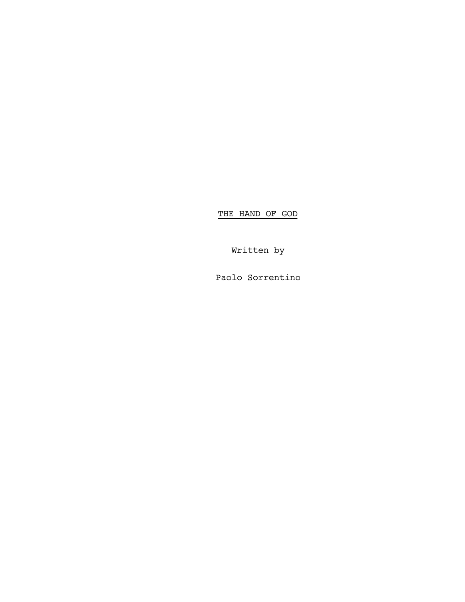THE HAND OF GOD

Written by

Paolo Sorrentino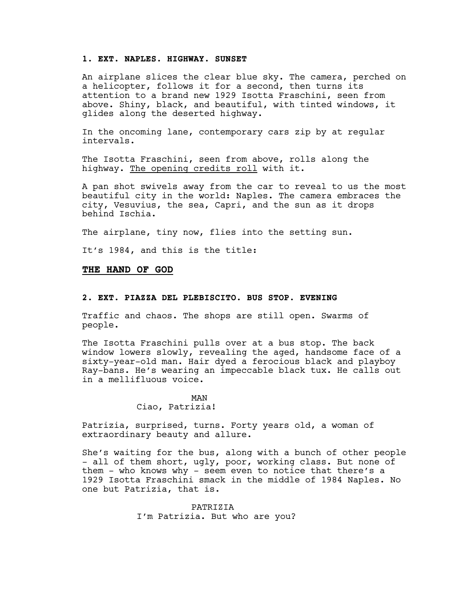## **1. EXT. NAPLES. HIGHWAY. SUNSET**

An airplane slices the clear blue sky. The camera, perched on a helicopter, follows it for a second, then turns its attention to a brand new 1929 Isotta Fraschini, seen from above. Shiny, black, and beautiful, with tinted windows, it glides along the deserted highway.

In the oncoming lane, contemporary cars zip by at regular intervals.

The Isotta Fraschini, seen from above, rolls along the highway. The opening credits roll with it.

A pan shot swivels away from the car to reveal to us the most beautiful city in the world: Naples. The camera embraces the city, Vesuvius, the sea, Capri, and the sun as it drops behind Ischia.

The airplane, tiny now, flies into the setting sun.

It's 1984, and this is the title:

#### **THE HAND OF GOD**

### **2. EXT. PIAZZA DEL PLEBISCITO. BUS STOP. EVENING**

Traffic and chaos. The shops are still open. Swarms of people.

The Isotta Fraschini pulls over at a bus stop. The back window lowers slowly, revealing the aged, handsome face of a sixty-year-old man. Hair dyed a ferocious black and playboy Ray-bans. He's wearing an impeccable black tux. He calls out in a mellifluous voice.

#### MAN Ciao, Patrizia!

Patrizia, surprised, turns. Forty years old, a woman of extraordinary beauty and allure.

She's waiting for the bus, along with a bunch of other people - all of them short, ugly, poor, working class. But none of them - who knows why - seem even to notice that there's a 1929 Isotta Fraschini smack in the middle of 1984 Naples. No one but Patrizia, that is.

> PATRIZIA I'm Patrizia. But who are you?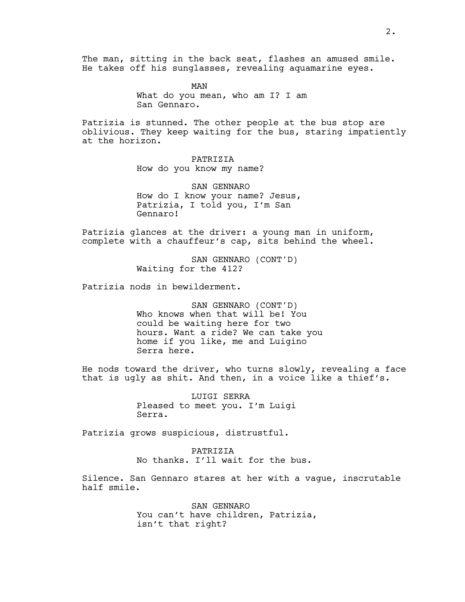The man, sitting in the back seat, flashes an amused smile. He takes off his sunglasses, revealing aquamarine eyes.

> MAN What do you mean, who am I? I am San Gennaro.

Patrizia is stunned. The other people at the bus stop are oblivious. They keep waiting for the bus, staring impatiently at the horizon.

> PATRIZIA How do you know my name?

SAN GENNARO How do I know your name? Jesus, Patrizia, I told you, I'm San Gennaro!

Patrizia glances at the driver: a young man in uniform, complete with a chauffeur's cap, sits behind the wheel.

> SAN GENNARO (CONT'D) Waiting for the 412?

Patrizia nods in bewilderment.

SAN GENNARO (CONT'D) Who knows when that will be! You could be waiting here for two hours. Want a ride? We can take you home if you like, me and Luigino Serra here.

He nods toward the driver, who turns slowly, revealing a face that is ugly as shit. And then, in a voice like a thief's.

> LUIGI SERRA Pleased to meet you. I'm Luigi Serra.

Patrizia grows suspicious, distrustful.

PATRIZIA No thanks. I'll wait for the bus.

Silence. San Gennaro stares at her with a vague, inscrutable half smile.

> SAN GENNARO You can't have children, Patrizia, isn't that right?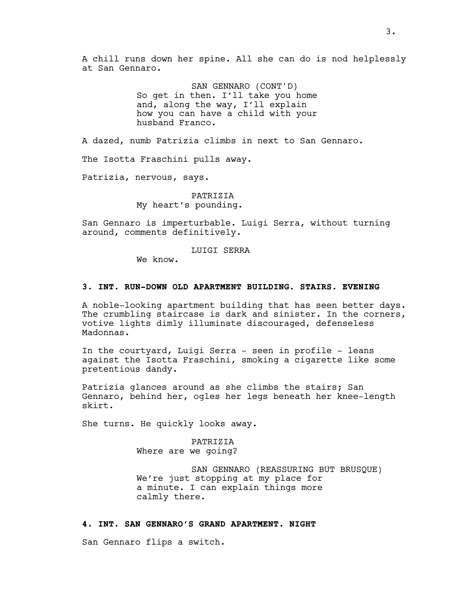A chill runs down her spine. All she can do is nod helplessly at San Gennaro.

> SAN GENNARO (CONT'D) So get in then. I'll take you home and, along the way, I'll explain how you can have a child with your husband Franco.

A dazed, numb Patrizia climbs in next to San Gennaro.

The Isotta Fraschini pulls away.

Patrizia, nervous, says.

PATRIZIA My heart's pounding.

San Gennaro is imperturbable. Luigi Serra, without turning around, comments definitively.

LUIGI SERRA

We know.

### **3. INT. RUN-DOWN OLD APARTMENT BUILDING. STAIRS. EVENING**

A noble-looking apartment building that has seen better days. The crumbling staircase is dark and sinister. In the corners, votive lights dimly illuminate discouraged, defenseless Madonnas.

In the courtyard, Luigi Serra - seen in profile - leans against the Isotta Fraschini, smoking a cigarette like some pretentious dandy.

Patrizia glances around as she climbs the stairs; San Gennaro, behind her, ogles her legs beneath her knee-length skirt.

She turns. He quickly looks away.

PATRIZIA Where are we going?

SAN GENNARO (REASSURING BUT BRUSQUE) We're just stopping at my place for a minute. I can explain things more calmly there.

### **4. INT. SAN GENNARO'S GRAND APARTMENT. NIGHT**

San Gennaro flips a switch.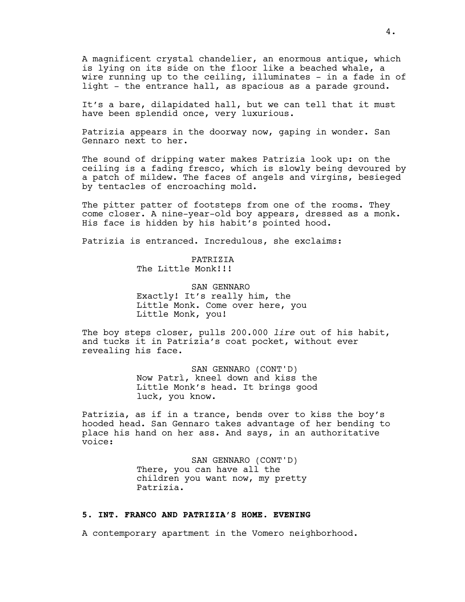A magnificent crystal chandelier, an enormous antique, which is lying on its side on the floor like a beached whale, a wire running up to the ceiling, illuminates - in a fade in of light - the entrance hall, as spacious as a parade ground.

It's a bare, dilapidated hall, but we can tell that it must have been splendid once, very luxurious.

Patrizia appears in the doorway now, gaping in wonder. San Gennaro next to her.

The sound of dripping water makes Patrizia look up: on the ceiling is a fading fresco, which is slowly being devoured by a patch of mildew. The faces of angels and virgins, besieged by tentacles of encroaching mold.

The pitter patter of footsteps from one of the rooms. They come closer. A nine-year-old boy appears, dressed as a monk. His face is hidden by his habit's pointed hood.

Patrizia is entranced. Incredulous, she exclaims:

PATRIZIA The Little Monk!!!

SAN GENNARO Exactly! It's really him, the Little Monk. Come over here, you Little Monk, you!

The boy steps closer, pulls 200.000 *lire* out of his habit, and tucks it in Patrizia's coat pocket, without ever revealing his face.

> SAN GENNARO (CONT'D) Now Patrì, kneel down and kiss the Little Monk's head. It brings good luck, you know.

Patrizia, as if in a trance, bends over to kiss the boy's hooded head. San Gennaro takes advantage of her bending to place his hand on her ass. And says, in an authoritative voice:

> SAN GENNARO (CONT'D) There, you can have all the children you want now, my pretty Patrizia.

## **5. INT. FRANCO AND PATRIZIA'S HOME. EVENING**

A contemporary apartment in the Vomero neighborhood.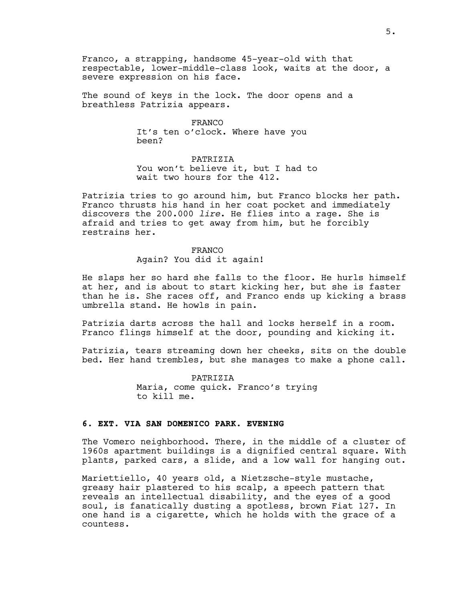Franco, a strapping, handsome 45-year-old with that respectable, lower-middle-class look, waits at the door, a severe expression on his face.

The sound of keys in the lock. The door opens and a breathless Patrizia appears.

> FRANCO It's ten o'clock. Where have you been?

PATRIZIA You won't believe it, but I had to wait two hours for the 412.

Patrizia tries to go around him, but Franco blocks her path. Franco thrusts his hand in her coat pocket and immediately discovers the 200.000 *lire*. He flies into a rage. She is afraid and tries to get away from him, but he forcibly restrains her.

> FRANCO Again? You did it again!

He slaps her so hard she falls to the floor. He hurls himself at her, and is about to start kicking her, but she is faster than he is. She races off, and Franco ends up kicking a brass umbrella stand. He howls in pain.

Patrizia darts across the hall and locks herself in a room. Franco flings himself at the door, pounding and kicking it.

Patrizia, tears streaming down her cheeks, sits on the double bed. Her hand trembles, but she manages to make a phone call.

> PATRIZIA Maria, come quick. Franco's trying to kill me.

## **6. EXT. VIA SAN DOMENICO PARK. EVENING**

The Vomero neighborhood. There, in the middle of a cluster of 1960s apartment buildings is a dignified central square. With plants, parked cars, a slide, and a low wall for hanging out.

Mariettiello, 40 years old, a Nietzsche-style mustache, greasy hair plastered to his scalp, a speech pattern that reveals an intellectual disability, and the eyes of a good soul, is fanatically dusting a spotless, brown Fiat 127. In one hand is a cigarette, which he holds with the grace of a countess.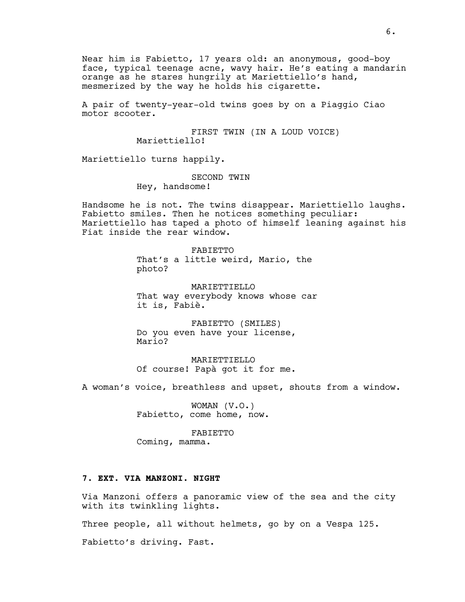Near him is Fabietto, 17 years old: an anonymous, good-boy face, typical teenage acne, wavy hair. He's eating a mandarin orange as he stares hungrily at Mariettiello's hand, mesmerized by the way he holds his cigarette.

A pair of twenty-year-old twins goes by on a Piaggio Ciao motor scooter.

> FIRST TWIN (IN A LOUD VOICE) Mariettiello!

Mariettiello turns happily.

SECOND TWIN Hey, handsome!

Handsome he is not. The twins disappear. Mariettiello laughs. Fabietto smiles. Then he notices something peculiar: Mariettiello has taped a photo of himself leaning against his Fiat inside the rear window.

> FABIETTO That's a little weird, Mario, the photo?

MARIETTIELLO That way everybody knows whose car it is, Fabiè.

FABIETTO (SMILES) Do you even have your license, Mario?

**MARIETTIELLO** Of course! Papà got it for me.

A woman's voice, breathless and upset, shouts from a window.

WOMAN (V.O.) Fabietto, come home, now.

FABIETTO Coming, mamma.

## **7. EXT. VIA MANZONI. NIGHT**

Via Manzoni offers a panoramic view of the sea and the city with its twinkling lights.

Three people, all without helmets, go by on a Vespa 125.

Fabietto's driving. Fast.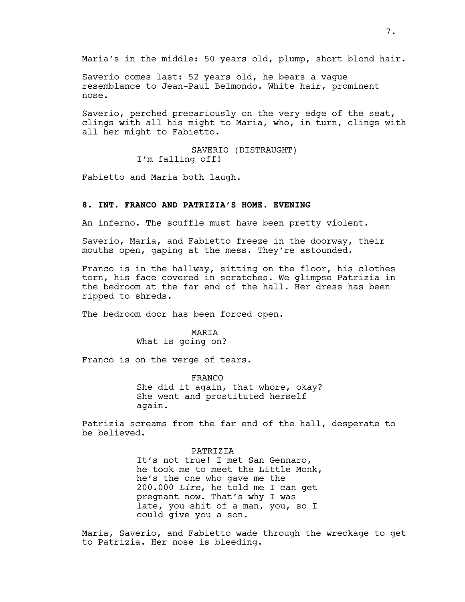Maria's in the middle: 50 years old, plump, short blond hair.

Saverio comes last: 52 years old, he bears a vague resemblance to Jean-Paul Belmondo. White hair, prominent nose.

Saverio, perched precariously on the very edge of the seat, clings with all his might to Maria, who, in turn, clings with all her might to Fabietto.

> SAVERIO (DISTRAUGHT) I'm falling off!

Fabietto and Maria both laugh.

### **8. INT. FRANCO AND PATRIZIA'S HOME. EVENING**

An inferno. The scuffle must have been pretty violent.

Saverio, Maria, and Fabietto freeze in the doorway, their mouths open, gaping at the mess. They're astounded.

Franco is in the hallway, sitting on the floor, his clothes torn, his face covered in scratches. We glimpse Patrizia in the bedroom at the far end of the hall. Her dress has been ripped to shreds.

The bedroom door has been forced open.

### MARIA What is going on?

Franco is on the verge of tears.

FRANCO She did it again, that whore, okay? She went and prostituted herself again.

Patrizia screams from the far end of the hall, desperate to be believed.

#### PATRIZIA

It's not true! I met San Gennaro, he took me to meet the Little Monk, he's the one who gave me the 200.000 *Lire*, he told me I can get pregnant now. That's why I was late, you shit of a man, you, so I could give you a son.

Maria, Saverio, and Fabietto wade through the wreckage to get to Patrizia. Her nose is bleeding.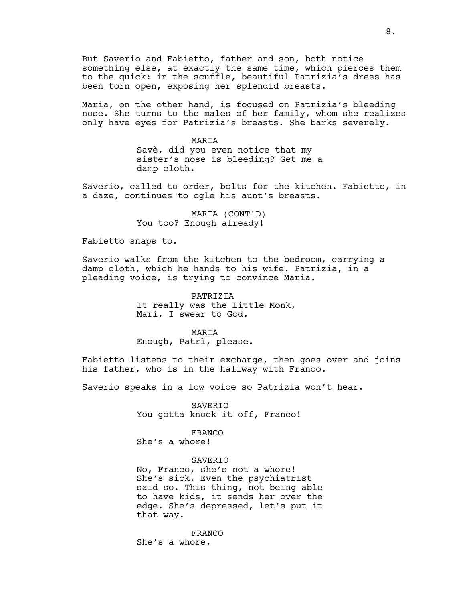But Saverio and Fabietto, father and son, both notice something else, at exactly the same time, which pierces them to the quick: in the scuffle, beautiful Patrizia's dress has been torn open, exposing her splendid breasts.

Maria, on the other hand, is focused on Patrizia's bleeding nose. She turns to the males of her family, whom she realizes only have eyes for Patrizia's breasts. She barks severely.

> MARIA Savè, did you even notice that my sister's nose is bleeding? Get me a damp cloth.

Saverio, called to order, bolts for the kitchen. Fabietto, in a daze, continues to ogle his aunt's breasts.

> MARIA (CONT'D) You too? Enough already!

Fabietto snaps to.

Saverio walks from the kitchen to the bedroom, carrying a damp cloth, which he hands to his wife. Patrizia, in a pleading voice, is trying to convince Maria.

> PATRIZIA It really was the Little Monk, Marì, I swear to God.

> > MARIA

Enough, Patrì, please.

Fabietto listens to their exchange, then goes over and joins his father, who is in the hallway with Franco.

Saverio speaks in a low voice so Patrizia won't hear.

SAVERIO You gotta knock it off, Franco!

FRANCO She's a whore!

SAVERIO

No, Franco, she's not a whore! She's sick. Even the psychiatrist said so. This thing, not being able to have kids, it sends her over the edge. She's depressed, let's put it that way.

FRANCO She's a whore.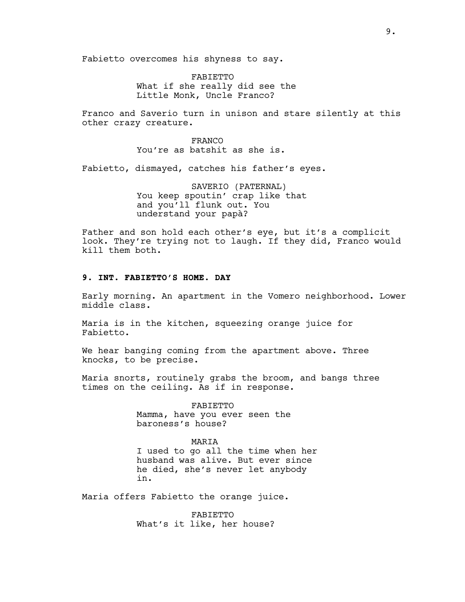Fabietto overcomes his shyness to say.

FABIETTO What if she really did see the Little Monk, Uncle Franco?

Franco and Saverio turn in unison and stare silently at this other crazy creature.

> FRANCO You're as batshit as she is.

Fabietto, dismayed, catches his father's eyes.

SAVERIO (PATERNAL) You keep spoutin' crap like that and you'll flunk out. You understand your papà?

Father and son hold each other's eye, but it's a complicit look. They're trying not to laugh. If they did, Franco would kill them both.

## **9. INT. FABIETTO'S HOME. DAY**

Early morning. An apartment in the Vomero neighborhood. Lower middle class.

Maria is in the kitchen, squeezing orange juice for Fabietto.

We hear banging coming from the apartment above. Three knocks, to be precise.

Maria snorts, routinely grabs the broom, and bangs three times on the ceiling. As if in response.

> FABIETTO Mamma, have you ever seen the baroness's house?

### MARIA

I used to go all the time when her husband was alive. But ever since he died, she's never let anybody in.

Maria offers Fabietto the orange juice.

FABIETTO What's it like, her house?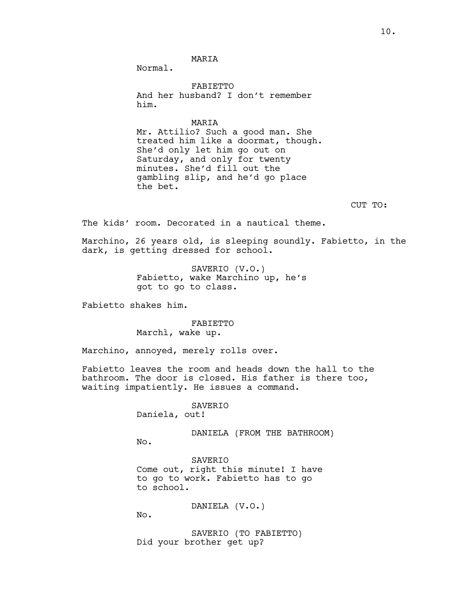MARIA

Normal.

FABIETTO And her husband? I don't remember him.

MARIA

Mr. Attilio? Such a good man. She treated him like a doormat, though. She'd only let him go out on Saturday, and only for twenty minutes. She'd fill out the gambling slip, and he'd go place the bet.

CUT TO:

The kids' room. Decorated in a nautical theme.

Marchino, 26 years old, is sleeping soundly. Fabietto, in the dark, is getting dressed for school.

> SAVERIO (V.O.) Fabietto, wake Marchino up, he's got to go to class.

Fabietto shakes him.

FABIETTO Marchì, wake up.

Marchino, annoyed, merely rolls over.

Fabietto leaves the room and heads down the hall to the bathroom. The door is closed. His father is there too, waiting impatiently. He issues a command.

> SAVERIO Daniela, out!

> > DANIELA (FROM THE BATHROOM)

No.

SAVERIO Come out, right this minute! I have to go to work. Fabietto has to go to school.

DANIELA (V.O.)

No.

SAVERIO (TO FABIETTO) Did your brother get up?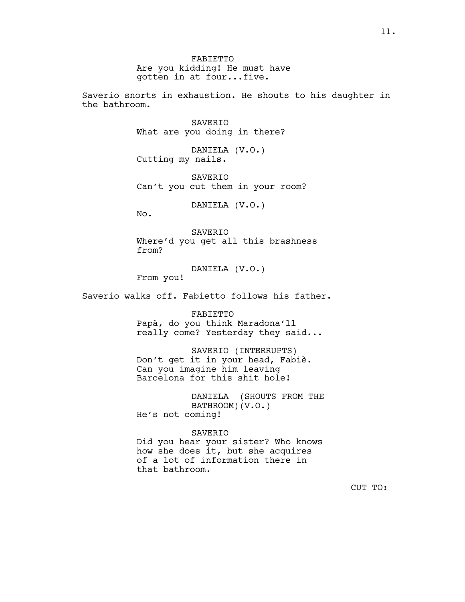FABIETTO Are you kidding! He must have gotten in at four...five.

Saverio snorts in exhaustion. He shouts to his daughter in the bathroom.

> SAVERIO What are you doing in there?

DANIELA (V.O.) Cutting my nails.

SAVERIO Can't you cut them in your room?

DANIELA (V.O.)

No.

SAVERIO Where'd you get all this brashness from?

DANIELA (V.O.)

From you!

Saverio walks off. Fabietto follows his father.

FABIETTO

Papà, do you think Maradona'll really come? Yesterday they said...

SAVERIO (INTERRUPTS) Don't get it in your head, Fabiè. Can you imagine him leaving Barcelona for this shit hole!

DANIELA (SHOUTS FROM THE BATHROOM)(V.O.) He's not coming!

## SAVERIO

Did you hear your sister? Who knows how she does it, but she acquires of a lot of information there in that bathroom.

CUT TO: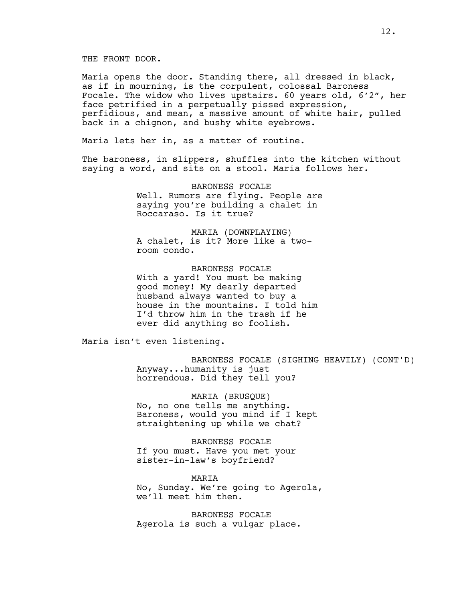Maria opens the door. Standing there, all dressed in black, as if in mourning, is the corpulent, colossal Baroness Focale. The widow who lives upstairs. 60 years old, 6'2", her face petrified in a perpetually pissed expression, perfidious, and mean, a massive amount of white hair, pulled back in a chignon, and bushy white eyebrows.

Maria lets her in, as a matter of routine.

The baroness, in slippers, shuffles into the kitchen without saying a word, and sits on a stool. Maria follows her.

> BARONESS FOCALE Well. Rumors are flying. People are saying you're building a chalet in Roccaraso. Is it true?

MARIA (DOWNPLAYING) A chalet, is it? More like a tworoom condo.

BARONESS FOCALE With a yard! You must be making good money! My dearly departed husband always wanted to buy a house in the mountains. I told him I'd throw him in the trash if he ever did anything so foolish.

Maria isn't even listening.

BARONESS FOCALE (SIGHING HEAVILY) (CONT'D) Anyway...humanity is just horrendous. Did they tell you?

MARIA (BRUSQUE) No, no one tells me anything. Baroness, would you mind if I kept straightening up while we chat?

BARONESS FOCALE If you must. Have you met your sister-in-law's boyfriend?

MARIA No, Sunday. We're going to Agerola, we'll meet him then.

BARONESS FOCALE Agerola is such a vulgar place.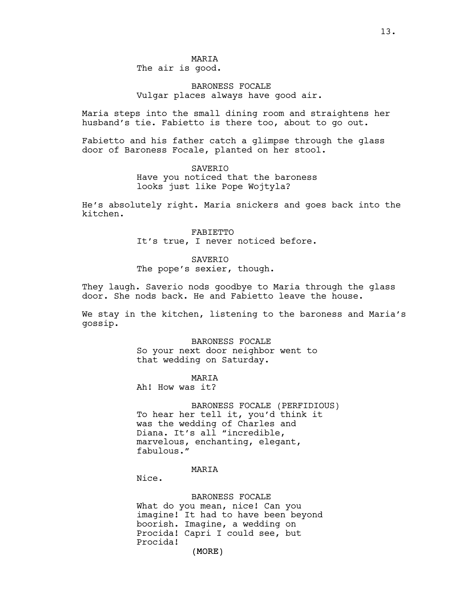## MARIA The air is good.

## BARONESS FOCALE Vulgar places always have good air.

Maria steps into the small dining room and straightens her husband's tie. Fabietto is there too, about to go out.

Fabietto and his father catch a glimpse through the glass door of Baroness Focale, planted on her stool.

> SAVERIO Have you noticed that the baroness looks just like Pope Wojtyla?

He's absolutely right. Maria snickers and goes back into the kitchen.

> FABIETTO It's true, I never noticed before.

#### **SAVERTO**

The pope's sexier, though.

They laugh. Saverio nods goodbye to Maria through the glass door. She nods back. He and Fabietto leave the house.

We stay in the kitchen, listening to the baroness and Maria's gossip.

> BARONESS FOCALE So your next door neighbor went to that wedding on Saturday.

# **MARTA**

Ah! How was it?

BARONESS FOCALE (PERFIDIOUS) To hear her tell it, you'd think it was the wedding of Charles and Diana. It's all "incredible, marvelous, enchanting, elegant, fabulous."

### MARIA

Nice.

(MORE) BARONESS FOCALE What do you mean, nice! Can you imagine! It had to have been beyond boorish. Imagine, a wedding on Procida! Capri I could see, but Procida!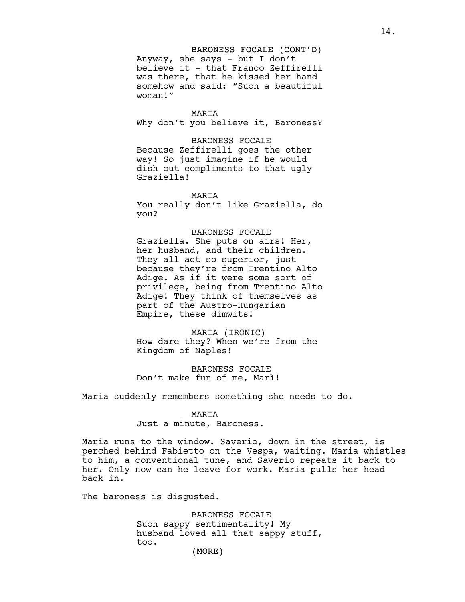### BARONESS FOCALE (CONT'D)

Anyway, she says - but I don't believe it - that Franco Zeffirelli was there, that he kissed her hand somehow and said: "Such a beautiful woman!"

#### MARIA

Why don't you believe it, Baroness?

#### BARONESS FOCALE

Because Zeffirelli goes the other way! So just imagine if he would dish out compliments to that ugly Graziella!

### **MARTA**

You really don't like Graziella, do you?

#### BARONESS FOCALE

Graziella. She puts on airs! Her, her husband, and their children. They all act so superior, just because they're from Trentino Alto Adige. As if it were some sort of privilege, being from Trentino Alto Adige! They think of themselves as part of the Austro-Hungarian Empire, these dimwits!

MARIA (IRONIC) How dare they? When we're from the Kingdom of Naples!

BARONESS FOCALE Don't make fun of me, Marì!

Maria suddenly remembers something she needs to do.

#### MARIA

Just a minute, Baroness.

Maria runs to the window. Saverio, down in the street, is perched behind Fabietto on the Vespa, waiting. Maria whistles to him, a conventional tune, and Saverio repeats it back to her. Only now can he leave for work. Maria pulls her head back in.

The baroness is disgusted.

BARONESS FOCALE Such sappy sentimentality! My husband loved all that sappy stuff, too.

(MORE)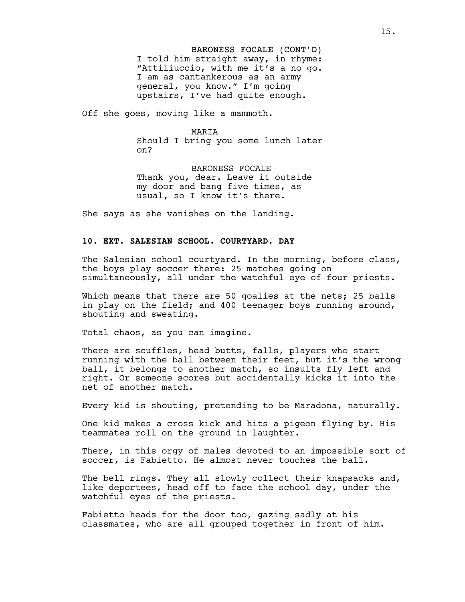BARONESS FOCALE (CONT'D) I told him straight away, in rhyme: "Attiliuccio, with me it's a no go. I am as cantankerous as an army general, you know." I'm going upstairs, I've had quite enough.

Off she goes, moving like a mammoth.

#### MARIA

Should I bring you some lunch later on?

BARONESS FOCALE Thank you, dear. Leave it outside my door and bang five times, as usual, so I know it's there.

She says as she vanishes on the landing.

#### **10. EXT. SALESIAN SCHOOL. COURTYARD. DAY**

The Salesian school courtyard. In the morning, before class, the boys play soccer there: 25 matches going on simultaneously, all under the watchful eye of four priests.

Which means that there are 50 goalies at the nets; 25 balls in play on the field; and 400 teenager boys running around, shouting and sweating.

Total chaos, as you can imagine.

There are scuffles, head butts, falls, players who start running with the ball between their feet, but it's the wrong ball, it belongs to another match, so insults fly left and right. Or someone scores but accidentally kicks it into the net of another match.

Every kid is shouting, pretending to be Maradona, naturally.

One kid makes a cross kick and hits a pigeon flying by. His teammates roll on the ground in laughter.

There, in this orgy of males devoted to an impossible sort of soccer, is Fabietto. He almost never touches the ball.

The bell rings. They all slowly collect their knapsacks and, like deportees, head off to face the school day, under the watchful eyes of the priests.

Fabietto heads for the door too, gazing sadly at his classmates, who are all grouped together in front of him.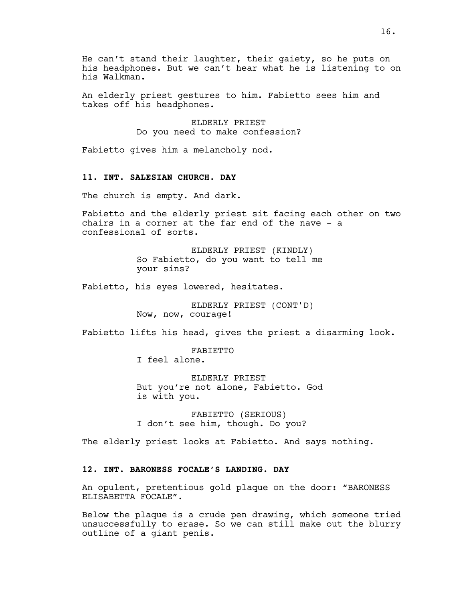He can't stand their laughter, their gaiety, so he puts on his headphones. But we can't hear what he is listening to on his Walkman.

An elderly priest gestures to him. Fabietto sees him and takes off his headphones.

> ELDERLY PRIEST Do you need to make confession?

Fabietto gives him a melancholy nod.

## **11. INT. SALESIAN CHURCH. DAY**

The church is empty. And dark.

Fabietto and the elderly priest sit facing each other on two chairs in a corner at the far end of the nave - a confessional of sorts.

> ELDERLY PRIEST (KINDLY) So Fabietto, do you want to tell me your sins?

Fabietto, his eyes lowered, hesitates.

ELDERLY PRIEST (CONT'D) Now, now, courage!

Fabietto lifts his head, gives the priest a disarming look.

FABIETTO I feel alone.

ELDERLY PRIEST But you're not alone, Fabietto. God is with you.

FABIETTO (SERIOUS) I don't see him, though. Do you?

The elderly priest looks at Fabietto. And says nothing.

## **12. INT. BARONESS FOCALE'S LANDING. DAY**

An opulent, pretentious gold plaque on the door: "BARONESS ELISABETTA FOCALE".

Below the plaque is a crude pen drawing, which someone tried unsuccessfully to erase. So we can still make out the blurry outline of a giant penis.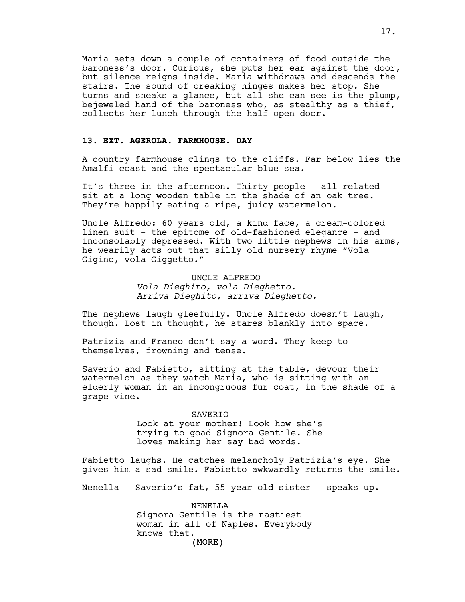Maria sets down a couple of containers of food outside the baroness's door. Curious, she puts her ear against the door, but silence reigns inside. Maria withdraws and descends the stairs. The sound of creaking hinges makes her stop. She turns and sneaks a glance, but all she can see is the plump, bejeweled hand of the baroness who, as stealthy as a thief, collects her lunch through the half-open door.

### **13. EXT. AGEROLA. FARMHOUSE. DAY**

A country farmhouse clings to the cliffs. Far below lies the Amalfi coast and the spectacular blue sea.

It's three in the afternoon. Thirty people - all related sit at a long wooden table in the shade of an oak tree. They're happily eating a ripe, juicy watermelon.

Uncle Alfredo: 60 years old, a kind face, a cream-colored linen suit - the epitome of old-fashioned elegance - and inconsolably depressed. With two little nephews in his arms, he wearily acts out that silly old nursery rhyme "Vola Gigino, vola Giggetto."

## UNCLE ALFREDO *Vola Dieghito, vola Dieghetto. Arriva Dieghito, arriva Dieghetto.*

The nephews laugh gleefully. Uncle Alfredo doesn't laugh, though. Lost in thought, he stares blankly into space.

Patrizia and Franco don't say a word. They keep to themselves, frowning and tense.

Saverio and Fabietto, sitting at the table, devour their watermelon as they watch Maria, who is sitting with an elderly woman in an incongruous fur coat, in the shade of a grape vine.

#### SAVERIO

Look at your mother! Look how she's trying to goad Signora Gentile. She loves making her say bad words.

Fabietto laughs. He catches melancholy Patrizia's eye. She gives him a sad smile. Fabietto awkwardly returns the smile.

Nenella - Saverio's fat, 55-year-old sister - speaks up.

(MORE) NENELLA Signora Gentile is the nastiest woman in all of Naples. Everybody knows that.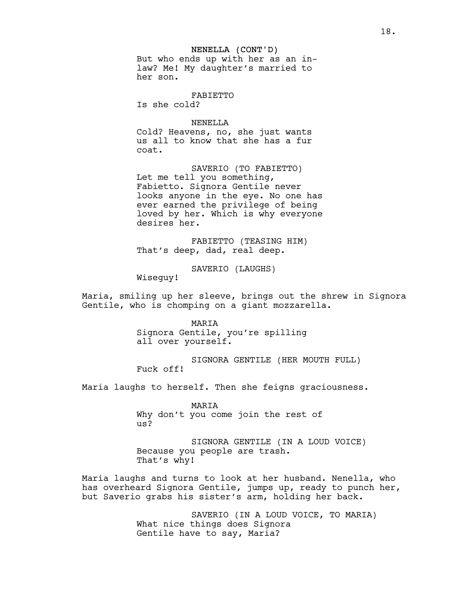#### NENELLA (CONT'D)

But who ends up with her as an inlaw? Me! My daughter's married to her son.

FABIETTO

Is she cold?

#### NENELLA

Cold? Heavens, no, she just wants us all to know that she has a fur coat.

SAVERIO (TO FABIETTO) Let me tell you something, Fabietto. Signora Gentile never looks anyone in the eye. No one has ever earned the privilege of being loved by her. Which is why everyone desires her.

FABIETTO (TEASING HIM) That's deep, dad, real deep.

SAVERIO (LAUGHS)

Wiseguy!

Maria, smiling up her sleeve, brings out the shrew in Signora Gentile, who is chomping on a giant mozzarella.

> MARIA Signora Gentile, you're spilling all over yourself.

SIGNORA GENTILE (HER MOUTH FULL) Fuck off!

Maria laughs to herself. Then she feigns graciousness.

MARIA Why don't you come join the rest of us?

SIGNORA GENTILE (IN A LOUD VOICE) Because you people are trash. That's why!

Maria laughs and turns to look at her husband. Nenella, who has overheard Signora Gentile, jumps up, ready to punch her, but Saverio grabs his sister's arm, holding her back.

> SAVERIO (IN A LOUD VOICE, TO MARIA) What nice things does Signora Gentile have to say, Maria?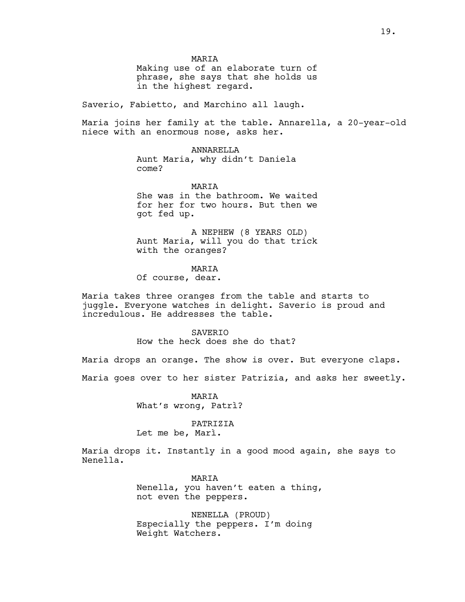MARIA

Making use of an elaborate turn of phrase, she says that she holds us in the highest regard.

Saverio, Fabietto, and Marchino all laugh.

Maria joins her family at the table. Annarella, a 20-year-old niece with an enormous nose, asks her.

> ANNARELLA Aunt Maria, why didn't Daniela come?

> > MARIA

She was in the bathroom. We waited for her for two hours. But then we got fed up.

A NEPHEW (8 YEARS OLD) Aunt Maria, will you do that trick with the oranges?

MARIA

Of course, dear.

Maria takes three oranges from the table and starts to juggle. Everyone watches in delight. Saverio is proud and incredulous. He addresses the table.

**SAVERIO** 

How the heck does she do that?

Maria drops an orange. The show is over. But everyone claps.

Maria goes over to her sister Patrizia, and asks her sweetly.

MARIA What's wrong, Patrì?

PATRIZIA Let me be, Marì.

Maria drops it. Instantly in a good mood again, she says to Nenella.

> MARIA Nenella, you haven't eaten a thing, not even the peppers.

NENELLA (PROUD) Especially the peppers. I'm doing Weight Watchers.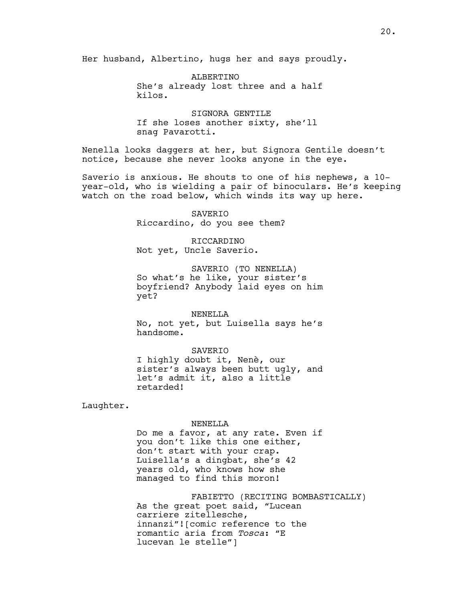Her husband, Albertino, hugs her and says proudly.

ALBERTINO She's already lost three and a half kilos.

SIGNORA GENTILE If she loses another sixty, she'll snag Pavarotti.

Nenella looks daggers at her, but Signora Gentile doesn't notice, because she never looks anyone in the eye.

Saverio is anxious. He shouts to one of his nephews, a 10 year-old, who is wielding a pair of binoculars. He's keeping watch on the road below, which winds its way up here.

> SAVERIO Riccardino, do you see them?

RICCARDINO Not yet, Uncle Saverio.

SAVERIO (TO NENELLA) So what's he like, your sister's boyfriend? Anybody laid eyes on him yet?

NENELLA No, not yet, but Luisella says he's handsome.

SAVERIO I highly doubt it, Nenè, our sister's always been butt ugly, and let's admit it, also a little retarded!

Laughter.

#### NENELLA

Do me a favor, at any rate. Even if you don't like this one either, don't start with your crap. Luisella's a dingbat, she's 42 years old, who knows how she managed to find this moron!

FABIETTO (RECITING BOMBASTICALLY) As the great poet said, "Lucean carriere zitellesche, innanzi"![comic reference to the romantic aria from *Tosca*: "E lucevan le stelle"]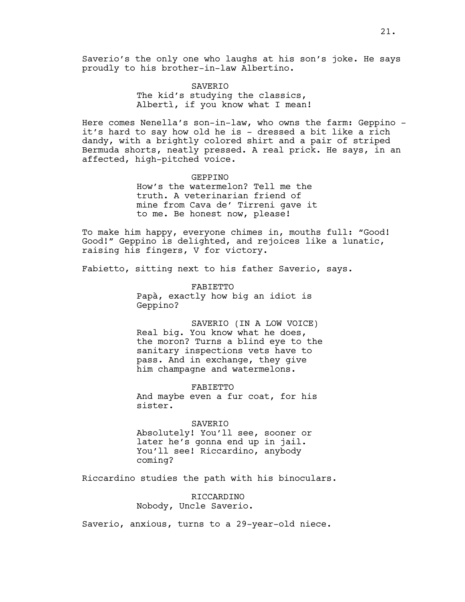Saverio's the only one who laughs at his son's joke. He says proudly to his brother-in-law Albertino.

## SAVERIO The kid's studying the classics, Albertì, if you know what I mean!

Here comes Nenella's son-in-law, who owns the farm: Geppino it's hard to say how old he is - dressed a bit like a rich dandy, with a brightly colored shirt and a pair of striped Bermuda shorts, neatly pressed. A real prick. He says, in an affected, high-pitched voice.

#### GEPPINO

How's the watermelon? Tell me the truth. A veterinarian friend of mine from Cava de' Tirreni gave it to me. Be honest now, please!

To make him happy, everyone chimes in, mouths full: "Good! Good!" Geppino is delighted, and rejoices like a lunatic, raising his fingers, V for victory.

Fabietto, sitting next to his father Saverio, says.

FABIETTO Papà, exactly how big an idiot is Geppino?

SAVERIO (IN A LOW VOICE) Real big. You know what he does, the moron? Turns a blind eye to the sanitary inspections vets have to pass. And in exchange, they give him champagne and watermelons.

FABIETTO And maybe even a fur coat, for his sister.

#### SAVERIO

Absolutely! You'll see, sooner or later he's gonna end up in jail. You'll see! Riccardino, anybody coming?

Riccardino studies the path with his binoculars.

RICCARDINO Nobody, Uncle Saverio.

Saverio, anxious, turns to a 29-year-old niece.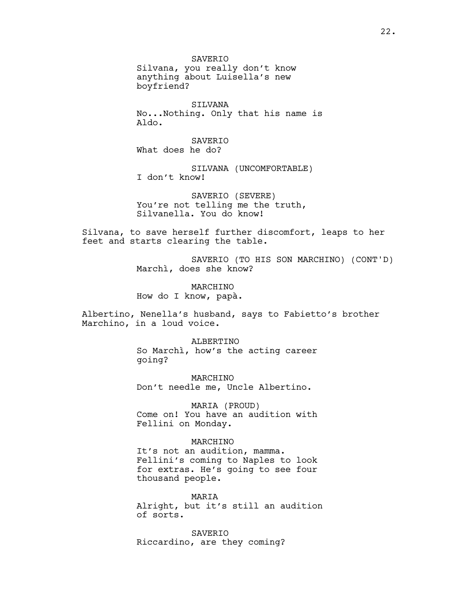**SAVERTO** Silvana, you really don't know anything about Luisella's new boyfriend?

SILVANA No...Nothing. Only that his name is Aldo.

**SAVERTO** What does he do?

SILVANA (UNCOMFORTABLE) I don't know!

SAVERIO (SEVERE) You're not telling me the truth, Silvanella. You do know!

Silvana, to save herself further discomfort, leaps to her feet and starts clearing the table.

> SAVERIO (TO HIS SON MARCHINO) (CONT'D) Marchì, does she know?

MARCHINO How do I know, papà.

Albertino, Nenella's husband, says to Fabietto's brother Marchino, in a loud voice.

> ALBERTINO So Marchì, how's the acting career going?

MARCHINO Don't needle me, Uncle Albertino.

MARIA (PROUD) Come on! You have an audition with Fellini on Monday.

MARCHINO It's not an audition, mamma. Fellini's coming to Naples to look for extras. He's going to see four thousand people.

MARIA Alright, but it's still an audition of sorts.

SAVERIO Riccardino, are they coming?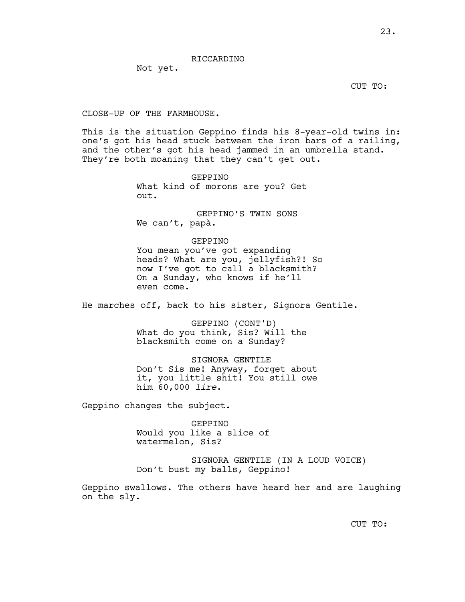RICCARDINO

Not yet.

CUT TO:

### CLOSE-UP OF THE FARMHOUSE.

This is the situation Geppino finds his 8-year-old twins in: one's got his head stuck between the iron bars of a railing, and the other's got his head jammed in an umbrella stand. They're both moaning that they can't get out.

> GEPPINO What kind of morons are you? Get out.

 GEPPINO'S TWIN SONS We can't, papà.

#### GEPPINO

You mean you've got expanding heads? What are you, jellyfish?! So now I've got to call a blacksmith? On a Sunday, who knows if he'll even come.

He marches off, back to his sister, Signora Gentile.

GEPPINO (CONT'D) What do you think, Sis? Will the blacksmith come on a Sunday?

SIGNORA GENTILE Don't Sis me! Anyway, forget about it, you little shit! You still owe him 60,000 *lire*.

Geppino changes the subject.

GEPPINO Would you like a slice of watermelon, Sis?

SIGNORA GENTILE (IN A LOUD VOICE) Don't bust my balls, Geppino!

Geppino swallows. The others have heard her and are laughing on the sly.

CUT TO: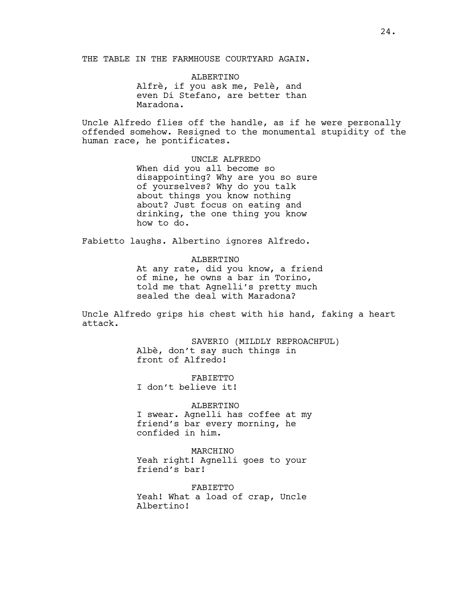THE TABLE IN THE FARMHOUSE COURTYARD AGAIN.

ALBERTINO Alfrè, if you ask me, Pelè, and even Di Stefano, are better than Maradona.

Uncle Alfredo flies off the handle, as if he were personally offended somehow. Resigned to the monumental stupidity of the human race, he pontificates.

> UNCLE ALFREDO When did you all become so disappointing? Why are you so sure of yourselves? Why do you talk about things you know nothing about? Just focus on eating and drinking, the one thing you know how to do.

Fabietto laughs. Albertino ignores Alfredo.

ALBERTINO At any rate, did you know, a friend of mine, he owns a bar in Torino, told me that Agnelli's pretty much sealed the deal with Maradona?

Uncle Alfredo grips his chest with his hand, faking a heart attack.

> SAVERIO (MILDLY REPROACHFUL) Albè, don't say such things in front of Alfredo!

FABIETTO I don't believe it!

ALBERTINO I swear. Agnelli has coffee at my friend's bar every morning, he confided in him.

MARCHINO Yeah right! Agnelli goes to your friend's bar!

FABIETTO Yeah! What a load of crap, Uncle Albertino!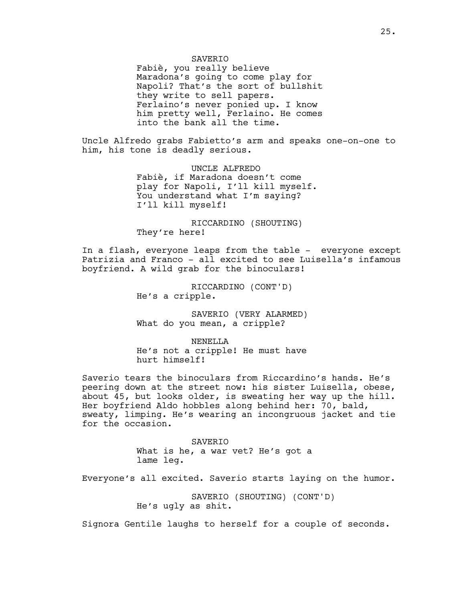### **SAVERTO**

Fabiè, you really believe Maradona's going to come play for Napoli? That's the sort of bullshit they write to sell papers. Ferlaino's never ponied up. I know him pretty well, Ferlaino. He comes into the bank all the time.

Uncle Alfredo grabs Fabietto's arm and speaks one-on-one to him, his tone is deadly serious.

> UNCLE ALFREDO Fabiè, if Maradona doesn't come play for Napoli, I'll kill myself. You understand what I'm saying? I'll kill myself!

RICCARDINO (SHOUTING) They're here!

In a flash, everyone leaps from the table - everyone except Patrizia and Franco - all excited to see Luisella's infamous boyfriend. A wild grab for the binoculars!

> RICCARDINO (CONT'D) He's a cripple.

SAVERIO (VERY ALARMED) What do you mean, a cripple?

NENELLA He's not a cripple! He must have hurt himself!

Saverio tears the binoculars from Riccardino's hands. He's peering down at the street now: his sister Luisella, obese, about 45, but looks older, is sweating her way up the hill. Her boyfriend Aldo hobbles along behind her: 70, bald, sweaty, limping. He's wearing an incongruous jacket and tie for the occasion.

> SAVERIO What is he, a war vet? He's got a lame leg.

Everyone's all excited. Saverio starts laying on the humor.

SAVERIO (SHOUTING) (CONT'D) He's ugly as shit.

Signora Gentile laughs to herself for a couple of seconds.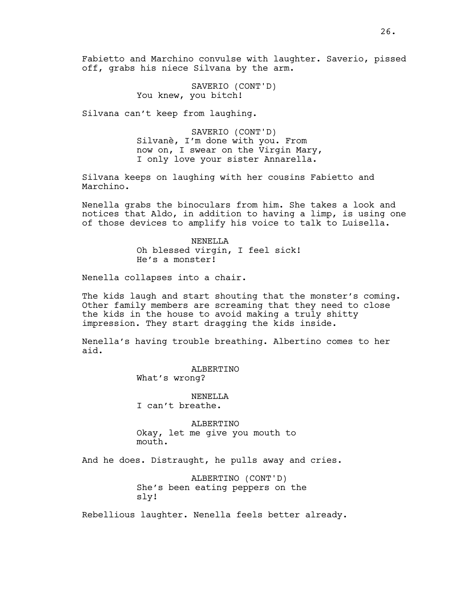Fabietto and Marchino convulse with laughter. Saverio, pissed off, grabs his niece Silvana by the arm.

> SAVERIO (CONT'D) You knew, you bitch!

Silvana can't keep from laughing.

SAVERIO (CONT'D) Silvanè, I'm done with you. From now on, I swear on the Virgin Mary, I only love your sister Annarella.

Silvana keeps on laughing with her cousins Fabietto and Marchino.

Nenella grabs the binoculars from him. She takes a look and notices that Aldo, in addition to having a limp, is using one of those devices to amplify his voice to talk to Luisella.

> NENELLA Oh blessed virgin, I feel sick! He's a monster!

Nenella collapses into a chair.

The kids laugh and start shouting that the monster's coming. Other family members are screaming that they need to close the kids in the house to avoid making a truly shitty impression. They start dragging the kids inside.

Nenella's having trouble breathing. Albertino comes to her aid.

> ALBERTINO What's wrong?

NENELLA I can't breathe.

ALBERTINO Okay, let me give you mouth to mouth.

And he does. Distraught, he pulls away and cries.

ALBERTINO (CONT'D) She's been eating peppers on the sly!

Rebellious laughter. Nenella feels better already.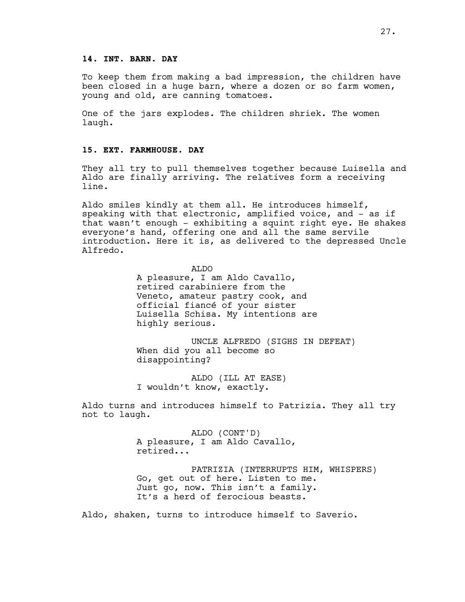### **14. INT. BARN. DAY**

To keep them from making a bad impression, the children have been closed in a huge barn, where a dozen or so farm women, young and old, are canning tomatoes.

One of the jars explodes. The children shriek. The women laugh.

## **15. EXT. FARMHOUSE. DAY**

They all try to pull themselves together because Luisella and Aldo are finally arriving. The relatives form a receiving line.

Aldo smiles kindly at them all. He introduces himself, speaking with that electronic, amplified voice, and - as if that wasn't enough - exhibiting a squint right eye. He shakes everyone's hand, offering one and all the same servile introduction. Here it is, as delivered to the depressed Uncle Alfredo.

> ALDO A pleasure, I am Aldo Cavallo, retired carabiniere from the Veneto, amateur pastry cook, and official fiancé of your sister Luisella Schisa. My intentions are highly serious.

UNCLE ALFREDO (SIGHS IN DEFEAT) When did you all become so disappointing?

ALDO (ILL AT EASE) I wouldn't know, exactly.

Aldo turns and introduces himself to Patrizia. They all try not to laugh.

> ALDO (CONT'D) A pleasure, I am Aldo Cavallo, retired...

PATRIZIA (INTERRUPTS HIM, WHISPERS) Go, get out of here. Listen to me. Just go, now. This isn't a family. It's a herd of ferocious beasts.

Aldo, shaken, turns to introduce himself to Saverio.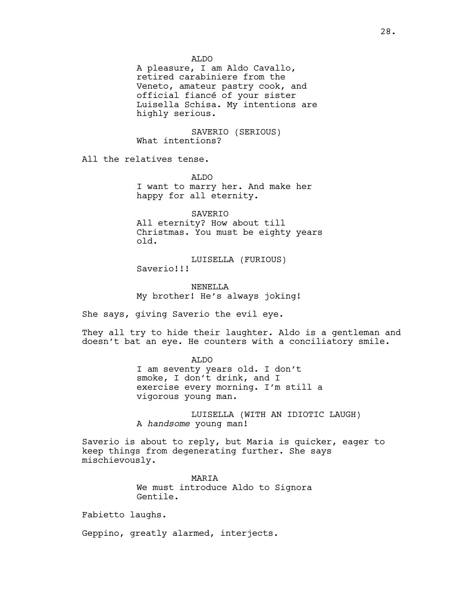ALDO

A pleasure, I am Aldo Cavallo, retired carabiniere from the Veneto, amateur pastry cook, and official fiancé of your sister Luisella Schisa. My intentions are highly serious.

SAVERIO (SERIOUS) What intentions?

All the relatives tense.

ALDO I want to marry her. And make her happy for all eternity.

SAVERIO All eternity? How about till Christmas. You must be eighty years old.

LUISELLA (FURIOUS) Saverio!!!

NENELLA My brother! He's always joking!

She says, giving Saverio the evil eye.

They all try to hide their laughter. Aldo is a gentleman and doesn't bat an eye. He counters with a conciliatory smile.

> ALDO I am seventy years old. I don't smoke, I don't drink, and I exercise every morning. I'm still a vigorous young man.

LUISELLA (WITH AN IDIOTIC LAUGH) A *handsome* young man!

Saverio is about to reply, but Maria is quicker, eager to keep things from degenerating further. She says mischievously.

> MARIA We must introduce Aldo to Signora Gentile.

Fabietto laughs.

Geppino, greatly alarmed, interjects.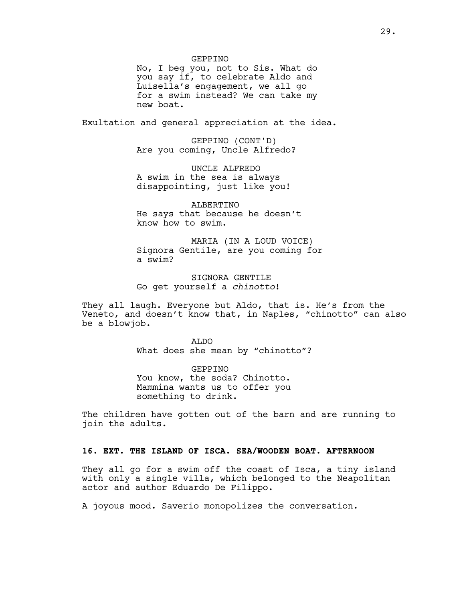#### GEPPINO

No, I beg you, not to Sis. What do you say if, to celebrate Aldo and Luisella's engagement, we all go for a swim instead? We can take my new boat.

Exultation and general appreciation at the idea.

GEPPINO (CONT'D) Are you coming, Uncle Alfredo?

UNCLE ALFREDO A swim in the sea is always disappointing, just like you!

ALBERTINO He says that because he doesn't know how to swim.

MARIA (IN A LOUD VOICE) Signora Gentile, are you coming for a swim?

SIGNORA GENTILE Go get yourself a *chinotto*!

They all laugh. Everyone but Aldo, that is. He's from the Veneto, and doesn't know that, in Naples, "chinotto" can also be a blowjob.

> ALDO What does she mean by "chinotto"?

GEPPINO You know, the soda? Chinotto. Mammina wants us to offer you something to drink.

The children have gotten out of the barn and are running to join the adults.

## **16. EXT. THE ISLAND OF ISCA. SEA/WOODEN BOAT. AFTERNOON**

They all go for a swim off the coast of Isca, a tiny island with only a single villa, which belonged to the Neapolitan actor and author Eduardo De Filippo.

A joyous mood. Saverio monopolizes the conversation.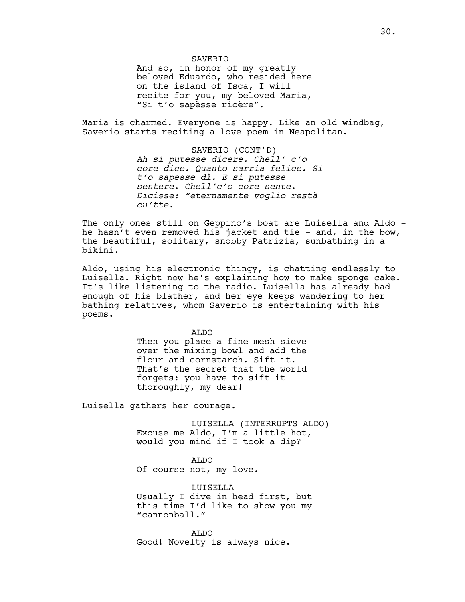### **SAVERTO**

And so, in honor of my greatly beloved Eduardo, who resided here on the island of Isca, I will recite for you, my beloved Maria, "Si t'o sapèsse ricère".

Maria is charmed. Everyone is happy. Like an old windbag, Saverio starts reciting a love poem in Neapolitan.

> SAVERIO (CONT'D) *Ah si putesse dicere. Chell' c'o core dice. Quanto sarria felice. Si t'o sapesse dì. E si putesse sentere. Chell'c'o core sente. Dicisse: "eternamente voglio restà cu'tte.*

The only ones still on Geppino's boat are Luisella and Aldo he hasn't even removed his jacket and tie - and, in the bow, the beautiful, solitary, snobby Patrizia, sunbathing in a bikini.

Aldo, using his electronic thingy, is chatting endlessly to Luisella. Right now he's explaining how to make sponge cake. It's like listening to the radio. Luisella has already had enough of his blather, and her eye keeps wandering to her bathing relatives, whom Saverio is entertaining with his poems.

> ALDO Then you place a fine mesh sieve over the mixing bowl and add the flour and cornstarch. Sift it. That's the secret that the world forgets: you have to sift it thoroughly, my dear!

Luisella gathers her courage.

LUISELLA (INTERRUPTS ALDO) Excuse me Aldo, I'm a little hot, would you mind if I took a dip?

ALDO Of course not, my love.

LUISELLA Usually I dive in head first, but this time I'd like to show you my "cannonball."

ALDO Good! Novelty is always nice.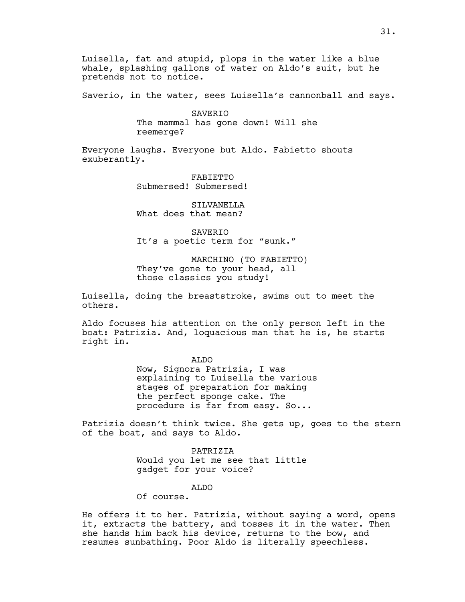Luisella, fat and stupid, plops in the water like a blue whale, splashing gallons of water on Aldo's suit, but he pretends not to notice.

Saverio, in the water, sees Luisella's cannonball and says.

SAVERIO The mammal has gone down! Will she reemerge?

Everyone laughs. Everyone but Aldo. Fabietto shouts exuberantly.

> FABIETTO Submersed! Submersed!

SILVANELLA What does that mean?

SAVERIO It's a poetic term for "sunk."

MARCHINO (TO FABIETTO) They've gone to your head, all those classics you study!

Luisella, doing the breaststroke, swims out to meet the others.

Aldo focuses his attention on the only person left in the boat: Patrizia. And, loquacious man that he is, he starts right in.

> ALDO Now, Signora Patrizia, I was explaining to Luisella the various stages of preparation for making the perfect sponge cake. The procedure is far from easy. So...

Patrizia doesn't think twice. She gets up, goes to the stern of the boat, and says to Aldo.

> PATRIZIA Would you let me see that little gadget for your voice?

> > ALDO

Of course.

He offers it to her. Patrizia, without saying a word, opens it, extracts the battery, and tosses it in the water. Then she hands him back his device, returns to the bow, and resumes sunbathing. Poor Aldo is literally speechless.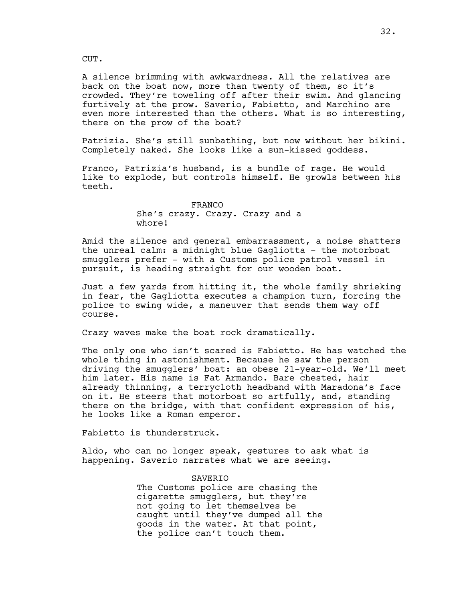CUT.

A silence brimming with awkwardness. All the relatives are back on the boat now, more than twenty of them, so it's crowded. They're toweling off after their swim. And glancing furtively at the prow. Saverio, Fabietto, and Marchino are even more interested than the others. What is so interesting, there on the prow of the boat?

Patrizia. She's still sunbathing, but now without her bikini. Completely naked. She looks like a sun-kissed goddess.

Franco, Patrizia's husband, is a bundle of rage. He would like to explode, but controls himself. He growls between his teeth.

> FRANCO She's crazy. Crazy. Crazy and a whore!

Amid the silence and general embarrassment, a noise shatters the unreal calm: a midnight blue Gagliotta - the motorboat smugglers prefer - with a Customs police patrol vessel in pursuit, is heading straight for our wooden boat.

Just a few yards from hitting it, the whole family shrieking in fear, the Gagliotta executes a champion turn, forcing the police to swing wide, a maneuver that sends them way off course.

Crazy waves make the boat rock dramatically.

The only one who isn't scared is Fabietto. He has watched the whole thing in astonishment. Because he saw the person driving the smugglers' boat: an obese 21-year-old. We'll meet him later. His name is Fat Armando. Bare chested, hair already thinning, a terrycloth headband with Maradona's face on it. He steers that motorboat so artfully, and, standing there on the bridge, with that confident expression of his, he looks like a Roman emperor.

Fabietto is thunderstruck.

Aldo, who can no longer speak, gestures to ask what is happening. Saverio narrates what we are seeing.

> SAVERIO The Customs police are chasing the cigarette smugglers, but they're not going to let themselves be caught until they've dumped all the goods in the water. At that point, the police can't touch them.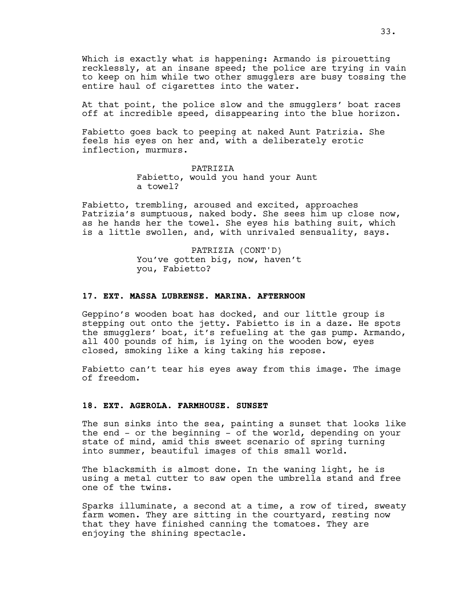Which is exactly what is happening: Armando is pirouetting recklessly, at an insane speed; the police are trying in vain to keep on him while two other smugglers are busy tossing the entire haul of cigarettes into the water.

At that point, the police slow and the smugglers' boat races off at incredible speed, disappearing into the blue horizon.

Fabietto goes back to peeping at naked Aunt Patrizia. She feels his eyes on her and, with a deliberately erotic inflection, murmurs.

> PATRIZIA Fabietto, would you hand your Aunt a towel?

Fabietto, trembling, aroused and excited, approaches Patrizia's sumptuous, naked body. She sees him up close now, as he hands her the towel. She eyes his bathing suit, which is a little swollen, and, with unrivaled sensuality, says.

> PATRIZIA (CONT'D) You've gotten big, now, haven't you, Fabietto?

### **17. EXT. MASSA LUBRENSE. MARINA. AFTERNOON**

Geppino's wooden boat has docked, and our little group is stepping out onto the jetty. Fabietto is in a daze. He spots the smugglers' boat, it's refueling at the gas pump. Armando, all 400 pounds of him, is lying on the wooden bow, eyes closed, smoking like a king taking his repose.

Fabietto can't tear his eyes away from this image. The image of freedom.

## **18. EXT. AGEROLA. FARMHOUSE. SUNSET**

The sun sinks into the sea, painting a sunset that looks like the end - or the beginning - of the world, depending on your state of mind, amid this sweet scenario of spring turning into summer, beautiful images of this small world.

The blacksmith is almost done. In the waning light, he is using a metal cutter to saw open the umbrella stand and free one of the twins.

Sparks illuminate, a second at a time, a row of tired, sweaty farm women. They are sitting in the courtyard, resting now that they have finished canning the tomatoes. They are enjoying the shining spectacle.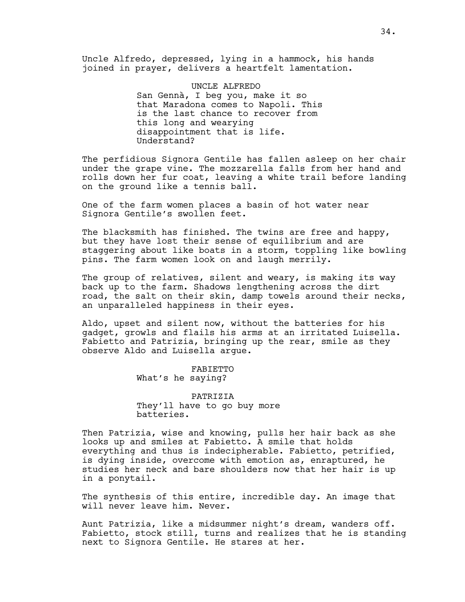Uncle Alfredo, depressed, lying in a hammock, his hands joined in prayer, delivers a heartfelt lamentation.

> UNCLE ALFREDO San Gennà, I beg you, make it so that Maradona comes to Napoli. This is the last chance to recover from this long and wearying disappointment that is life. Understand?

The perfidious Signora Gentile has fallen asleep on her chair under the grape vine. The mozzarella falls from her hand and rolls down her fur coat, leaving a white trail before landing on the ground like a tennis ball.

One of the farm women places a basin of hot water near Signora Gentile's swollen feet.

The blacksmith has finished. The twins are free and happy, but they have lost their sense of equilibrium and are staggering about like boats in a storm, toppling like bowling pins. The farm women look on and laugh merrily.

The group of relatives, silent and weary, is making its way back up to the farm. Shadows lengthening across the dirt road, the salt on their skin, damp towels around their necks, an unparalleled happiness in their eyes.

Aldo, upset and silent now, without the batteries for his gadget, growls and flails his arms at an irritated Luisella. Fabietto and Patrizia, bringing up the rear, smile as they observe Aldo and Luisella argue.

> FABIETTO What's he saying?

PATRIZIA They'll have to go buy more batteries.

Then Patrizia, wise and knowing, pulls her hair back as she looks up and smiles at Fabietto. A smile that holds everything and thus is indecipherable. Fabietto, petrified, is dying inside, overcome with emotion as, enraptured, he studies her neck and bare shoulders now that her hair is up in a ponytail.

The synthesis of this entire, incredible day. An image that will never leave him. Never.

Aunt Patrizia, like a midsummer night's dream, wanders off. Fabietto, stock still, turns and realizes that he is standing next to Signora Gentile. He stares at her.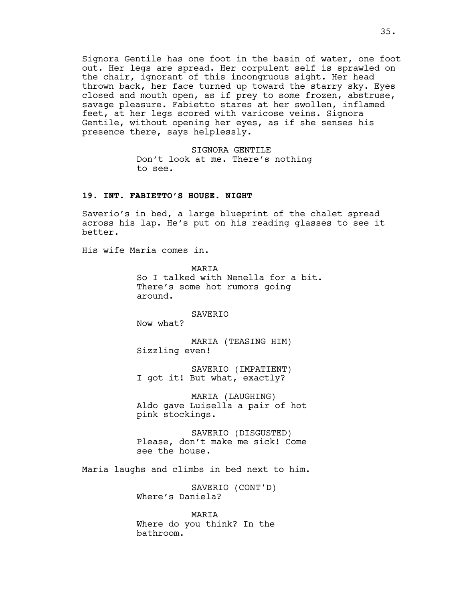Signora Gentile has one foot in the basin of water, one foot out. Her legs are spread. Her corpulent self is sprawled on the chair, ignorant of this incongruous sight. Her head thrown back, her face turned up toward the starry sky. Eyes closed and mouth open, as if prey to some frozen, abstruse, savage pleasure. Fabietto stares at her swollen, inflamed feet, at her legs scored with varicose veins. Signora Gentile, without opening her eyes, as if she senses his presence there, says helplessly.

> SIGNORA GENTILE Don't look at me. There's nothing to see.

### **19. INT. FABIETTO'S HOUSE. NIGHT**

Saverio's in bed, a large blueprint of the chalet spread across his lap. He's put on his reading glasses to see it better.

His wife Maria comes in.

MARIA So I talked with Nenella for a bit. There's some hot rumors going around.

SAVERIO

Now what?

MARIA (TEASING HIM) Sizzling even!

SAVERIO (IMPATIENT) I got it! But what, exactly?

MARIA (LAUGHING) Aldo gave Luisella a pair of hot pink stockings.

SAVERIO (DISGUSTED) Please, don't make me sick! Come see the house.

Maria laughs and climbs in bed next to him.

SAVERIO (CONT'D) Where's Daniela?

MARIA Where do you think? In the bathroom.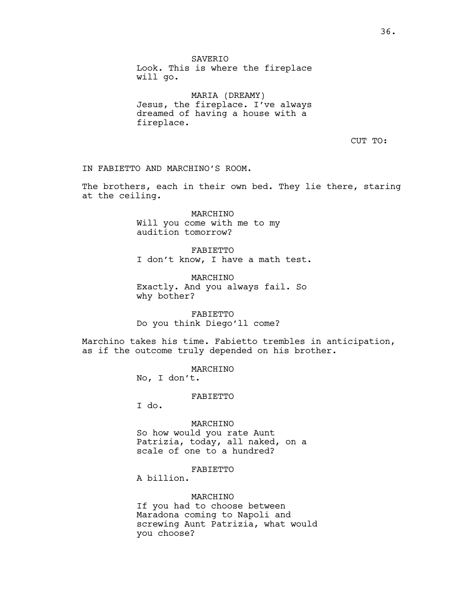SAVERIO Look. This is where the fireplace will go.

MARIA (DREAMY) Jesus, the fireplace. I've always dreamed of having a house with a fireplace.

CUT TO:

IN FABIETTO AND MARCHINO'S ROOM.

The brothers, each in their own bed. They lie there, staring at the ceiling.

> MARCHINO Will you come with me to my audition tomorrow?

FABIETTO I don't know, I have a math test.

MARCHINO Exactly. And you always fail. So why bother?

FABIETTO Do you think Diego'll come?

Marchino takes his time. Fabietto trembles in anticipation, as if the outcome truly depended on his brother.

> MARCHINO No, I don't.

> > FABIETTO

I do.

MARCHINO So how would you rate Aunt Patrizia, today, all naked, on a scale of one to a hundred?

FABIETTO

A billion.

MARCHINO If you had to choose between Maradona coming to Napoli and screwing Aunt Patrizia, what would you choose?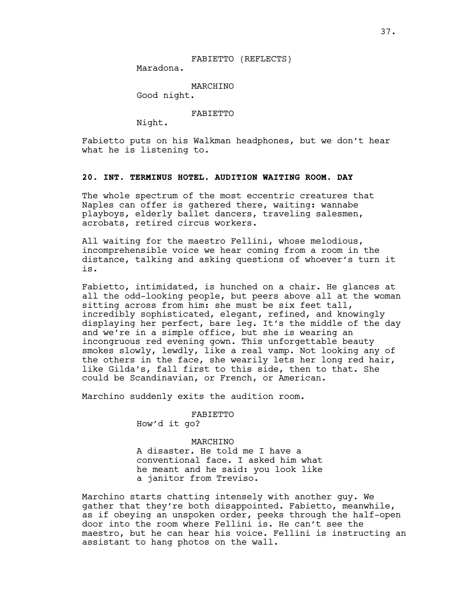## FABIETTO (REFLECTS)

Maradona.

MARCHINO

Good night.

FABIETTO

Night.

Fabietto puts on his Walkman headphones, but we don't hear what he is listening to.

# **20. INT. TERMINUS HOTEL. AUDITION WAITING ROOM. DAY**

The whole spectrum of the most eccentric creatures that Naples can offer is gathered there, waiting: wannabe playboys, elderly ballet dancers, traveling salesmen, acrobats, retired circus workers.

All waiting for the maestro Fellini, whose melodious, incomprehensible voice we hear coming from a room in the distance, talking and asking questions of whoever's turn it is.

Fabietto, intimidated, is hunched on a chair. He glances at all the odd-looking people, but peers above all at the woman sitting across from him: she must be six feet tall, incredibly sophisticated, elegant, refined, and knowingly displaying her perfect, bare leg. It's the middle of the day and we're in a simple office, but she is wearing an incongruous red evening gown. This unforgettable beauty smokes slowly, lewdly, like a real vamp. Not looking any of the others in the face, she wearily lets her long red hair, like Gilda's, fall first to this side, then to that. She could be Scandinavian, or French, or American.

Marchino suddenly exits the audition room.

FABIETTO

How'd it go?

MARCHINO A disaster. He told me I have a conventional face. I asked him what he meant and he said: you look like a janitor from Treviso.

Marchino starts chatting intensely with another guy. We gather that they're both disappointed. Fabietto, meanwhile, as if obeying an unspoken order, peeks through the half-open door into the room where Fellini is. He can't see the maestro, but he can hear his voice. Fellini is instructing an assistant to hang photos on the wall.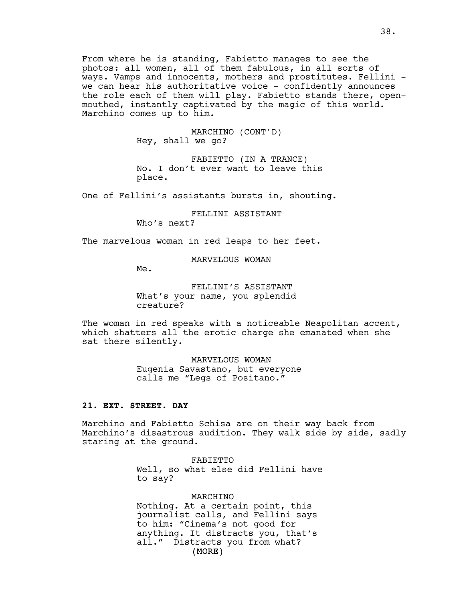From where he is standing, Fabietto manages to see the photos: all women, all of them fabulous, in all sorts of ways. Vamps and innocents, mothers and prostitutes. Fellini we can hear his authoritative voice - confidently announces the role each of them will play. Fabietto stands there, openmouthed, instantly captivated by the magic of this world. Marchino comes up to him.

> MARCHINO (CONT'D) Hey, shall we go?

FABIETTO (IN A TRANCE) No. I don't ever want to leave this place.

One of Fellini's assistants bursts in, shouting.

FELLINI ASSISTANT Who's next?

The marvelous woman in red leaps to her feet.

MARVELOUS WOMAN

Me.

FELLINI'S ASSISTANT What's your name, you splendid creature?

The woman in red speaks with a noticeable Neapolitan accent, which shatters all the erotic charge she emanated when she sat there silently.

> MARVELOUS WOMAN Eugenia Savastano, but everyone calls me "Legs of Positano."

# **21. EXT. STREET. DAY**

Marchino and Fabietto Schisa are on their way back from Marchino's disastrous audition. They walk side by side, sadly staring at the ground.

> FABIETTO Well, so what else did Fellini have to say?

(MORE) MARCHINO Nothing. At a certain point, this journalist calls, and Fellini says to him: "Cinema's not good for anything. It distracts you, that's all." Distracts you from what?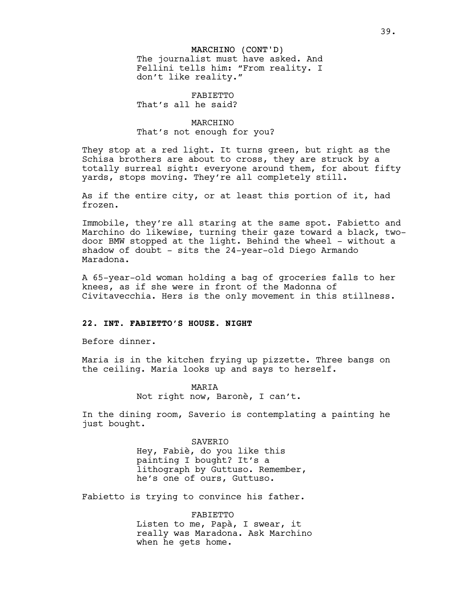#### MARCHINO (CONT'D)

The journalist must have asked. And Fellini tells him: "From reality. I don't like reality."

FABIETTO That's all he said?

# MARCHINO That's not enough for you?

They stop at a red light. It turns green, but right as the Schisa brothers are about to cross, they are struck by a totally surreal sight: everyone around them, for about fifty yards, stops moving. They're all completely still.

As if the entire city, or at least this portion of it, had frozen.

Immobile, they're all staring at the same spot. Fabietto and Marchino do likewise, turning their gaze toward a black, twodoor BMW stopped at the light. Behind the wheel - without a shadow of doubt - sits the 24-year-old Diego Armando Maradona.

A 65-year-old woman holding a bag of groceries falls to her knees, as if she were in front of the Madonna of Civitavecchia. Hers is the only movement in this stillness.

### **22. INT. FABIETTO'S HOUSE. NIGHT**

Before dinner.

Maria is in the kitchen frying up pizzette. Three bangs on the ceiling. Maria looks up and says to herself.

> MARIA Not right now, Baronè, I can't.

In the dining room, Saverio is contemplating a painting he just bought.

> SAVERIO Hey, Fabiè, do you like this painting I bought? It's a lithograph by Guttuso. Remember, he's one of ours, Guttuso.

Fabietto is trying to convince his father.

FABIETTO Listen to me, Papà, I swear, it really was Maradona. Ask Marchino when he gets home.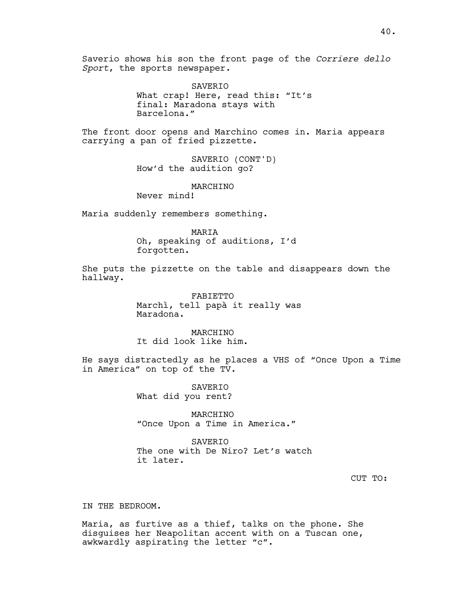Saverio shows his son the front page of the *Corriere dello Sport*, the sports newspaper.

> SAVERIO What crap! Here, read this: "It's final: Maradona stays with Barcelona."

The front door opens and Marchino comes in. Maria appears carrying a pan of fried pizzette.

> SAVERIO (CONT'D) How'd the audition go?

> > MARCHINO

Never mind!

Maria suddenly remembers something.

MARIA

Oh, speaking of auditions, I'd forgotten.

She puts the pizzette on the table and disappears down the hallway.

> FABIETTO Marchì, tell papà it really was Maradona.

MARCHINO It did look like him.

He says distractedly as he places a VHS of "Once Upon a Time in America" on top of the TV.

> SAVERIO What did you rent?

MARCHINO "Once Upon a Time in America."

SAVERIO The one with De Niro? Let's watch it later.

CUT TO:

IN THE BEDROOM.

Maria, as furtive as a thief, talks on the phone. She disguises her Neapolitan accent with on a Tuscan one, awkwardly aspirating the letter "c".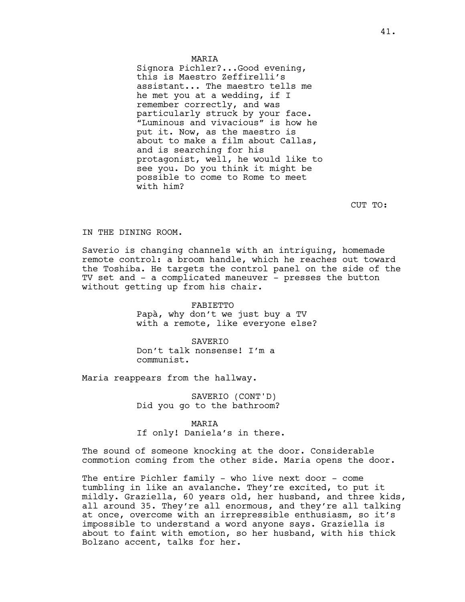Signora Pichler?...Good evening, this is Maestro Zeffirelli's assistant... The maestro tells me he met you at a wedding, if I remember correctly, and was particularly struck by your face. "Luminous and vivacious" is how he put it. Now, as the maestro is about to make a film about Callas, and is searching for his protagonist, well, he would like to see you. Do you think it might be possible to come to Rome to meet with him?

CUT TO:

### IN THE DINING ROOM.

Saverio is changing channels with an intriguing, homemade remote control: a broom handle, which he reaches out toward the Toshiba. He targets the control panel on the side of the TV set and - a complicated maneuver - presses the button without getting up from his chair.

> FABIETTO Papà, why don't we just buy a TV with a remote, like everyone else?

**SAVERTO** Don't talk nonsense! I'm a communist.

Maria reappears from the hallway.

SAVERIO (CONT'D) Did you go to the bathroom?

# MARIA

If only! Daniela's in there.

The sound of someone knocking at the door. Considerable commotion coming from the other side. Maria opens the door.

The entire Pichler family - who live next door - come tumbling in like an avalanche. They're excited, to put it mildly. Graziella, 60 years old, her husband, and three kids, all around 35. They're all enormous, and they're all talking at once, overcome with an irrepressible enthusiasm, so it's impossible to understand a word anyone says. Graziella is about to faint with emotion, so her husband, with his thick Bolzano accent, talks for her.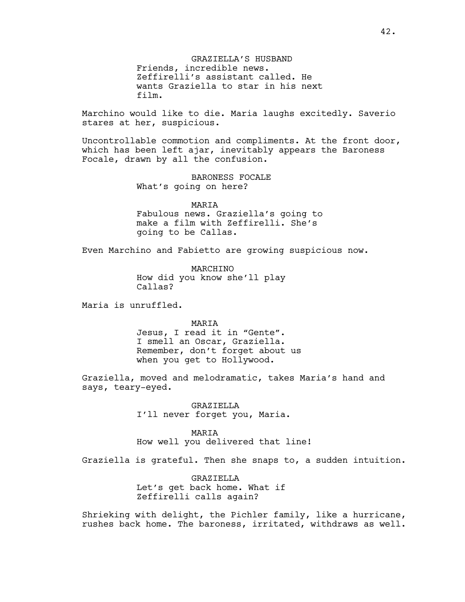GRAZIELLA'S HUSBAND Friends, incredible news. Zeffirelli's assistant called. He wants Graziella to star in his next film.

Marchino would like to die. Maria laughs excitedly. Saverio stares at her, suspicious.

Uncontrollable commotion and compliments. At the front door, which has been left ajar, inevitably appears the Baroness Focale, drawn by all the confusion.

> BARONESS FOCALE What's going on here?

MARIA Fabulous news. Graziella's going to make a film with Zeffirelli. She's going to be Callas.

Even Marchino and Fabietto are growing suspicious now.

MARCHINO How did you know she'll play Callas?

Maria is unruffled.

MARIA

Jesus, I read it in "Gente". I smell an Oscar, Graziella. Remember, don't forget about us when you get to Hollywood.

Graziella, moved and melodramatic, takes Maria's hand and says, teary-eyed.

> GRAZIELLA I'll never forget you, Maria.

MARIA How well you delivered that line!

Graziella is grateful. Then she snaps to, a sudden intuition.

GRAZIELLA Let's get back home. What if Zeffirelli calls again?

Shrieking with delight, the Pichler family, like a hurricane, rushes back home. The baroness, irritated, withdraws as well.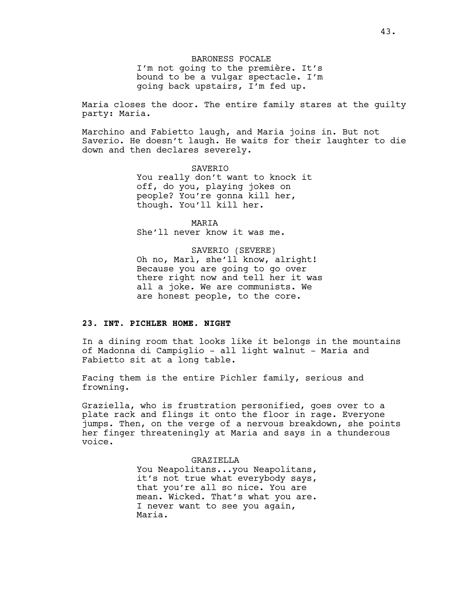BARONESS FOCALE I'm not going to the première. It's bound to be a vulgar spectacle. I'm going back upstairs, I'm fed up.

Maria closes the door. The entire family stares at the guilty party: Maria.

Marchino and Fabietto laugh, and Maria joins in. But not Saverio. He doesn't laugh. He waits for their laughter to die down and then declares severely.

> SAVERIO You really don't want to knock it off, do you, playing jokes on people? You're gonna kill her, though. You'll kill her.

MARIA She'll never know it was me.

SAVERIO (SEVERE) Oh no, Marì, she'll know, alright! Because you are going to go over there right now and tell her it was all a joke. We are communists. We are honest people, to the core.

#### **23. INT. PICHLER HOME. NIGHT**

In a dining room that looks like it belongs in the mountains of Madonna di Campiglio - all light walnut - Maria and Fabietto sit at a long table.

Facing them is the entire Pichler family, serious and frowning.

Graziella, who is frustration personified, goes over to a plate rack and flings it onto the floor in rage. Everyone jumps. Then, on the verge of a nervous breakdown, she points her finger threateningly at Maria and says in a thunderous voice.

### GRAZIELLA

You Neapolitans...you Neapolitans, it's not true what everybody says, that you're all so nice. You are mean. Wicked. That's what you are. I never want to see you again, Maria.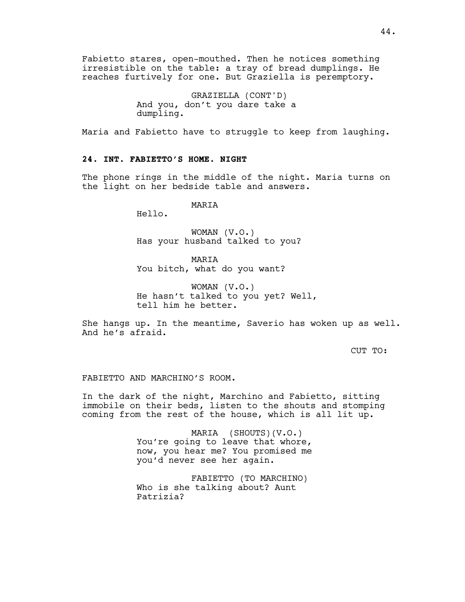Fabietto stares, open-mouthed. Then he notices something irresistible on the table: a tray of bread dumplings. He reaches furtively for one. But Graziella is peremptory.

> GRAZIELLA (CONT'D) And you, don't you dare take a dumpling.

Maria and Fabietto have to struggle to keep from laughing.

# **24. INT. FABIETTO'S HOME. NIGHT**

The phone rings in the middle of the night. Maria turns on the light on her bedside table and answers.

## MARIA

Hello.

WOMAN (V.O.) Has your husband talked to you?

**MARTA** You bitch, what do you want?

WOMAN (V.O.) He hasn't talked to you yet? Well, tell him he better.

She hangs up. In the meantime, Saverio has woken up as well. And he's afraid.

CUT TO:

### FABIETTO AND MARCHINO'S ROOM.

In the dark of the night, Marchino and Fabietto, sitting immobile on their beds, listen to the shouts and stomping coming from the rest of the house, which is all lit up.

> MARIA (SHOUTS)(V.O.) You're going to leave that whore, now, you hear me? You promised me you'd never see her again.

FABIETTO (TO MARCHINO) Who is she talking about? Aunt Patrizia?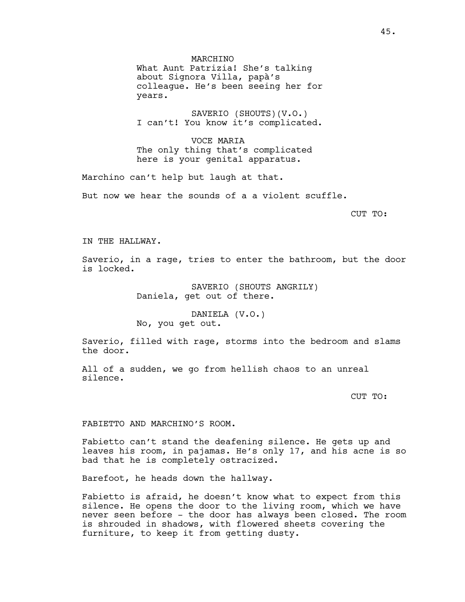MARCHINO What Aunt Patrizia! She's talking about Signora Villa, papà's colleague. He's been seeing her for years.

SAVERIO (SHOUTS)(V.O.) I can't! You know it's complicated.

VOCE MARIA The only thing that's complicated here is your genital apparatus.

Marchino can't help but laugh at that.

But now we hear the sounds of a a violent scuffle.

CUT TO:

IN THE HALLWAY.

Saverio, in a rage, tries to enter the bathroom, but the door is locked.

> SAVERIO (SHOUTS ANGRILY) Daniela, get out of there.

DANIELA (V.O.) No, you get out.

Saverio, filled with rage, storms into the bedroom and slams the door.

All of a sudden, we go from hellish chaos to an unreal silence.

CUT TO:

FABIETTO AND MARCHINO'S ROOM.

Fabietto can't stand the deafening silence. He gets up and leaves his room, in pajamas. He's only 17, and his acne is so bad that he is completely ostracized.

Barefoot, he heads down the hallway.

Fabietto is afraid, he doesn't know what to expect from this silence. He opens the door to the living room, which we have never seen before - the door has always been closed. The room is shrouded in shadows, with flowered sheets covering the furniture, to keep it from getting dusty.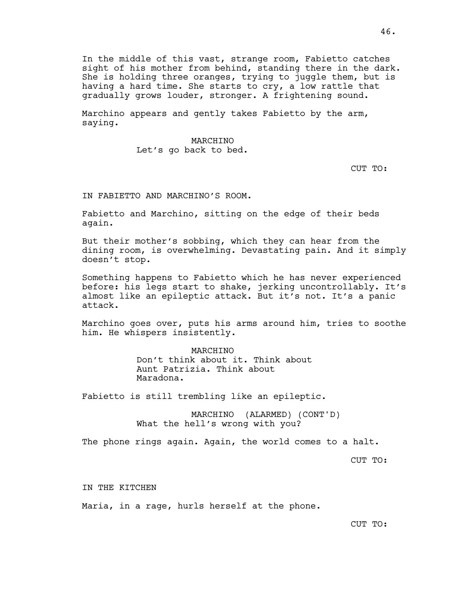In the middle of this vast, strange room, Fabietto catches sight of his mother from behind, standing there in the dark. She is holding three oranges, trying to juggle them, but is having a hard time. She starts to cry, a low rattle that gradually grows louder, stronger. A frightening sound.

Marchino appears and gently takes Fabietto by the arm, saying.

## MARCHINO Let's go back to bed.

CUT TO:

IN FABIETTO AND MARCHINO'S ROOM.

Fabietto and Marchino, sitting on the edge of their beds again.

But their mother's sobbing, which they can hear from the dining room, is overwhelming. Devastating pain. And it simply doesn't stop.

Something happens to Fabietto which he has never experienced before: his legs start to shake, jerking uncontrollably. It's almost like an epileptic attack. But it's not. It's a panic attack.

Marchino goes over, puts his arms around him, tries to soothe him. He whispers insistently.

# MARCHINO Don't think about it. Think about Aunt Patrizia. Think about Maradona.

Fabietto is still trembling like an epileptic.

MARCHINO (ALARMED) (CONT'D) What the hell's wrong with you?

The phone rings again. Again, the world comes to a halt.

CUT TO:

IN THE KITCHEN

Maria, in a rage, hurls herself at the phone.

CUT TO: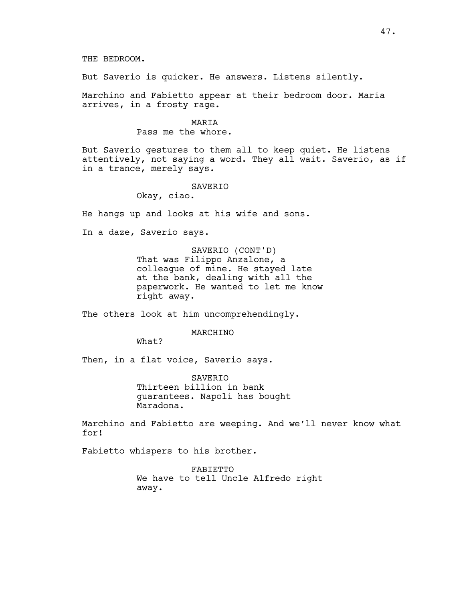THE BEDROOM.

But Saverio is quicker. He answers. Listens silently.

Marchino and Fabietto appear at their bedroom door. Maria arrives, in a frosty rage.

MARIA

Pass me the whore.

But Saverio gestures to them all to keep quiet. He listens attentively, not saying a word. They all wait. Saverio, as if in a trance, merely says.

SAVERIO

Okay, ciao.

He hangs up and looks at his wife and sons.

In a daze, Saverio says.

SAVERIO (CONT'D) That was Filippo Anzalone, a colleague of mine. He stayed late at the bank, dealing with all the paperwork. He wanted to let me know right away.

The others look at him uncomprehendingly.

### MARCHINO

What?

Then, in a flat voice, Saverio says.

**SAVERTO** Thirteen billion in bank guarantees. Napoli has bought Maradona.

Marchino and Fabietto are weeping. And we'll never know what for!

Fabietto whispers to his brother.

FABIETTO We have to tell Uncle Alfredo right away.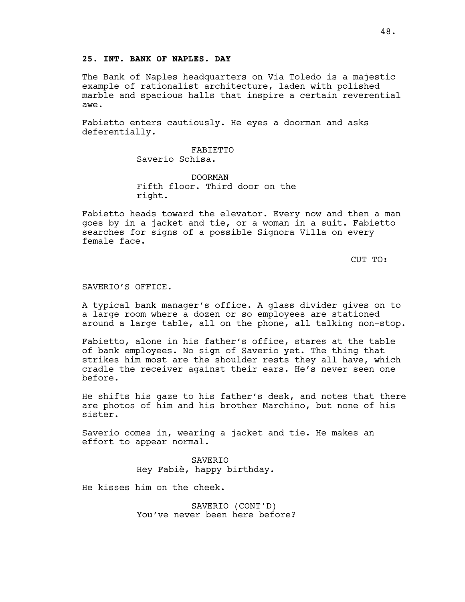# **25. INT. BANK OF NAPLES. DAY**

The Bank of Naples headquarters on Via Toledo is a majestic example of rationalist architecture, laden with polished marble and spacious halls that inspire a certain reverential awe.

Fabietto enters cautiously. He eyes a doorman and asks deferentially.

> FABIETTO Saverio Schisa.

DOORMAN Fifth floor. Third door on the right.

Fabietto heads toward the elevator. Every now and then a man goes by in a jacket and tie, or a woman in a suit. Fabietto searches for signs of a possible Signora Villa on every female face.

CUT TO:

#### SAVERIO'S OFFICE.

A typical bank manager's office. A glass divider gives on to a large room where a dozen or so employees are stationed around a large table, all on the phone, all talking non-stop.

Fabietto, alone in his father's office, stares at the table of bank employees. No sign of Saverio yet. The thing that strikes him most are the shoulder rests they all have, which cradle the receiver against their ears. He's never seen one before.

He shifts his gaze to his father's desk, and notes that there are photos of him and his brother Marchino, but none of his sister.

Saverio comes in, wearing a jacket and tie. He makes an effort to appear normal.

> SAVERIO Hey Fabiè, happy birthday.

He kisses him on the cheek.

SAVERIO (CONT'D) You've never been here before?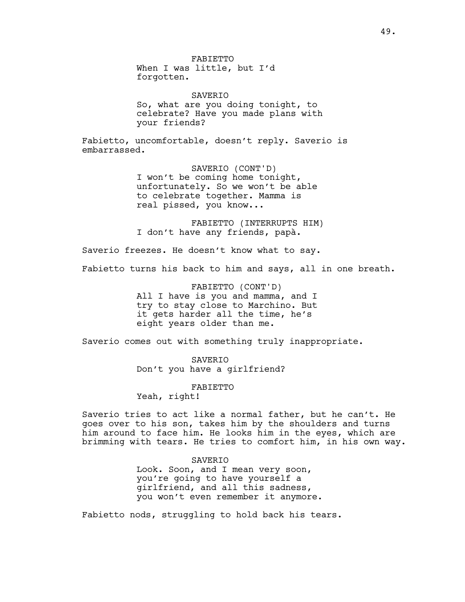FABIETTO When I was little, but I'd forgotten.

SAVERIO So, what are you doing tonight, to celebrate? Have you made plans with your friends?

Fabietto, uncomfortable, doesn't reply. Saverio is embarrassed.

> SAVERIO (CONT'D) I won't be coming home tonight, unfortunately. So we won't be able to celebrate together. Mamma is real pissed, you know...

FABIETTO (INTERRUPTS HIM) I don't have any friends, papà.

Saverio freezes. He doesn't know what to say.

Fabietto turns his back to him and says, all in one breath.

FABIETTO (CONT'D) All I have is you and mamma, and I try to stay close to Marchino. But it gets harder all the time, he's eight years older than me.

Saverio comes out with something truly inappropriate.

SAVERIO Don't you have a girlfriend?

FABIETTO

Yeah, right!

Saverio tries to act like a normal father, but he can't. He goes over to his son, takes him by the shoulders and turns him around to face him. He looks him in the eyes, which are brimming with tears. He tries to comfort him, in his own way.

SAVERIO

Look. Soon, and I mean very soon, you're going to have yourself a girlfriend, and all this sadness, you won't even remember it anymore.

Fabietto nods, struggling to hold back his tears.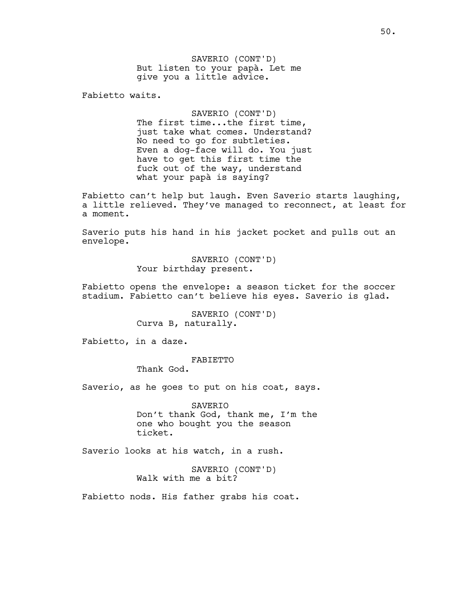SAVERIO (CONT'D) But listen to your papà. Let me give you a little advice.

Fabietto waits.

SAVERIO (CONT'D) The first time...the first time, just take what comes. Understand? No need to go for subtleties. Even a dog-face will do. You just have to get this first time the fuck out of the way, understand what your papà is saying?

Fabietto can't help but laugh. Even Saverio starts laughing, a little relieved. They've managed to reconnect, at least for a moment.

Saverio puts his hand in his jacket pocket and pulls out an envelope.

> SAVERIO (CONT'D) Your birthday present.

Fabietto opens the envelope: a season ticket for the soccer stadium. Fabietto can't believe his eyes. Saverio is glad.

> SAVERIO (CONT'D) Curva B, naturally.

Fabietto, in a daze.

FABIETTO

Thank God.

Saverio, as he goes to put on his coat, says.

SAVERIO Don't thank God, thank me, I'm the one who bought you the season ticket.

Saverio looks at his watch, in a rush.

SAVERIO (CONT'D) Walk with me a bit?

Fabietto nods. His father grabs his coat.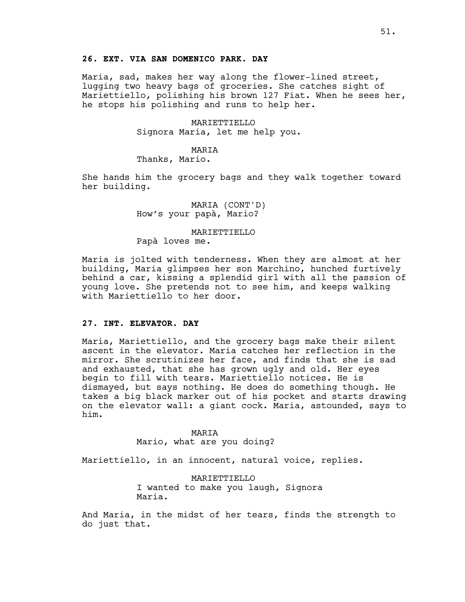# **26. EXT. VIA SAN DOMENICO PARK. DAY**

Maria, sad, makes her way along the flower-lined street, lugging two heavy bags of groceries. She catches sight of Mariettiello, polishing his brown 127 Fiat. When he sees her, he stops his polishing and runs to help her.

> MARIETTIELLO Signora Maria, let me help you.

### MARIA

Thanks, Mario.

She hands him the grocery bags and they walk together toward her building.

> MARIA (CONT'D) How's your papà, Mario?

### MARIETTIELLO

Papà loves me.

Maria is jolted with tenderness. When they are almost at her building, Maria glimpses her son Marchino, hunched furtively behind a car, kissing a splendid girl with all the passion of young love. She pretends not to see him, and keeps walking with Mariettiello to her door.

### **27. INT. ELEVATOR. DAY**

Maria, Mariettiello, and the grocery bags make their silent ascent in the elevator. Maria catches her reflection in the mirror. She scrutinizes her face, and finds that she is sad and exhausted, that she has grown ugly and old. Her eyes begin to fill with tears. Mariettiello notices. He is dismayed, but says nothing. He does do something though. He takes a big black marker out of his pocket and starts drawing on the elevator wall: a giant cock. Maria, astounded, says to him.

> MARIA Mario, what are you doing?

Mariettiello, in an innocent, natural voice, replies.

MARIETTIELLO I wanted to make you laugh, Signora Maria.

And Maria, in the midst of her tears, finds the strength to do just that.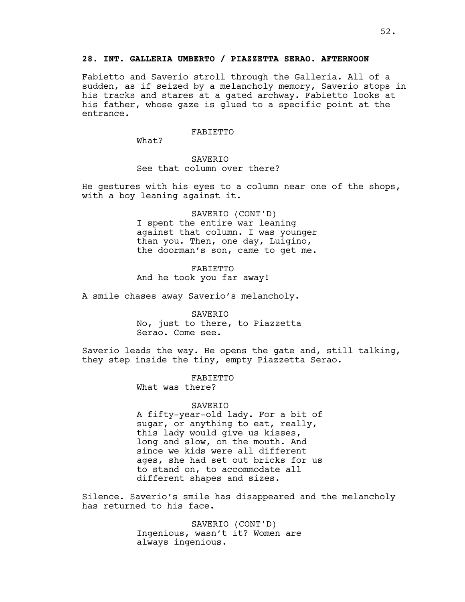## **28. INT. GALLERIA UMBERTO / PIAZZETTA SERAO. AFTERNOON**

Fabietto and Saverio stroll through the Galleria. All of a sudden, as if seized by a melancholy memory, Saverio stops in his tracks and stares at a gated archway. Fabietto looks at his father, whose gaze is glued to a specific point at the entrance.

### FABIETTO

What?

# **SAVERTO** See that column over there?

He gestures with his eyes to a column near one of the shops, with a boy leaning against it.

> SAVERIO (CONT'D) I spent the entire war leaning against that column. I was younger than you. Then, one day, Luigino, the doorman's son, came to get me.

FABIETTO And he took you far away!

A smile chases away Saverio's melancholy.

SAVERIO No, just to there, to Piazzetta Serao. Come see.

Saverio leads the way. He opens the gate and, still talking, they step inside the tiny, empty Piazzetta Serao.

> FABIETTO What was there?

#### SAVERIO

A fifty-year-old lady. For a bit of sugar, or anything to eat, really, this lady would give us kisses, long and slow, on the mouth. And since we kids were all different ages, she had set out bricks for us to stand on, to accommodate all different shapes and sizes.

Silence. Saverio's smile has disappeared and the melancholy has returned to his face.

> SAVERIO (CONT'D) Ingenious, wasn't it? Women are always ingenious.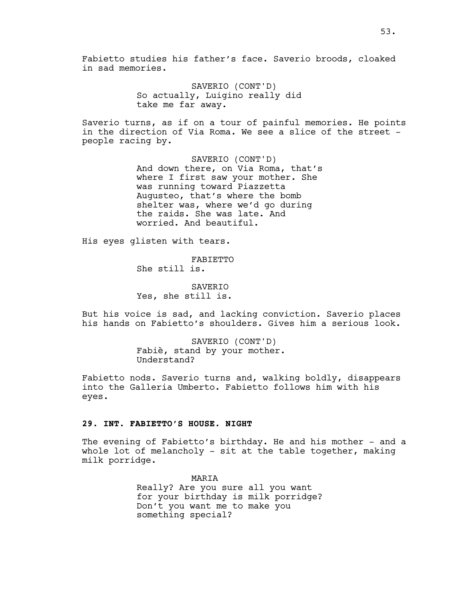Fabietto studies his father's face. Saverio broods, cloaked in sad memories.

> SAVERIO (CONT'D) So actually, Luigino really did take me far away.

Saverio turns, as if on a tour of painful memories. He points in the direction of Via Roma. We see a slice of the street people racing by.

> SAVERIO (CONT'D) And down there, on Via Roma, that's where I first saw your mother. She was running toward Piazzetta Augusteo, that's where the bomb shelter was, where we'd go during the raids. She was late. And worried. And beautiful.

His eyes glisten with tears.

FABIETTO She still is.

SAVERIO Yes, she still is.

But his voice is sad, and lacking conviction. Saverio places his hands on Fabietto's shoulders. Gives him a serious look.

> SAVERIO (CONT'D) Fabiè, stand by your mother. Understand?

Fabietto nods. Saverio turns and, walking boldly, disappears into the Galleria Umberto. Fabietto follows him with his eyes.

### **29. INT. FABIETTO'S HOUSE. NIGHT**

The evening of Fabietto's birthday. He and his mother - and a whole lot of melancholy - sit at the table together, making milk porridge.

> MARIA Really? Are you sure all you want for your birthday is milk porridge? Don't you want me to make you something special?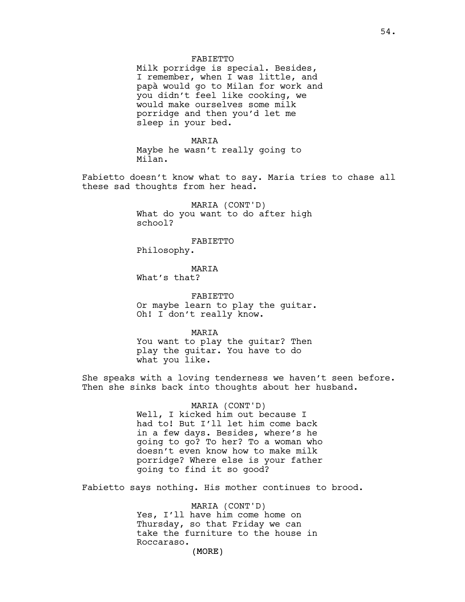### FABIETTO

Milk porridge is special. Besides, I remember, when I was little, and papà would go to Milan for work and you didn't feel like cooking, we would make ourselves some milk porridge and then you'd let me sleep in your bed.

MARIA Maybe he wasn't really going to Milan.

Fabietto doesn't know what to say. Maria tries to chase all these sad thoughts from her head.

> MARIA (CONT'D) What do you want to do after high school?

#### FABIETTO

Philosophy.

### MARIA

What's that?

FABIETTO Or maybe learn to play the guitar. Oh! I don't really know.

MARIA

You want to play the guitar? Then play the guitar. You have to do what you like.

She speaks with a loving tenderness we haven't seen before. Then she sinks back into thoughts about her husband.

> MARIA (CONT'D) Well, I kicked him out because I had to! But I'll let him come back in a few days. Besides, where's he going to go? To her? To a woman who doesn't even know how to make milk porridge? Where else is your father going to find it so good?

Fabietto says nothing. His mother continues to brood.

MARIA (CONT'D) Yes, I'll have him come home on Thursday, so that Friday we can take the furniture to the house in Roccaraso.

(MORE)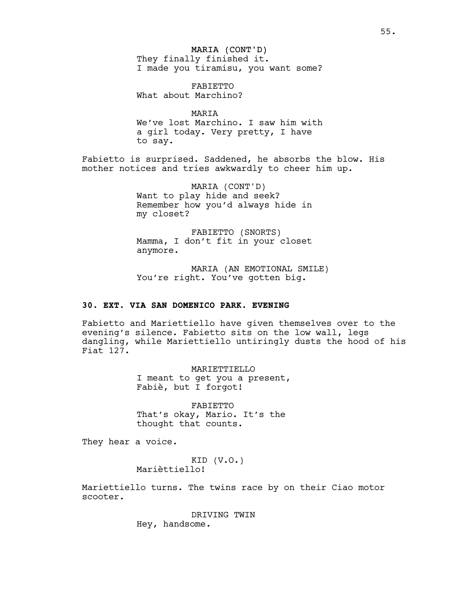MARIA (CONT'D) They finally finished it. I made you tiramisu, you want some?

FABIETTO What about Marchino?

MARIA We've lost Marchino. I saw him with a girl today. Very pretty, I have to say.

Fabietto is surprised. Saddened, he absorbs the blow. His mother notices and tries awkwardly to cheer him up.

> MARIA (CONT'D) Want to play hide and seek? Remember how you'd always hide in my closet?

> FABIETTO (SNORTS) Mamma, I don't fit in your closet anymore.

MARIA (AN EMOTIONAL SMILE) You're right. You've gotten big.

# **30. EXT. VIA SAN DOMENICO PARK. EVENING**

Fabietto and Mariettiello have given themselves over to the evening's silence. Fabietto sits on the low wall, legs dangling, while Mariettiello untiringly dusts the hood of his Fiat 127.

> MARIETTIELLO I meant to get you a present, Fabiè, but I forgot!

FABIETTO That's okay, Mario. It's the thought that counts.

They hear a voice.

KID (V.O.) Marièttiello!

Mariettiello turns. The twins race by on their Ciao motor scooter.

> DRIVING TWIN Hey, handsome.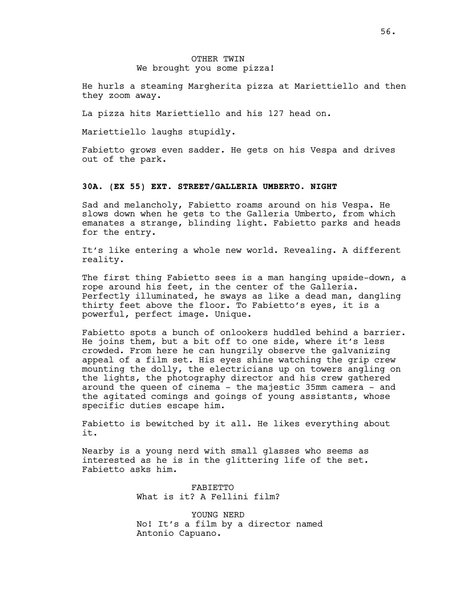## OTHER TWIN We brought you some pizza!

He hurls a steaming Margherita pizza at Mariettiello and then they zoom away.

La pizza hits Mariettiello and his 127 head on.

Mariettiello laughs stupidly.

Fabietto grows even sadder. He gets on his Vespa and drives out of the park.

#### **30A. (EX 55) EXT. STREET/GALLERIA UMBERTO. NIGHT**

Sad and melancholy, Fabietto roams around on his Vespa. He slows down when he gets to the Galleria Umberto, from which emanates a strange, blinding light. Fabietto parks and heads for the entry.

It's like entering a whole new world. Revealing. A different reality.

The first thing Fabietto sees is a man hanging upside-down, a rope around his feet, in the center of the Galleria. Perfectly illuminated, he sways as like a dead man, dangling thirty feet above the floor. To Fabietto's eyes, it is a powerful, perfect image. Unique.

Fabietto spots a bunch of onlookers huddled behind a barrier. He joins them, but a bit off to one side, where it's less crowded. From here he can hungrily observe the galvanizing appeal of a film set. His eyes shine watching the grip crew mounting the dolly, the electricians up on towers angling on the lights, the photography director and his crew gathered around the queen of cinema - the majestic 35mm camera - and the agitated comings and goings of young assistants, whose specific duties escape him.

Fabietto is bewitched by it all. He likes everything about it.

Nearby is a young nerd with small glasses who seems as interested as he is in the glittering life of the set. Fabietto asks him.

> FABIETTO What is it? A Fellini film?

YOUNG NERD No! It's a film by a director named Antonio Capuano.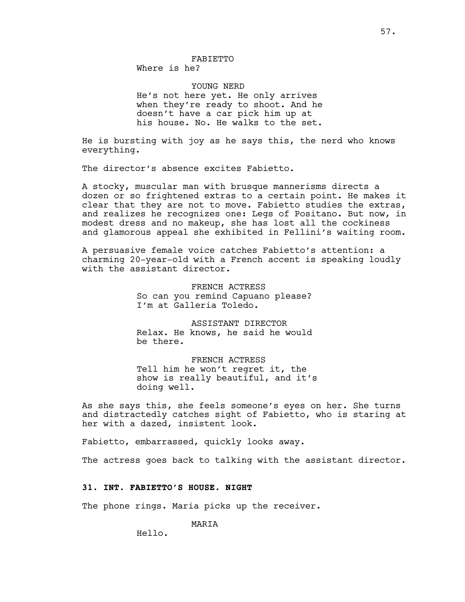Where is he?

YOUNG NERD He's not here yet. He only arrives when they're ready to shoot. And he doesn't have a car pick him up at his house. No. He walks to the set.

He is bursting with joy as he says this, the nerd who knows everything.

The director's absence excites Fabietto.

A stocky, muscular man with brusque mannerisms directs a dozen or so frightened extras to a certain point. He makes it clear that they are not to move. Fabietto studies the extras, and realizes he recognizes one: Legs of Positano. But now, in modest dress and no makeup, she has lost all the cockiness and glamorous appeal she exhibited in Fellini's waiting room.

A persuasive female voice catches Fabietto's attention: a charming 20-year-old with a French accent is speaking loudly with the assistant director.

> FRENCH ACTRESS So can you remind Capuano please? I'm at Galleria Toledo.

> ASSISTANT DIRECTOR Relax. He knows, he said he would be there.

FRENCH ACTRESS Tell him he won't regret it, the show is really beautiful, and it's doing well.

As she says this, she feels someone's eyes on her. She turns and distractedly catches sight of Fabietto, who is staring at her with a dazed, insistent look.

Fabietto, embarrassed, quickly looks away.

The actress goes back to talking with the assistant director.

### **31. INT. FABIETTO'S HOUSE. NIGHT**

The phone rings. Maria picks up the receiver.

MARIA

Hello.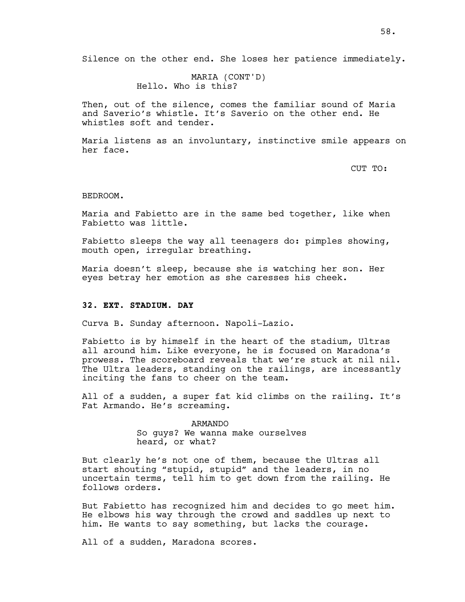MARIA (CONT'D) Hello. Who is this?

Then, out of the silence, comes the familiar sound of Maria and Saverio's whistle. It's Saverio on the other end. He whistles soft and tender.

Maria listens as an involuntary, instinctive smile appears on her face.

CUT TO:

### BEDROOM.

Maria and Fabietto are in the same bed together, like when Fabietto was little.

Fabietto sleeps the way all teenagers do: pimples showing, mouth open, irregular breathing.

Maria doesn't sleep, because she is watching her son. Her eyes betray her emotion as she caresses his cheek.

# **32. EXT. STADIUM. DAY**

Curva B. Sunday afternoon. Napoli-Lazio.

Fabietto is by himself in the heart of the stadium, Ultras all around him. Like everyone, he is focused on Maradona's prowess. The scoreboard reveals that we're stuck at nil nil. The Ultra leaders, standing on the railings, are incessantly inciting the fans to cheer on the team.

All of a sudden, a super fat kid climbs on the railing. It's Fat Armando. He's screaming.

> ARMANDO So guys? We wanna make ourselves heard, or what?

But clearly he's not one of them, because the Ultras all start shouting "stupid, stupid" and the leaders, in no uncertain terms, tell him to get down from the railing. He follows orders.

But Fabietto has recognized him and decides to go meet him. He elbows his way through the crowd and saddles up next to him. He wants to say something, but lacks the courage.

All of a sudden, Maradona scores.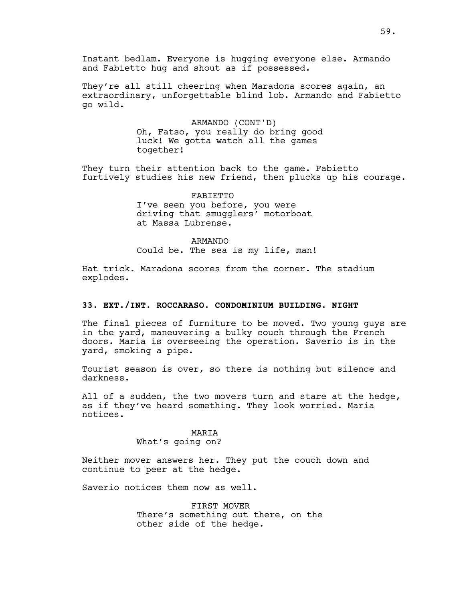Instant bedlam. Everyone is hugging everyone else. Armando and Fabietto hug and shout as if possessed.

They're all still cheering when Maradona scores again, an extraordinary, unforgettable blind lob. Armando and Fabietto go wild.

> ARMANDO (CONT'D) Oh, Fatso, you really do bring good luck! We gotta watch all the games together!

They turn their attention back to the game. Fabietto furtively studies his new friend, then plucks up his courage.

> FABIETTO I've seen you before, you were driving that smugglers' motorboat at Massa Lubrense.

ARMANDO Could be. The sea is my life, man!

Hat trick. Maradona scores from the corner. The stadium explodes.

# **33. EXT./INT. ROCCARASO. CONDOMINIUM BUILDING. NIGHT**

The final pieces of furniture to be moved. Two young guys are in the yard, maneuvering a bulky couch through the French doors. Maria is overseeing the operation. Saverio is in the yard, smoking a pipe.

Tourist season is over, so there is nothing but silence and darkness.

All of a sudden, the two movers turn and stare at the hedge, as if they've heard something. They look worried. Maria notices.

## MARIA

# What's going on?

Neither mover answers her. They put the couch down and continue to peer at the hedge.

Saverio notices them now as well.

FIRST MOVER There's something out there, on the other side of the hedge.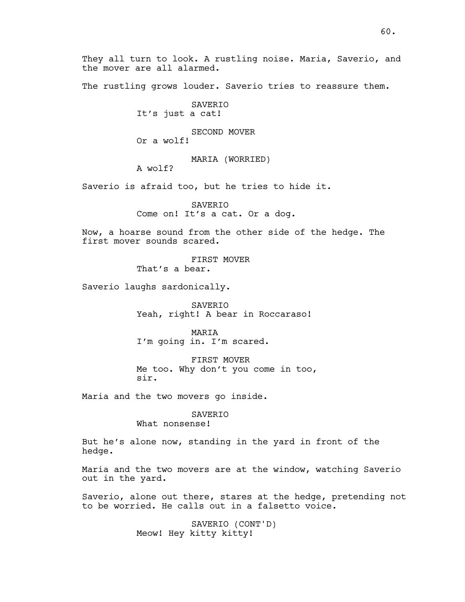60.

They all turn to look. A rustling noise. Maria, Saverio, and the mover are all alarmed.

The rustling grows louder. Saverio tries to reassure them.

SAVERIO It's just a cat!

SECOND MOVER Or a wolf!

MARIA (WORRIED)

A wolf?

Saverio is afraid too, but he tries to hide it.

SAVERIO Come on! It's a cat. Or a dog.

Now, a hoarse sound from the other side of the hedge. The first mover sounds scared.

> FIRST MOVER That's a bear.

Saverio laughs sardonically.

SAVERIO Yeah, right! A bear in Roccaraso!

MARIA I'm going in. I'm scared.

FIRST MOVER Me too. Why don't you come in too, sir.

Maria and the two movers go inside.

SAVERIO What nonsense!

But he's alone now, standing in the yard in front of the hedge.

Maria and the two movers are at the window, watching Saverio out in the yard.

Saverio, alone out there, stares at the hedge, pretending not to be worried. He calls out in a falsetto voice.

> SAVERIO (CONT'D) Meow! Hey kitty kitty!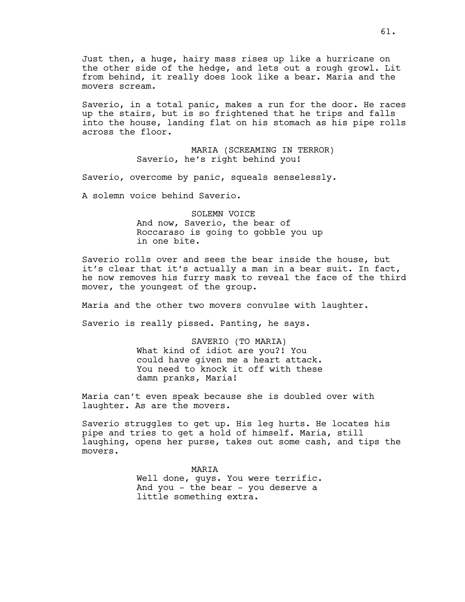Just then, a huge, hairy mass rises up like a hurricane on the other side of the hedge, and lets out a rough growl. Lit from behind, it really does look like a bear. Maria and the movers scream.

Saverio, in a total panic, makes a run for the door. He races up the stairs, but is so frightened that he trips and falls into the house, landing flat on his stomach as his pipe rolls across the floor.

> MARIA (SCREAMING IN TERROR) Saverio, he's right behind you!

Saverio, overcome by panic, squeals senselessly.

A solemn voice behind Saverio.

SOLEMN VOICE And now, Saverio, the bear of Roccaraso is going to gobble you up in one bite.

Saverio rolls over and sees the bear inside the house, but it's clear that it's actually a man in a bear suit. In fact, he now removes his furry mask to reveal the face of the third mover, the youngest of the group.

Maria and the other two movers convulse with laughter.

Saverio is really pissed. Panting, he says.

SAVERIO (TO MARIA) What kind of idiot are you?! You could have given me a heart attack. You need to knock it off with these damn pranks, Maria!

Maria can't even speak because she is doubled over with laughter. As are the movers.

Saverio struggles to get up. His leg hurts. He locates his pipe and tries to get a hold of himself. Maria, still laughing, opens her purse, takes out some cash, and tips the movers.

> MARIA Well done, guys. You were terrific. And you - the bear - you deserve a little something extra.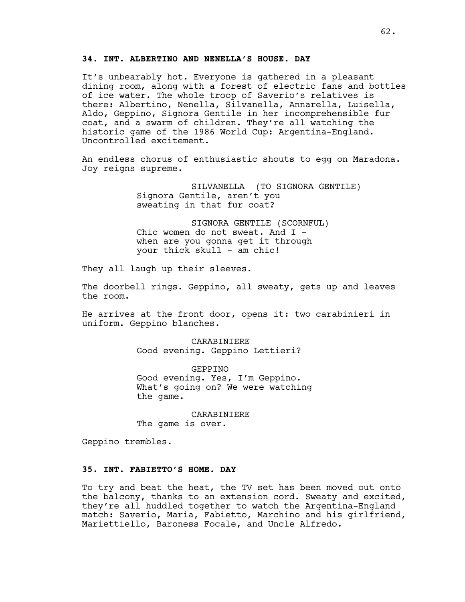# **34. INT. ALBERTINO AND NENELLA'S HOUSE. DAY**

It's unbearably hot. Everyone is gathered in a pleasant dining room, along with a forest of electric fans and bottles of ice water. The whole troop of Saverio's relatives is there: Albertino, Nenella, Silvanella, Annarella, Luisella, Aldo, Geppino, Signora Gentile in her incomprehensible fur coat, and a swarm of children. They're all watching the historic game of the 1986 World Cup: Argentina-England. Uncontrolled excitement.

An endless chorus of enthusiastic shouts to egg on Maradona. Joy reigns supreme.

> SILVANELLA (TO SIGNORA GENTILE) Signora Gentile, aren't you sweating in that fur coat?

SIGNORA GENTILE (SCORNFUL) Chic women do not sweat. And I when are you gonna get it through your thick skull - am chic!

They all laugh up their sleeves.

The doorbell rings. Geppino, all sweaty, gets up and leaves the room.

He arrives at the front door, opens it: two carabinieri in uniform. Geppino blanches.

> CARABINIERE Good evening. Geppino Lettieri?

GEPPINO Good evening. Yes, I'm Geppino. What's going on? We were watching the game.

CARABINIERE The game is over.

Geppino trembles.

## **35. INT. FABIETTO'S HOME. DAY**

To try and beat the heat, the TV set has been moved out onto the balcony, thanks to an extension cord. Sweaty and excited, they're all huddled together to watch the Argentina-England match: Saverio, Maria, Fabietto, Marchino and his girlfriend, Mariettiello, Baroness Focale, and Uncle Alfredo.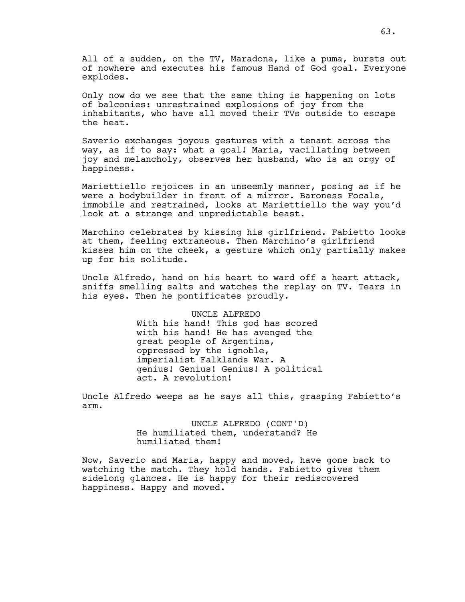All of a sudden, on the TV, Maradona, like a puma, bursts out of nowhere and executes his famous Hand of God goal. Everyone explodes.

Only now do we see that the same thing is happening on lots of balconies: unrestrained explosions of joy from the inhabitants, who have all moved their TVs outside to escape the heat.

Saverio exchanges joyous gestures with a tenant across the way, as if to say: what a goal! Maria, vacillating between joy and melancholy, observes her husband, who is an orgy of happiness.

Mariettiello rejoices in an unseemly manner, posing as if he were a bodybuilder in front of a mirror. Baroness Focale, immobile and restrained, looks at Mariettiello the way you'd look at a strange and unpredictable beast.

Marchino celebrates by kissing his girlfriend. Fabietto looks at them, feeling extraneous. Then Marchino's girlfriend kisses him on the cheek, a gesture which only partially makes up for his solitude.

Uncle Alfredo, hand on his heart to ward off a heart attack, sniffs smelling salts and watches the replay on TV. Tears in his eyes. Then he pontificates proudly.

> UNCLE ALFREDO With his hand! This god has scored with his hand! He has avenged the great people of Argentina, oppressed by the ignoble, imperialist Falklands War. A genius! Genius! Genius! A political act. A revolution!

Uncle Alfredo weeps as he says all this, grasping Fabietto's arm.

> UNCLE ALFREDO (CONT'D) He humiliated them, understand? He humiliated them!

Now, Saverio and Maria, happy and moved, have gone back to watching the match. They hold hands. Fabietto gives them sidelong glances. He is happy for their rediscovered happiness. Happy and moved.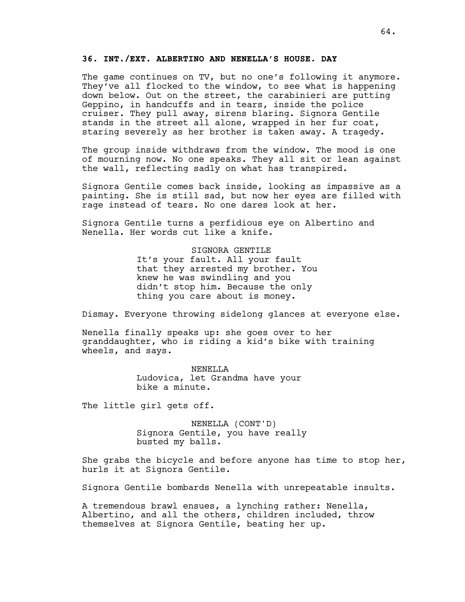# **36. INT./EXT. ALBERTINO AND NENELLA'S HOUSE. DAY**

The game continues on TV, but no one's following it anymore. They've all flocked to the window, to see what is happening down below. Out on the street, the carabinieri are putting Geppino, in handcuffs and in tears, inside the police cruiser. They pull away, sirens blaring. Signora Gentile stands in the street all alone, wrapped in her fur coat, staring severely as her brother is taken away. A tragedy.

The group inside withdraws from the window. The mood is one of mourning now. No one speaks. They all sit or lean against the wall, reflecting sadly on what has transpired.

Signora Gentile comes back inside, looking as impassive as a painting. She is still sad, but now her eyes are filled with rage instead of tears. No one dares look at her.

Signora Gentile turns a perfidious eye on Albertino and Nenella. Her words cut like a knife.

SIGNORA GENTILE

It's your fault. All your fault that they arrested my brother. You knew he was swindling and you didn't stop him. Because the only thing you care about is money.

Dismay. Everyone throwing sidelong glances at everyone else.

Nenella finally speaks up: she goes over to her granddaughter, who is riding a kid's bike with training wheels, and says.

> NENELLA Ludovica, let Grandma have your bike a minute.

The little girl gets off.

NENELLA (CONT'D) Signora Gentile, you have really busted my balls.

She grabs the bicycle and before anyone has time to stop her, hurls it at Signora Gentile.

Signora Gentile bombards Nenella with unrepeatable insults.

A tremendous brawl ensues, a lynching rather: Nenella, Albertino, and all the others, children included, throw themselves at Signora Gentile, beating her up.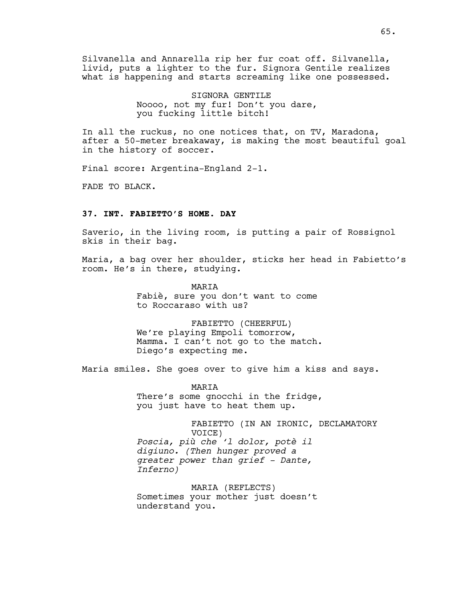Silvanella and Annarella rip her fur coat off. Silvanella, livid, puts a lighter to the fur. Signora Gentile realizes what is happening and starts screaming like one possessed.

> SIGNORA GENTILE Noooo, not my fur! Don't you dare, you fucking little bitch!

In all the ruckus, no one notices that, on TV, Maradona, after a 50-meter breakaway, is making the most beautiful goal in the history of soccer.

Final score: Argentina-England 2-1.

FADE TO BLACK.

# **37. INT. FABIETTO'S HOME. DAY**

Saverio, in the living room, is putting a pair of Rossignol skis in their bag.

Maria, a bag over her shoulder, sticks her head in Fabietto's room. He's in there, studying.

> MARIA Fabiè, sure you don't want to come to Roccaraso with us?

FABIETTO (CHEERFUL) We're playing Empoli tomorrow, Mamma. I can't not go to the match. Diego's expecting me.

Maria smiles. She goes over to give him a kiss and says.

MARIA There's some gnocchi in the fridge, you just have to heat them up.

FABIETTO (IN AN IRONIC, DECLAMATORY VOICE) *Poscia, più che 'l dolor, potè il digiuno. (Then hunger proved a greater power than grief - Dante, Inferno)*

MARIA (REFLECTS) Sometimes your mother just doesn't understand you.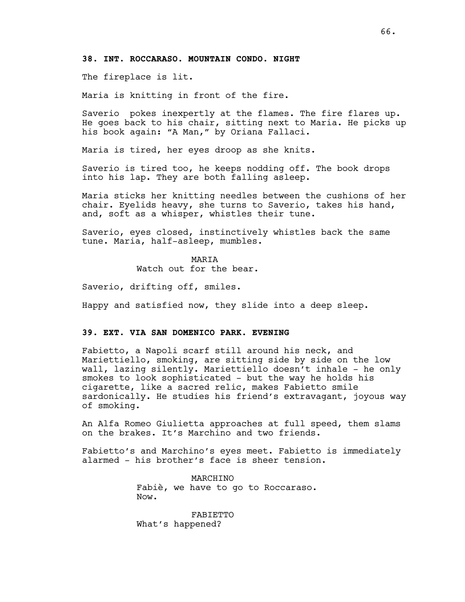# **38. INT. ROCCARASO. MOUNTAIN CONDO. NIGHT**

The fireplace is lit.

Maria is knitting in front of the fire.

Saverio pokes inexpertly at the flames. The fire flares up. He goes back to his chair, sitting next to Maria. He picks up his book again: "A Man," by Oriana Fallaci.

Maria is tired, her eyes droop as she knits.

Saverio is tired too, he keeps nodding off. The book drops into his lap. They are both falling asleep.

Maria sticks her knitting needles between the cushions of her chair. Eyelids heavy, she turns to Saverio, takes his hand, and, soft as a whisper, whistles their tune.

Saverio, eyes closed, instinctively whistles back the same tune. Maria, half-asleep, mumbles.

**MARTA** 

Watch out for the bear.

Saverio, drifting off, smiles.

Happy and satisfied now, they slide into a deep sleep.

## **39. EXT. VIA SAN DOMENICO PARK. EVENING**

Fabietto, a Napoli scarf still around his neck, and Mariettiello, smoking, are sitting side by side on the low wall, lazing silently. Mariettiello doesn't inhale - he only smokes to look sophisticated - but the way he holds his cigarette, like a sacred relic, makes Fabietto smile sardonically. He studies his friend's extravagant, joyous way of smoking.

An Alfa Romeo Giulietta approaches at full speed, them slams on the brakes. It's Marchino and two friends.

Fabietto's and Marchino's eyes meet. Fabietto is immediately alarmed - his brother's face is sheer tension.

> MARCHINO Fabiè, we have to go to Roccaraso. Now.

FABIETTO What's happened?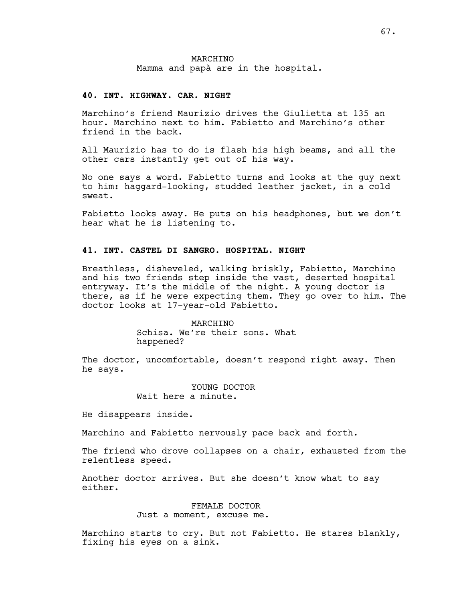### **40. INT. HIGHWAY. CAR. NIGHT**

Marchino's friend Maurizio drives the Giulietta at 135 an hour. Marchino next to him. Fabietto and Marchino's other friend in the back.

All Maurizio has to do is flash his high beams, and all the other cars instantly get out of his way.

No one says a word. Fabietto turns and looks at the guy next to him: haggard-looking, studded leather jacket, in a cold sweat.

Fabietto looks away. He puts on his headphones, but we don't hear what he is listening to.

# **41. INT. CASTEL DI SANGRO. HOSPITAL. NIGHT**

Breathless, disheveled, walking briskly, Fabietto, Marchino and his two friends step inside the vast, deserted hospital entryway. It's the middle of the night. A young doctor is there, as if he were expecting them. They go over to him. The doctor looks at 17-year-old Fabietto.

#### MARCHINO

Schisa. We're their sons. What happened?

The doctor, uncomfortable, doesn't respond right away. Then he says.

### YOUNG DOCTOR Wait here a minute.

He disappears inside.

Marchino and Fabietto nervously pace back and forth.

The friend who drove collapses on a chair, exhausted from the relentless speed.

Another doctor arrives. But she doesn't know what to say either.

> FEMALE DOCTOR Just a moment, excuse me.

Marchino starts to cry. But not Fabietto. He stares blankly, fixing his eyes on a sink.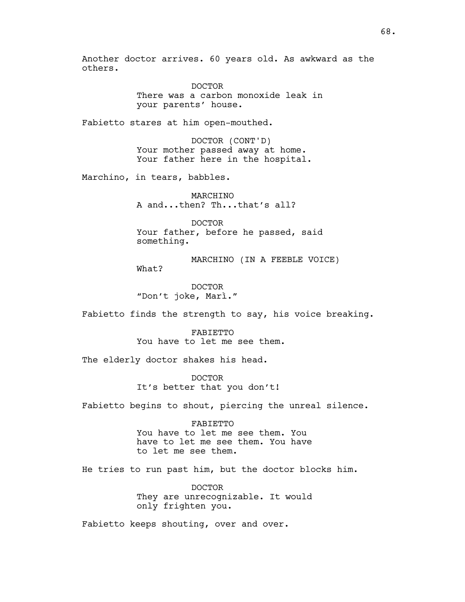Another doctor arrives. 60 years old. As awkward as the others.

> DOCTOR There was a carbon monoxide leak in your parents' house.

Fabietto stares at him open-mouthed.

DOCTOR (CONT'D) Your mother passed away at home. Your father here in the hospital.

Marchino, in tears, babbles.

MARCHINO A and...then? Th...that's all?

DOCTOR Your father, before he passed, said something.

MARCHINO (IN A FEEBLE VOICE) What?

DOCTOR "Don't joke, Marì."

Fabietto finds the strength to say, his voice breaking.

FABIETTO You have to let me see them.

The elderly doctor shakes his head.

DOCTOR It's better that you don't!

Fabietto begins to shout, piercing the unreal silence.

FABIETTO You have to let me see them. You have to let me see them. You have to let me see them.

He tries to run past him, but the doctor blocks him.

DOCTOR They are unrecognizable. It would only frighten you.

Fabietto keeps shouting, over and over.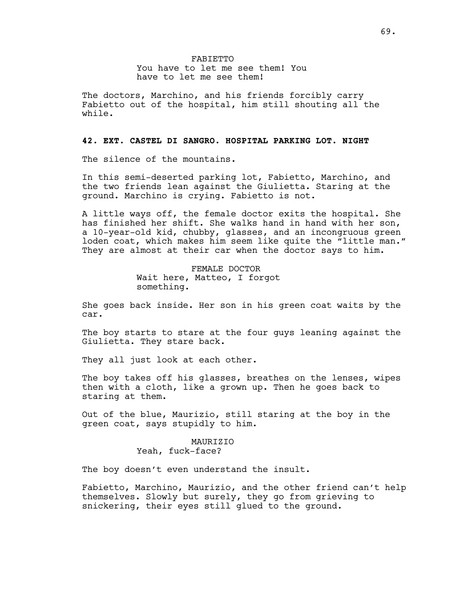The doctors, Marchino, and his friends forcibly carry Fabietto out of the hospital, him still shouting all the while.

### **42. EXT. CASTEL DI SANGRO. HOSPITAL PARKING LOT. NIGHT**

The silence of the mountains.

In this semi-deserted parking lot, Fabietto, Marchino, and the two friends lean against the Giulietta. Staring at the ground. Marchino is crying. Fabietto is not.

A little ways off, the female doctor exits the hospital. She has finished her shift. She walks hand in hand with her son, a 10-year-old kid, chubby, glasses, and an incongruous green loden coat, which makes him seem like quite the "little man." They are almost at their car when the doctor says to him.

> FEMALE DOCTOR Wait here, Matteo, I forgot something.

She goes back inside. Her son in his green coat waits by the car.

The boy starts to stare at the four guys leaning against the Giulietta. They stare back.

They all just look at each other.

The boy takes off his glasses, breathes on the lenses, wipes then with a cloth, like a grown up. Then he goes back to staring at them.

Out of the blue, Maurizio, still staring at the boy in the green coat, says stupidly to him.

> MAURIZIO Yeah, fuck-face?

The boy doesn't even understand the insult.

Fabietto, Marchino, Maurizio, and the other friend can't help themselves. Slowly but surely, they go from grieving to snickering, their eyes still glued to the ground.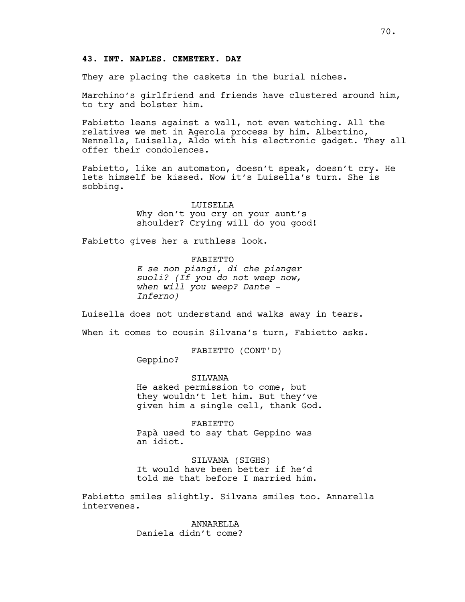# **43. INT. NAPLES. CEMETERY. DAY**

They are placing the caskets in the burial niches.

Marchino's girlfriend and friends have clustered around him, to try and bolster him.

Fabietto leans against a wall, not even watching. All the relatives we met in Agerola process by him. Albertino, Nennella, Luisella, Aldo with his electronic gadget. They all offer their condolences.

Fabietto, like an automaton, doesn't speak, doesn't cry. He lets himself be kissed. Now it's Luisella's turn. She is sobbing.

> LUISELLA Why don't you cry on your aunt's shoulder? Crying will do you good!

Fabietto gives her a ruthless look.

FABIETTO *E se non piangi, di che pianger suoli? (If you do not weep now, when will you weep? Dante - Inferno)*

Luisella does not understand and walks away in tears.

When it comes to cousin Silvana's turn, Fabietto asks.

FABIETTO (CONT'D)

Geppino?

**STIVANA** He asked permission to come, but they wouldn't let him. But they've given him a single cell, thank God.

FABIETTO Papà used to say that Geppino was an idiot.

SILVANA (SIGHS) It would have been better if he'd told me that before I married him.

Fabietto smiles slightly. Silvana smiles too. Annarella intervenes.

> ANNARELLA Daniela didn't come?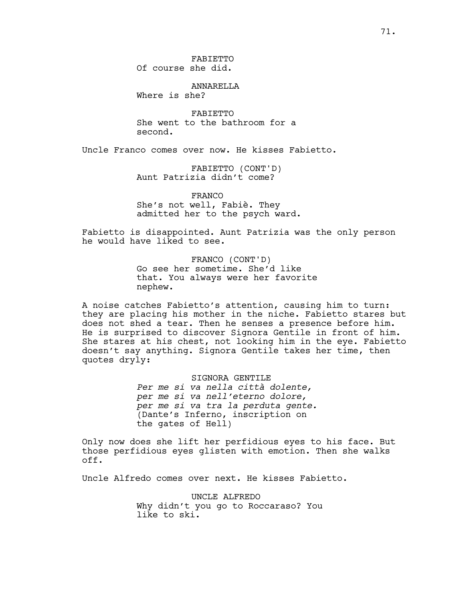ANNARELLA Where is she?

FABIETTO She went to the bathroom for a second.

Uncle Franco comes over now. He kisses Fabietto.

FABIETTO (CONT'D) Aunt Patrizia didn't come?

FRANCO She's not well, Fabiè. They admitted her to the psych ward.

Fabietto is disappointed. Aunt Patrizia was the only person he would have liked to see.

> FRANCO (CONT'D) Go see her sometime. She'd like that. You always were her favorite nephew.

A noise catches Fabietto's attention, causing him to turn: they are placing his mother in the niche. Fabietto stares but does not shed a tear. Then he senses a presence before him. He is surprised to discover Signora Gentile in front of him. She stares at his chest, not looking him in the eye. Fabietto doesn't say anything. Signora Gentile takes her time, then quotes dryly:

> SIGNORA GENTILE *Per me si va nella città dolente, per me si va nell'eterno dolore, per me si va tra la perduta gente.* (Dante's Inferno, inscription on the gates of Hell)

Only now does she lift her perfidious eyes to his face. But those perfidious eyes glisten with emotion. Then she walks off.

Uncle Alfredo comes over next. He kisses Fabietto.

UNCLE ALFREDO Why didn't you go to Roccaraso? You like to ski.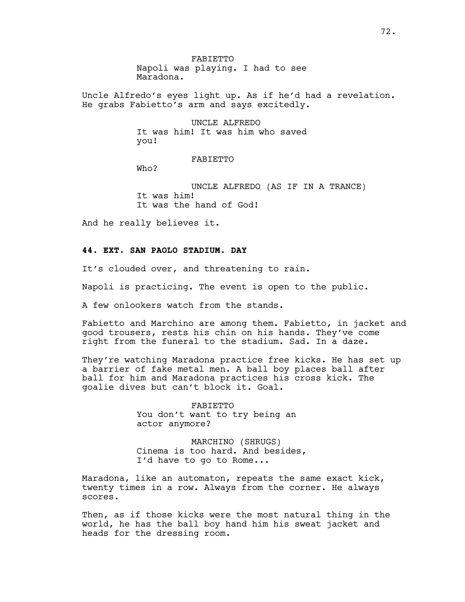FABIETTO Napoli was playing. I had to see Maradona.

Uncle Alfredo's eyes light up. As if he'd had a revelation. He grabs Fabietto's arm and says excitedly.

> UNCLE ALFREDO It was him! It was him who saved you!

> > FABIETTO

Who?

UNCLE ALFREDO (AS IF IN A TRANCE) It was him! It was the hand of God!

And he really believes it.

## **44. EXT. SAN PAOLO STADIUM. DAY**

It's clouded over, and threatening to rain.

Napoli is practicing. The event is open to the public.

A few onlookers watch from the stands.

Fabietto and Marchino are among them. Fabietto, in jacket and good trousers, rests his chin on his hands. They've come right from the funeral to the stadium. Sad. In a daze.

They're watching Maradona practice free kicks. He has set up a barrier of fake metal men. A ball boy places ball after ball for him and Maradona practices his cross kick. The goalie dives but can't block it. Goal.

> FABIETTO You don't want to try being an actor anymore?

MARCHINO (SHRUGS) Cinema is too hard. And besides, I'd have to go to Rome...

Maradona, like an automaton, repeats the same exact kick, twenty times in a row. Always from the corner. He always scores.

Then, as if those kicks were the most natural thing in the world, he has the ball boy hand him his sweat jacket and heads for the dressing room.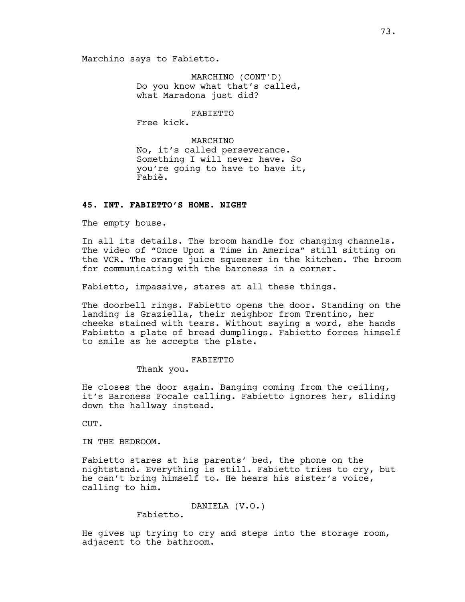MARCHINO (CONT'D) Do you know what that's called, what Maradona just did?

FABIETTO

Free kick.

MARCHINO No, it's called perseverance. Something I will never have. So you're going to have to have it, Fabiè.

### **45. INT. FABIETTO'S HOME. NIGHT**

The empty house.

In all its details. The broom handle for changing channels. The video of "Once Upon a Time in America" still sitting on the VCR. The orange juice squeezer in the kitchen. The broom for communicating with the baroness in a corner.

Fabietto, impassive, stares at all these things.

The doorbell rings. Fabietto opens the door. Standing on the landing is Graziella, their neighbor from Trentino, her cheeks stained with tears. Without saying a word, she hands Fabietto a plate of bread dumplings. Fabietto forces himself to smile as he accepts the plate.

#### FABIETTO

Thank you.

He closes the door again. Banging coming from the ceiling, it's Baroness Focale calling. Fabietto ignores her, sliding down the hallway instead.

CUT.

IN THE BEDROOM.

Fabietto stares at his parents' bed, the phone on the nightstand. Everything is still. Fabietto tries to cry, but he can't bring himself to. He hears his sister's voice, calling to him.

DANIELA (V.O.)

Fabietto.

He gives up trying to cry and steps into the storage room, adjacent to the bathroom.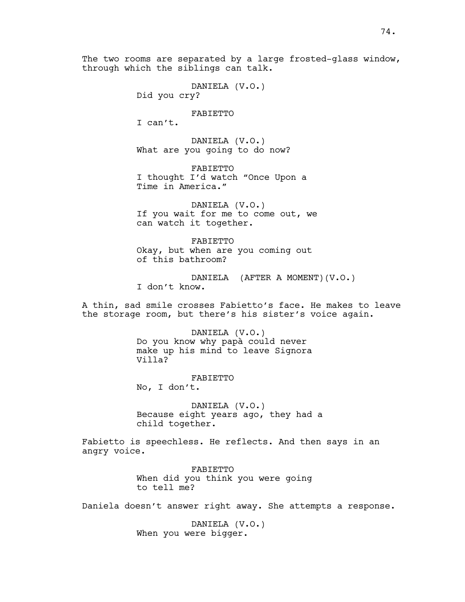The two rooms are separated by a large frosted-glass window, through which the siblings can talk.

```
DANIELA (V.O.)
Did you cry?
```
FABIETTO

I can't.

DANIELA (V.O.) What are you going to do now?

FABIETTO I thought I'd watch "Once Upon a Time in America."

DANIELA (V.O.) If you wait for me to come out, we can watch it together.

FABIETTO Okay, but when are you coming out of this bathroom?

DANIELA (AFTER A MOMENT)(V.O.) I don't know.

A thin, sad smile crosses Fabietto's face. He makes to leave the storage room, but there's his sister's voice again.

> DANIELA (V.O.) Do you know why papà could never make up his mind to leave Signora Villa?

FABIETTO No, I don't.

DANIELA (V.O.) Because eight years ago, they had a child together.

Fabietto is speechless. He reflects. And then says in an angry voice.

> FABIETTO When did you think you were going to tell me?

Daniela doesn't answer right away. She attempts a response.

DANIELA (V.O.) When you were bigger.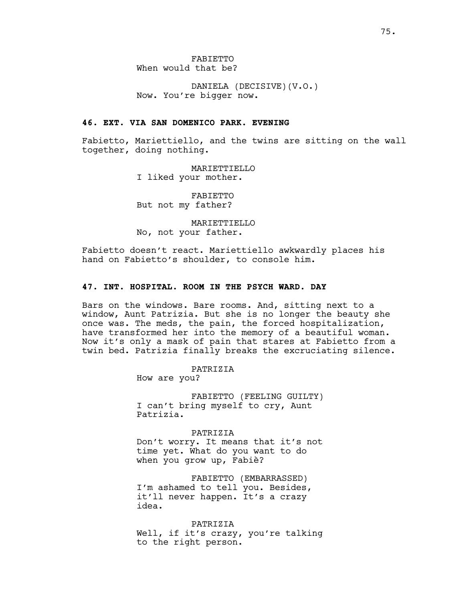DANIELA (DECISIVE)(V.O.) Now. You're bigger now.

#### **46. EXT. VIA SAN DOMENICO PARK. EVENING**

Fabietto, Mariettiello, and the twins are sitting on the wall together, doing nothing.

> MARIETTIELLO I liked your mother.

FABIETTO But not my father?

MARIETTIELLO No, not your father.

Fabietto doesn't react. Mariettiello awkwardly places his hand on Fabietto's shoulder, to console him.

### **47. INT. HOSPITAL. ROOM IN THE PSYCH WARD. DAY**

Bars on the windows. Bare rooms. And, sitting next to a window, Aunt Patrizia. But she is no longer the beauty she once was. The meds, the pain, the forced hospitalization, have transformed her into the memory of a beautiful woman. Now it's only a mask of pain that stares at Fabietto from a twin bed. Patrizia finally breaks the excruciating silence.

PATRIZIA

How are you?

FABIETTO (FEELING GUILTY) I can't bring myself to cry, Aunt Patrizia.

PATRIZIA Don't worry. It means that it's not time yet. What do you want to do when you grow up, Fabiè?

FABIETTO (EMBARRASSED) I'm ashamed to tell you. Besides, it'll never happen. It's a crazy idea.

PATRIZIA Well, if it's crazy, you're talking to the right person.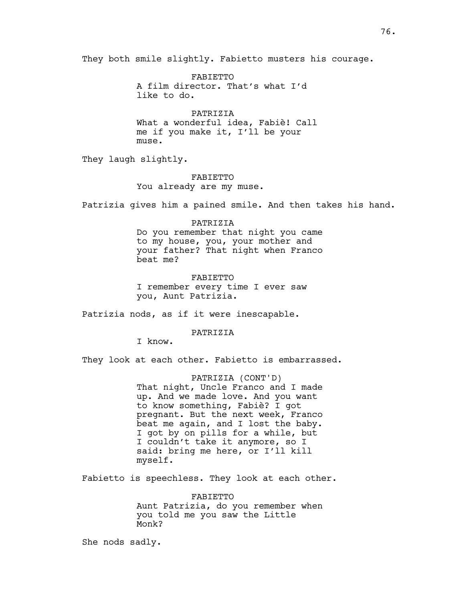They both smile slightly. Fabietto musters his courage.

FABIETTO A film director. That's what I'd like to do.

PATRIZIA What a wonderful idea, Fabiè! Call me if you make it, I'll be your muse.

They laugh slightly.

FABIETTO You already are my muse.

Patrizia gives him a pained smile. And then takes his hand.

PATRIZIA Do you remember that night you came to my house, you, your mother and your father? That night when Franco beat me?

FABIETTO I remember every time I ever saw you, Aunt Patrizia.

Patrizia nods, as if it were inescapable.

#### PATRIZIA

I know.

They look at each other. Fabietto is embarrassed.

PATRIZIA (CONT'D) That night, Uncle Franco and I made up. And we made love. And you want to know something, Fabiè? I got pregnant. But the next week, Franco beat me again, and I lost the baby. I got by on pills for a while, but I couldn't take it anymore, so I said: bring me here, or I'll kill myself.

Fabietto is speechless. They look at each other.

FABIETTO Aunt Patrizia, do you remember when you told me you saw the Little Monk?

She nods sadly.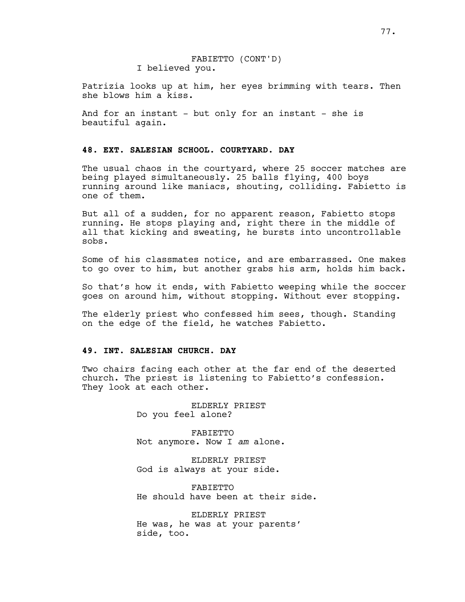Patrizia looks up at him, her eyes brimming with tears. Then she blows him a kiss.

And for an instant - but only for an instant - she is beautiful again.

## **48. EXT. SALESIAN SCHOOL. COURTYARD. DAY**

The usual chaos in the courtyard, where 25 soccer matches are being played simultaneously. 25 balls flying, 400 boys running around like maniacs, shouting, colliding. Fabietto is one of them.

But all of a sudden, for no apparent reason, Fabietto stops running. He stops playing and, right there in the middle of all that kicking and sweating, he bursts into uncontrollable sobs.

Some of his classmates notice, and are embarrassed. One makes to go over to him, but another grabs his arm, holds him back.

So that's how it ends, with Fabietto weeping while the soccer goes on around him, without stopping. Without ever stopping.

The elderly priest who confessed him sees, though. Standing on the edge of the field, he watches Fabietto.

## **49. INT. SALESIAN CHURCH. DAY**

Two chairs facing each other at the far end of the deserted church. The priest is listening to Fabietto's confession. They look at each other.

> ELDERLY PRIEST Do you feel alone?

FABIETTO Not anymore. Now I *am* alone.

ELDERLY PRIEST God is always at your side.

FABIETTO He should have been at their side.

ELDERLY PRIEST He was, he was at your parents' side, too.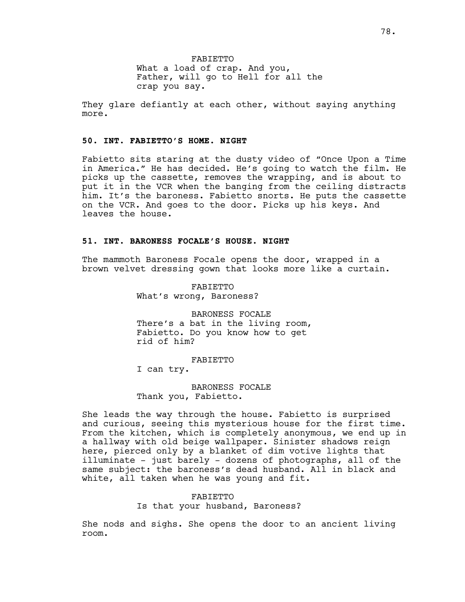They glare defiantly at each other, without saying anything more.

#### **50. INT. FABIETTO'S HOME. NIGHT**

Fabietto sits staring at the dusty video of "Once Upon a Time in America." He has decided. He's going to watch the film. He picks up the cassette, removes the wrapping, and is about to put it in the VCR when the banging from the ceiling distracts him. It's the baroness. Fabietto snorts. He puts the cassette on the VCR. And goes to the door. Picks up his keys. And leaves the house.

#### **51. INT. BARONESS FOCALE'S HOUSE. NIGHT**

The mammoth Baroness Focale opens the door, wrapped in a brown velvet dressing gown that looks more like a curtain.

> FABIETTO What's wrong, Baroness?

BARONESS FOCALE There's a bat in the living room, Fabietto. Do you know how to get rid of him?

FABIETTO

I can try.

BARONESS FOCALE Thank you, Fabietto.

She leads the way through the house. Fabietto is surprised and curious, seeing this mysterious house for the first time. From the kitchen, which is completely anonymous, we end up in a hallway with old beige wallpaper. Sinister shadows reign here, pierced only by a blanket of dim votive lights that illuminate - just barely - dozens of photographs, all of the same subject: the baroness's dead husband. All in black and white, all taken when he was young and fit.

## FABIETTO Is that your husband, Baroness?

She nods and sighs. She opens the door to an ancient living room.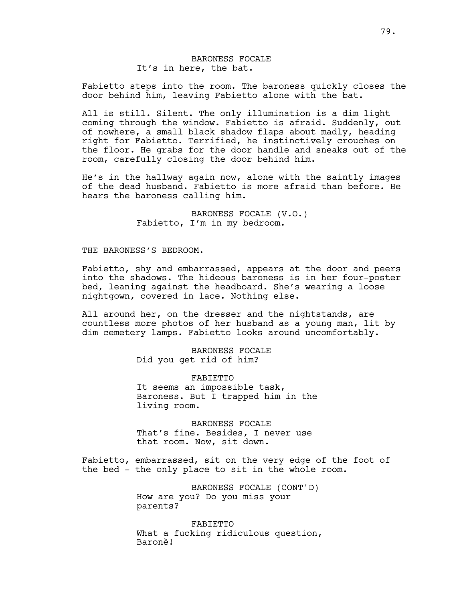## BARONESS FOCALE It's in here, the bat.

Fabietto steps into the room. The baroness quickly closes the door behind him, leaving Fabietto alone with the bat.

All is still. Silent. The only illumination is a dim light coming through the window. Fabietto is afraid. Suddenly, out of nowhere, a small black shadow flaps about madly, heading right for Fabietto. Terrified, he instinctively crouches on the floor. He grabs for the door handle and sneaks out of the room, carefully closing the door behind him.

He's in the hallway again now, alone with the saintly images of the dead husband. Fabietto is more afraid than before. He hears the baroness calling him.

> BARONESS FOCALE (V.O.) Fabietto, I'm in my bedroom.

#### THE BARONESS'S BEDROOM.

Fabietto, shy and embarrassed, appears at the door and peers into the shadows. The hideous baroness is in her four-poster bed, leaning against the headboard. She's wearing a loose nightgown, covered in lace. Nothing else.

All around her, on the dresser and the nightstands, are countless more photos of her husband as a young man, lit by dim cemetery lamps. Fabietto looks around uncomfortably.

> BARONESS FOCALE Did you get rid of him?

FABIETTO It seems an impossible task, Baroness. But I trapped him in the living room.

BARONESS FOCALE That's fine. Besides, I never use that room. Now, sit down.

Fabietto, embarrassed, sit on the very edge of the foot of the bed - the only place to sit in the whole room.

> BARONESS FOCALE (CONT'D) How are you? Do you miss your parents?

FABIETTO What a fucking ridiculous question, Baronè!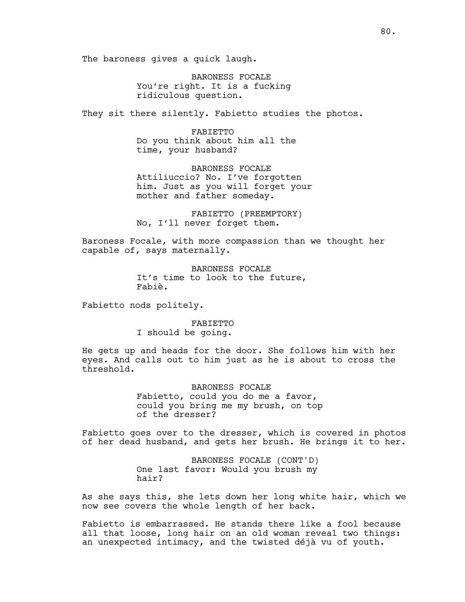The baroness gives a quick laugh.

BARONESS FOCALE You're right. It is a fucking ridiculous question.

They sit there silently. Fabietto studies the photos.

FABIETTO Do you think about him all the time, your husband?

BARONESS FOCALE Attiliuccio? No. I've forgotten him. Just as you will forget your mother and father someday.

FABIETTO (PREEMPTORY) No, I'll never forget them.

Baroness Focale, with more compassion than we thought her capable of, says maternally.

> BARONESS FOCALE It's time to look to the future, Fabiè.

Fabietto nods politely.

FABIETTO

I should be going.

He gets up and heads for the door. She follows him with her eyes. And calls out to him just as he is about to cross the threshold.

> BARONESS FOCALE Fabietto, could you do me a favor, could you bring me my brush, on top of the dresser?

Fabietto goes over to the dresser, which is covered in photos of her dead husband, and gets her brush. He brings it to her.

> BARONESS FOCALE (CONT'D) One last favor: Would you brush my hair?

As she says this, she lets down her long white hair, which we now see covers the whole length of her back.

Fabietto is embarrassed. He stands there like a fool because all that loose, long hair on an old woman reveal two things: an unexpected intimacy, and the twisted déjà vu of youth.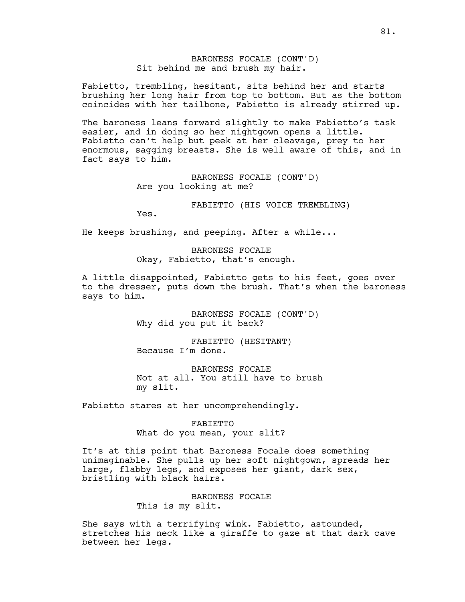## BARONESS FOCALE (CONT'D) Sit behind me and brush my hair.

Fabietto, trembling, hesitant, sits behind her and starts brushing her long hair from top to bottom. But as the bottom coincides with her tailbone, Fabietto is already stirred up.

The baroness leans forward slightly to make Fabietto's task easier, and in doing so her nightgown opens a little. Fabietto can't help but peek at her cleavage, prey to her enormous, sagging breasts. She is well aware of this, and in fact says to him.

> BARONESS FOCALE (CONT'D) Are you looking at me?

> > FABIETTO (HIS VOICE TREMBLING)

Yes.

He keeps brushing, and peeping. After a while...

BARONESS FOCALE Okay, Fabietto, that's enough.

A little disappointed, Fabietto gets to his feet, goes over to the dresser, puts down the brush. That's when the baroness says to him.

> BARONESS FOCALE (CONT'D) Why did you put it back?

FABIETTO (HESITANT) Because I'm done.

BARONESS FOCALE Not at all. You still have to brush my slit.

Fabietto stares at her uncomprehendingly.

FABIETTO What do you mean, your slit?

It's at this point that Baroness Focale does something unimaginable. She pulls up her soft nightgown, spreads her large, flabby legs, and exposes her giant, dark sex, bristling with black hairs.

> BARONESS FOCALE This is my slit.

She says with a terrifying wink. Fabietto, astounded, stretches his neck like a giraffe to gaze at that dark cave between her legs.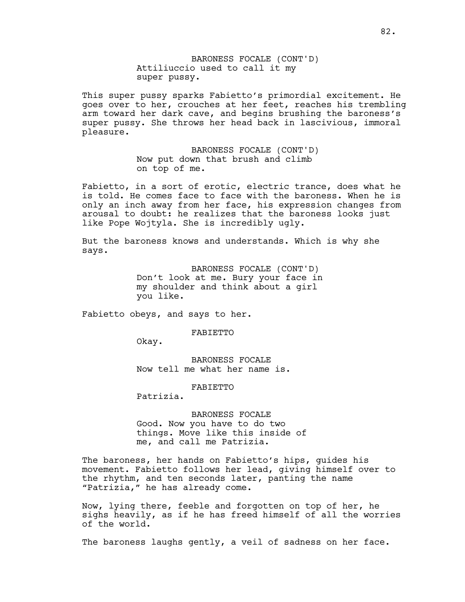BARONESS FOCALE (CONT'D) Attiliuccio used to call it my super pussy.

This super pussy sparks Fabietto's primordial excitement. He goes over to her, crouches at her feet, reaches his trembling arm toward her dark cave, and begins brushing the baroness's super pussy. She throws her head back in lascivious, immoral pleasure.

> BARONESS FOCALE (CONT'D) Now put down that brush and climb on top of me.

Fabietto, in a sort of erotic, electric trance, does what he is told. He comes face to face with the baroness. When he is only an inch away from her face, his expression changes from arousal to doubt: he realizes that the baroness looks just like Pope Wojtyla. She is incredibly ugly.

But the baroness knows and understands. Which is why she says.

> BARONESS FOCALE (CONT'D) Don't look at me. Bury your face in my shoulder and think about a girl you like.

Fabietto obeys, and says to her.

FABIETTO

Okay.

BARONESS FOCALE Now tell me what her name is.

FABIETTO

Patrizia.

BARONESS FOCALE Good. Now you have to do two things. Move like this inside of me, and call me Patrizia.

The baroness, her hands on Fabietto's hips, guides his movement. Fabietto follows her lead, giving himself over to the rhythm, and ten seconds later, panting the name "Patrizia," he has already come.

Now, lying there, feeble and forgotten on top of her, he sighs heavily, as if he has freed himself of all the worries of the world.

The baroness laughs gently, a veil of sadness on her face.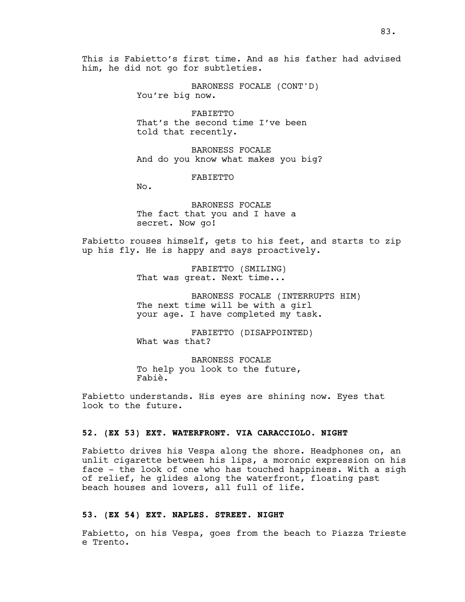BARONESS FOCALE (CONT'D) You're big now.

FABIETTO That's the second time I've been told that recently.

BARONESS FOCALE And do you know what makes you big?

FABIETTO

No.

BARONESS FOCALE The fact that you and I have a secret. Now go!

Fabietto rouses himself, gets to his feet, and starts to zip up his fly. He is happy and says proactively.

> FABIETTO (SMILING) That was great. Next time...

BARONESS FOCALE (INTERRUPTS HIM) The next time will be with a girl your age. I have completed my task.

FABIETTO (DISAPPOINTED) What was that?

BARONESS FOCALE To help you look to the future, Fabiè.

Fabietto understands. His eyes are shining now. Eyes that look to the future.

#### **52. (EX 53) EXT. WATERFRONT. VIA CARACCIOLO. NIGHT**

Fabietto drives his Vespa along the shore. Headphones on, an unlit cigarette between his lips, a moronic expression on his face - the look of one who has touched happiness. With a sigh of relief, he glides along the waterfront, floating past beach houses and lovers, all full of life.

### **53. (EX 54) EXT. NAPLES. STREET. NIGHT**

Fabietto, on his Vespa, goes from the beach to Piazza Trieste e Trento.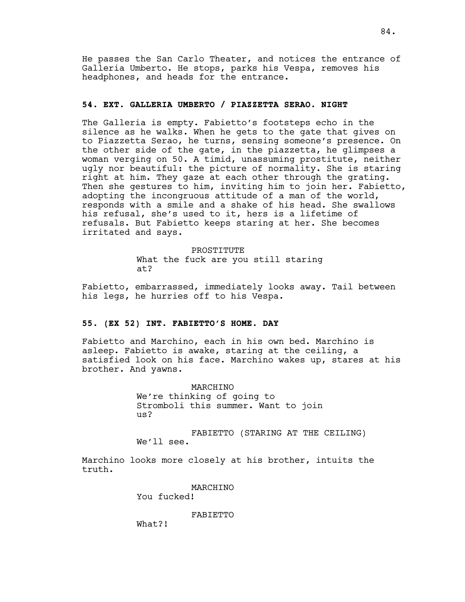He passes the San Carlo Theater, and notices the entrance of Galleria Umberto. He stops, parks his Vespa, removes his headphones, and heads for the entrance.

## **54. EXT. GALLERIA UMBERTO / PIAZZETTA SERAO. NIGHT**

The Galleria is empty. Fabietto's footsteps echo in the silence as he walks. When he gets to the gate that gives on to Piazzetta Serao, he turns, sensing someone's presence. On the other side of the gate, in the piazzetta, he glimpses a woman verging on 50. A timid, unassuming prostitute, neither ugly nor beautiful: the picture of normality. She is staring right at him. They gaze at each other through the grating. Then she gestures to him, inviting him to join her. Fabietto, adopting the incongruous attitude of a man of the world, responds with a smile and a shake of his head. She swallows his refusal, she's used to it, hers is a lifetime of refusals. But Fabietto keeps staring at her. She becomes irritated and says.

> PROSTITUTE What the fuck are you still staring at?

Fabietto, embarrassed, immediately looks away. Tail between his legs, he hurries off to his Vespa.

### **55. (EX 52) INT. FABIETTO'S HOME. DAY**

Fabietto and Marchino, each in his own bed. Marchino is asleep. Fabietto is awake, staring at the ceiling, a satisfied look on his face. Marchino wakes up, stares at his brother. And yawns.

> MARCHINO We're thinking of going to Stromboli this summer. Want to join us?

FABIETTO (STARING AT THE CEILING) We'll see.

Marchino looks more closely at his brother, intuits the truth.

MARCHINO

You fucked!

FABIETTO

What?!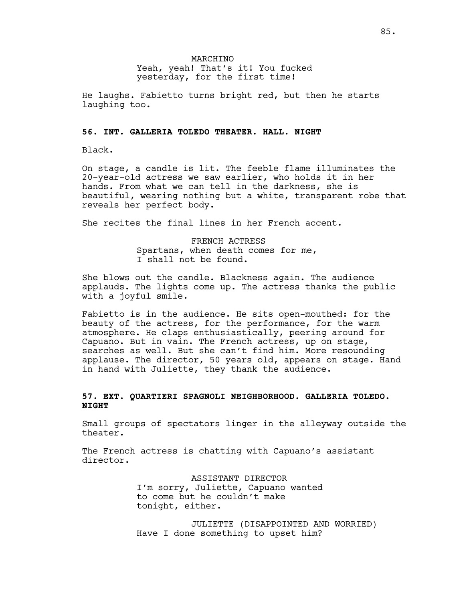He laughs. Fabietto turns bright red, but then he starts laughing too.

#### **56. INT. GALLERIA TOLEDO THEATER. HALL. NIGHT**

Black.

On stage, a candle is lit. The feeble flame illuminates the 20-year-old actress we saw earlier, who holds it in her hands. From what we can tell in the darkness, she is beautiful, wearing nothing but a white, transparent robe that reveals her perfect body.

She recites the final lines in her French accent.

FRENCH ACTRESS Spartans, when death comes for me, I shall not be found.

She blows out the candle. Blackness again. The audience applauds. The lights come up. The actress thanks the public with a joyful smile.

Fabietto is in the audience. He sits open-mouthed: for the beauty of the actress, for the performance, for the warm atmosphere. He claps enthusiastically, peering around for Capuano. But in vain. The French actress, up on stage, searches as well. But she can't find him. More resounding applause. The director, 50 years old, appears on stage. Hand in hand with Juliette, they thank the audience.

## **57. EXT. QUARTIERI SPAGNOLI NEIGHBORHOOD. GALLERIA TOLEDO. NIGHT**

Small groups of spectators linger in the alleyway outside the theater.

The French actress is chatting with Capuano's assistant director.

> ASSISTANT DIRECTOR I'm sorry, Juliette, Capuano wanted to come but he couldn't make tonight, either.

JULIETTE (DISAPPOINTED AND WORRIED) Have I done something to upset him?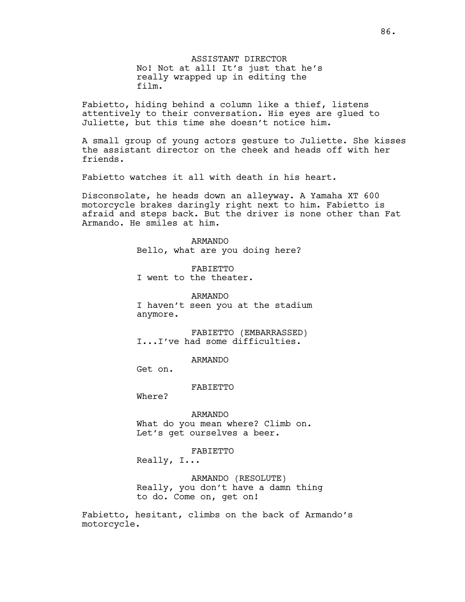ASSISTANT DIRECTOR No! Not at all! It's just that he's really wrapped up in editing the film.

Fabietto, hiding behind a column like a thief, listens attentively to their conversation. His eyes are glued to Juliette, but this time she doesn't notice him.

A small group of young actors gesture to Juliette. She kisses the assistant director on the cheek and heads off with her friends.

Fabietto watches it all with death in his heart.

Disconsolate, he heads down an alleyway. A Yamaha XT 600 motorcycle brakes daringly right next to him. Fabietto is afraid and steps back. But the driver is none other than Fat Armando. He smiles at him.

> ARMANDO Bello, what are you doing here?

FABIETTO I went to the theater.

ARMANDO I haven't seen you at the stadium anymore.

FABIETTO (EMBARRASSED) I...I've had some difficulties.

ARMANDO

Get on.

FABIETTO

Where?

ARMANDO What do you mean where? Climb on. Let's get ourselves a beer.

FABIETTO

Really, I...

ARMANDO (RESOLUTE) Really, you don't have a damn thing to do. Come on, get on!

Fabietto, hesitant, climbs on the back of Armando's motorcycle.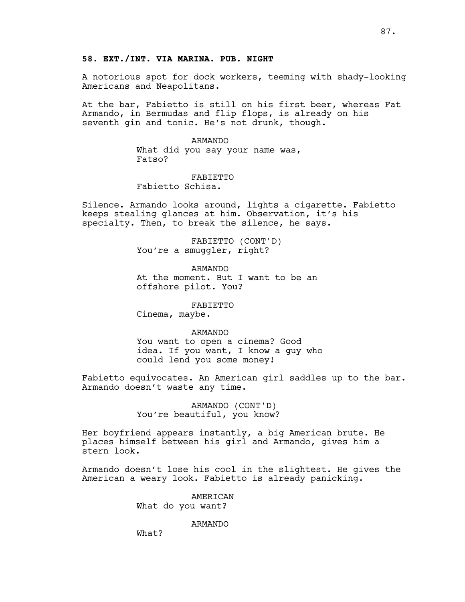A notorious spot for dock workers, teeming with shady-looking Americans and Neapolitans.

At the bar, Fabietto is still on his first beer, whereas Fat Armando, in Bermudas and flip flops, is already on his seventh gin and tonic. He's not drunk, though.

> ARMANDO What did you say your name was, Fatso?

# FABIETTO

Fabietto Schisa.

Silence. Armando looks around, lights a cigarette. Fabietto keeps stealing glances at him. Observation, it's his specialty. Then, to break the silence, he says.

> FABIETTO (CONT'D) You're a smuggler, right?

ARMANDO At the moment. But I want to be an offshore pilot. You?

FABIETTO

Cinema, maybe.

## ARMANDO

You want to open a cinema? Good idea. If you want, I know a guy who could lend you some money!

Fabietto equivocates. An American girl saddles up to the bar. Armando doesn't waste any time.

> ARMANDO (CONT'D) You're beautiful, you know?

Her boyfriend appears instantly, a big American brute. He places himself between his girl and Armando, gives him a stern look.

Armando doesn't lose his cool in the slightest. He gives the American a weary look. Fabietto is already panicking.

> AMERICAN What do you want?

#### ARMANDO

What?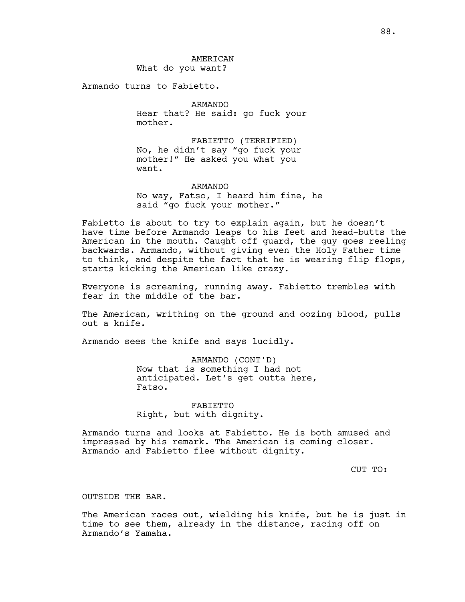AMERICAN What do you want?

Armando turns to Fabietto.

ARMANDO Hear that? He said: go fuck your mother.

FABIETTO (TERRIFIED) No, he didn't say "go fuck your mother!" He asked you what you want.

ARMANDO No way, Fatso, I heard him fine, he said "go fuck your mother."

Fabietto is about to try to explain again, but he doesn't have time before Armando leaps to his feet and head-butts the American in the mouth. Caught off guard, the guy goes reeling backwards. Armando, without giving even the Holy Father time to think, and despite the fact that he is wearing flip flops, starts kicking the American like crazy.

Everyone is screaming, running away. Fabietto trembles with fear in the middle of the bar.

The American, writhing on the ground and oozing blood, pulls out a knife.

Armando sees the knife and says lucidly.

ARMANDO (CONT'D) Now that is something I had not anticipated. Let's get outta here, Fatso.

FABIETTO Right, but with dignity.

Armando turns and looks at Fabietto. He is both amused and impressed by his remark. The American is coming closer. Armando and Fabietto flee without dignity.

CUT TO:

#### OUTSIDE THE BAR.

The American races out, wielding his knife, but he is just in time to see them, already in the distance, racing off on Armando's Yamaha.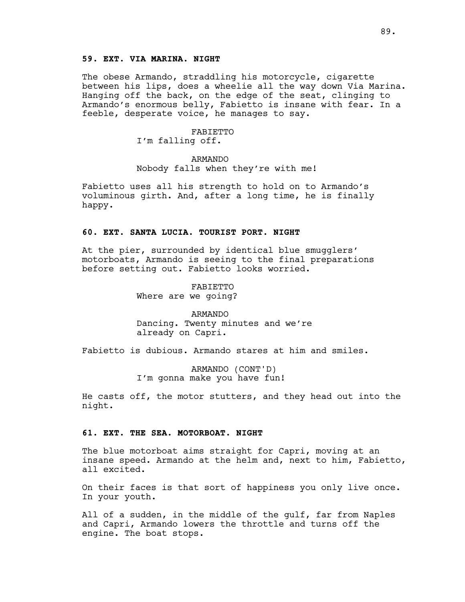## **59. EXT. VIA MARINA. NIGHT**

The obese Armando, straddling his motorcycle, cigarette between his lips, does a wheelie all the way down Via Marina. Hanging off the back, on the edge of the seat, clinging to Armando's enormous belly, Fabietto is insane with fear. In a feeble, desperate voice, he manages to say.

### FABIETTO I'm falling off.

### ARMANDO

Nobody falls when they're with me!

Fabietto uses all his strength to hold on to Armando's voluminous girth. And, after a long time, he is finally happy.

## **60. EXT. SANTA LUCIA. TOURIST PORT. NIGHT**

At the pier, surrounded by identical blue smugglers' motorboats, Armando is seeing to the final preparations before setting out. Fabietto looks worried.

> FABIETTO Where are we going?

ARMANDO Dancing. Twenty minutes and we're already on Capri.

Fabietto is dubious. Armando stares at him and smiles.

ARMANDO (CONT'D) I'm gonna make you have fun!

He casts off, the motor stutters, and they head out into the night.

### **61. EXT. THE SEA. MOTORBOAT. NIGHT**

The blue motorboat aims straight for Capri, moving at an insane speed. Armando at the helm and, next to him, Fabietto, all excited.

On their faces is that sort of happiness you only live once. In your youth.

All of a sudden, in the middle of the gulf, far from Naples and Capri, Armando lowers the throttle and turns off the engine. The boat stops.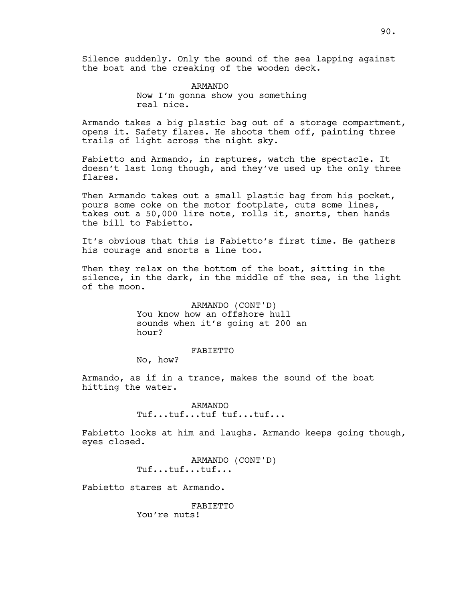Silence suddenly. Only the sound of the sea lapping against the boat and the creaking of the wooden deck.

> ARMANDO Now I'm gonna show you something real nice.

Armando takes a big plastic bag out of a storage compartment, opens it. Safety flares. He shoots them off, painting three trails of light across the night sky.

Fabietto and Armando, in raptures, watch the spectacle. It doesn't last long though, and they've used up the only three flares.

Then Armando takes out a small plastic bag from his pocket, pours some coke on the motor footplate, cuts some lines, takes out a 50,000 lire note, rolls it, snorts, then hands the bill to Fabietto.

It's obvious that this is Fabietto's first time. He gathers his courage and snorts a line too.

Then they relax on the bottom of the boat, sitting in the silence, in the dark, in the middle of the sea, in the light of the moon.

> ARMANDO (CONT'D) You know how an offshore hull sounds when it's going at 200 an hour?

## FABIETTO

No, how?

Armando, as if in a trance, makes the sound of the boat hitting the water.

> ARMANDO Tuf...tuf...tuf tuf...tuf...

Fabietto looks at him and laughs. Armando keeps going though, eyes closed.

> ARMANDO (CONT'D) Tuf...tuf...tuf...

Fabietto stares at Armando.

FABIETTO You're nuts!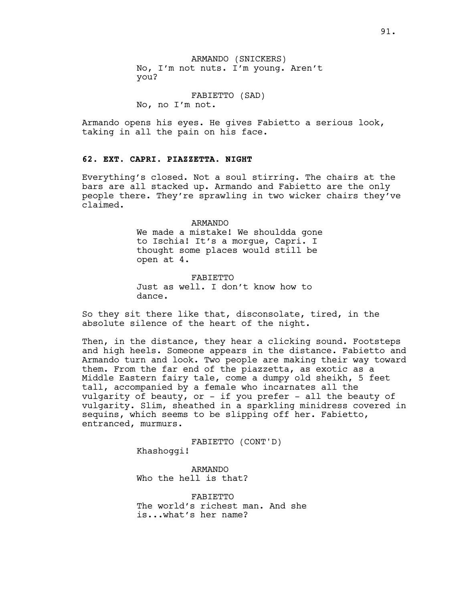ARMANDO (SNICKERS) No, I'm not nuts. I'm young. Aren't you?

FABIETTO (SAD) No, no I'm not.

Armando opens his eyes. He gives Fabietto a serious look, taking in all the pain on his face.

### **62. EXT. CAPRI. PIAZZETTA. NIGHT**

Everything's closed. Not a soul stirring. The chairs at the bars are all stacked up. Armando and Fabietto are the only people there. They're sprawling in two wicker chairs they've claimed.

#### ARMANDO

We made a mistake! We shouldda gone to Ischia! It's a morgue, Capri. I thought some places would still be open at 4.

FABIETTO Just as well. I don't know how to dance.

So they sit there like that, disconsolate, tired, in the absolute silence of the heart of the night.

Then, in the distance, they hear a clicking sound. Footsteps and high heels. Someone appears in the distance. Fabietto and Armando turn and look. Two people are making their way toward them. From the far end of the piazzetta, as exotic as a Middle Eastern fairy tale, come a dumpy old sheikh, 5 feet tall, accompanied by a female who incarnates all the vulgarity of beauty, or - if you prefer - all the beauty of vulgarity. Slim, sheathed in a sparkling minidress covered in sequins, which seems to be slipping off her. Fabietto, entranced, murmurs.

> FABIETTO (CONT'D) Khashoggi!

ARMANDO Who the hell is that?

FABIETTO The world's richest man. And she is...what's her name?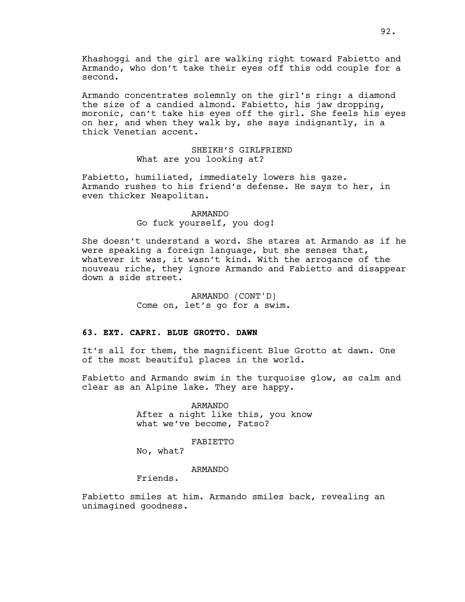Khashoggi and the girl are walking right toward Fabietto and Armando, who don't take their eyes off this odd couple for a second.

Armando concentrates solemnly on the girl's ring: a diamond the size of a candied almond. Fabietto, his jaw dropping, moronic, can't take his eyes off the girl. She feels his eyes on her, and when they walk by, she says indignantly, in a thick Venetian accent.

## SHEIKH'S GIRLFRIEND What are you looking at?

Fabietto, humiliated, immediately lowers his gaze. Armando rushes to his friend's defense. He says to her, in even thicker Neapolitan.

> ARMANDO Go fuck yourself, you dog!

She doesn't understand a word. She stares at Armando as if he were speaking a foreign language, but she senses that, whatever it was, it wasn't kind. With the arrogance of the nouveau riche, they ignore Armando and Fabietto and disappear down a side street.

> ARMANDO (CONT'D) Come on, let's go for a swim.

## **63. EXT. CAPRI. BLUE GROTTO. DAWN**

It's all for them, the magnificent Blue Grotto at dawn. One of the most beautiful places in the world.

Fabietto and Armando swim in the turquoise glow, as calm and clear as an Alpine lake. They are happy.

> ARMANDO After a night like this, you know what we've become, Fatso?

### FABIETTO

No, what?

#### ARMANDO

Friends.

Fabietto smiles at him. Armando smiles back, revealing an unimagined goodness.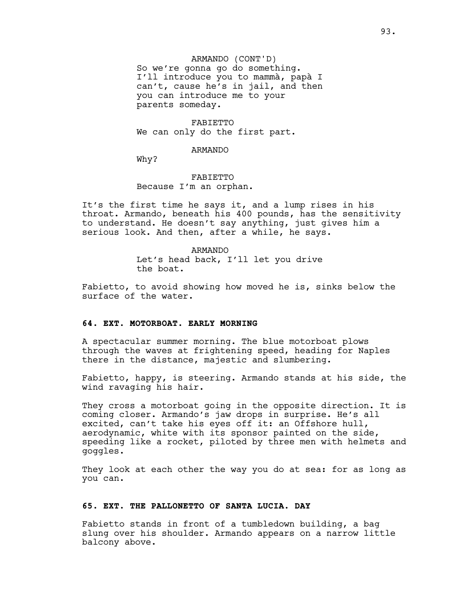ARMANDO (CONT'D) So we're gonna go do something. I'll introduce you to mammà, papà I can't, cause he's in jail, and then you can introduce me to your parents someday.

FABIETTO We can only do the first part.

### ARMANDO

Why?

# FABIETTO Because I'm an orphan.

It's the first time he says it, and a lump rises in his throat. Armando, beneath his 400 pounds, has the sensitivity to understand. He doesn't say anything, just gives him a serious look. And then, after a while, he says.

### ARMANDO Let's head back, I'll let you drive the boat.

Fabietto, to avoid showing how moved he is, sinks below the surface of the water.

### **64. EXT. MOTORBOAT. EARLY MORNING**

A spectacular summer morning. The blue motorboat plows through the waves at frightening speed, heading for Naples there in the distance, majestic and slumbering.

Fabietto, happy, is steering. Armando stands at his side, the wind ravaging his hair.

They cross a motorboat going in the opposite direction. It is coming closer. Armando's jaw drops in surprise. He's all excited, can't take his eyes off it: an Offshore hull, aerodynamic, white with its sponsor painted on the side, speeding like a rocket, piloted by three men with helmets and goggles.

They look at each other the way you do at sea: for as long as you can.

### **65. EXT. THE PALLONETTO OF SANTA LUCIA. DAY**

Fabietto stands in front of a tumbledown building, a bag slung over his shoulder. Armando appears on a narrow little balcony above.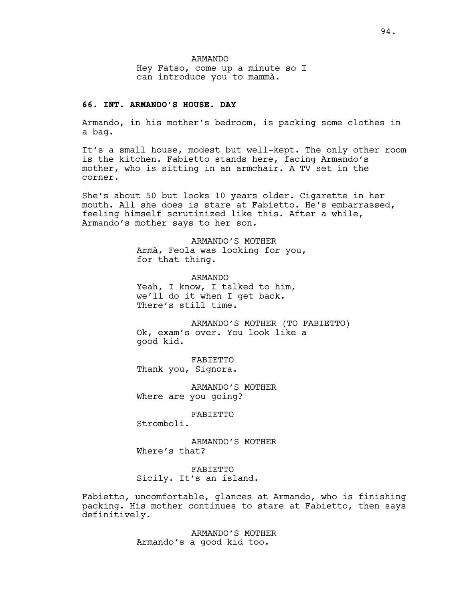ARMANDO Hey Fatso, come up a minute so I can introduce you to mammà.

## **66. INT. ARMANDO'S HOUSE. DAY**

Armando, in his mother's bedroom, is packing some clothes in a bag.

It's a small house, modest but well-kept. The only other room is the kitchen. Fabietto stands here, facing Armando's mother, who is sitting in an armchair. A TV set in the corner.

She's about 50 but looks 10 years older. Cigarette in her mouth. All she does is stare at Fabietto. He's embarrassed, feeling himself scrutinized like this. After a while, Armando's mother says to her son.

> ARMANDO'S MOTHER Armà, Feola was looking for you, for that thing.

ARMANDO Yeah, I know, I talked to him, we'll do it when I get back. There's still time.

ARMANDO'S MOTHER (TO FABIETTO) Ok, exam's over. You look like a good kid.

FABIETTO Thank you, Signora.

ARMANDO'S MOTHER Where are you going?

FABIETTO

Stromboli.

ARMANDO'S MOTHER Where's that?

FABIETTO Sicily. It's an island.

Fabietto, uncomfortable, glances at Armando, who is finishing packing. His mother continues to stare at Fabietto, then says definitively.

> ARMANDO'S MOTHER Armando's a good kid too.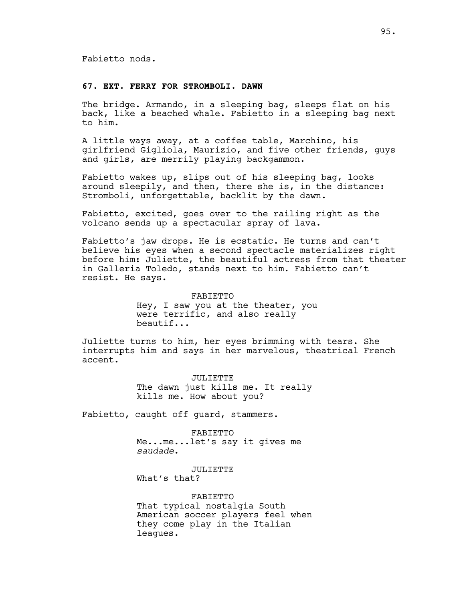#### **67. EXT. FERRY FOR STROMBOLI. DAWN**

The bridge. Armando, in a sleeping bag, sleeps flat on his back, like a beached whale. Fabietto in a sleeping bag next to him.

A little ways away, at a coffee table, Marchino, his girlfriend Gigliola, Maurizio, and five other friends, guys and girls, are merrily playing backgammon.

Fabietto wakes up, slips out of his sleeping bag, looks around sleepily, and then, there she is, in the distance: Stromboli, unforgettable, backlit by the dawn.

Fabietto, excited, goes over to the railing right as the volcano sends up a spectacular spray of lava.

Fabietto's jaw drops. He is ecstatic. He turns and can't believe his eyes when a second spectacle materializes right before him: Juliette, the beautiful actress from that theater in Galleria Toledo, stands next to him. Fabietto can't resist. He says.

> FABIETTO Hey, I saw you at the theater, you were terrific, and also really beautif...

Juliette turns to him, her eyes brimming with tears. She interrupts him and says in her marvelous, theatrical French accent.

> JULIETTE The dawn just kills me. It really kills me. How about you?

Fabietto, caught off guard, stammers.

FABIETTO Me...me...let's say it gives me *saudade*.

JULIETTE What's that?

FABIETTO That typical nostalgia South American soccer players feel when they come play in the Italian leagues.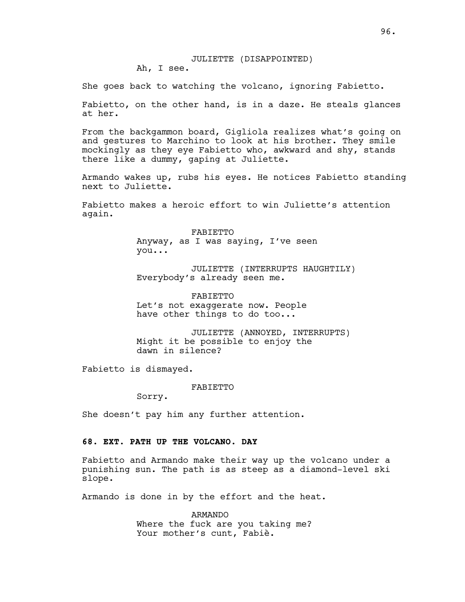### JULIETTE (DISAPPOINTED) Ah, I see.

She goes back to watching the volcano, ignoring Fabietto.

Fabietto, on the other hand, is in a daze. He steals glances at her.

From the backgammon board, Gigliola realizes what's going on and gestures to Marchino to look at his brother. They smile mockingly as they eye Fabietto who, awkward and shy, stands there like a dummy, gaping at Juliette.

Armando wakes up, rubs his eyes. He notices Fabietto standing next to Juliette.

Fabietto makes a heroic effort to win Juliette's attention again.

> FABIETTO Anyway, as I was saying, I've seen you...

JULIETTE (INTERRUPTS HAUGHTILY) Everybody's already seen me.

FABIETTO Let's not exaggerate now. People have other things to do too...

JULIETTE (ANNOYED, INTERRUPTS) Might it be possible to enjoy the dawn in silence?

Fabietto is dismayed.

FABIETTO

Sorry.

She doesn't pay him any further attention.

### **68. EXT. PATH UP THE VOLCANO. DAY**

Fabietto and Armando make their way up the volcano under a punishing sun. The path is as steep as a diamond-level ski slope.

Armando is done in by the effort and the heat.

ARMANDO Where the fuck are you taking me? Your mother's cunt, Fabiè.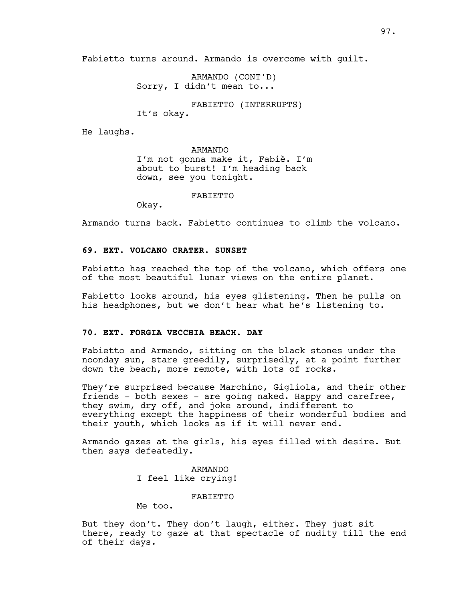Fabietto turns around. Armando is overcome with guilt.

ARMANDO (CONT'D) Sorry, I didn't mean to...

FABIETTO (INTERRUPTS)

It's okay.

He laughs.

ARMANDO I'm not gonna make it, Fabiè. I'm about to burst! I'm heading back down, see you tonight.

FABIETTO

Okay.

Armando turns back. Fabietto continues to climb the volcano.

## **69. EXT. VOLCANO CRATER. SUNSET**

Fabietto has reached the top of the volcano, which offers one of the most beautiful lunar views on the entire planet.

Fabietto looks around, his eyes glistening. Then he pulls on his headphones, but we don't hear what he's listening to.

### **70. EXT. FORGIA VECCHIA BEACH. DAY**

Fabietto and Armando, sitting on the black stones under the noonday sun, stare greedily, surprisedly, at a point further down the beach, more remote, with lots of rocks.

They're surprised because Marchino, Gigliola, and their other friends - both sexes - are going naked. Happy and carefree, they swim, dry off, and joke around, indifferent to everything except the happiness of their wonderful bodies and their youth, which looks as if it will never end.

Armando gazes at the girls, his eyes filled with desire. But then says defeatedly.

> ARMANDO I feel like crying!

> > FABIETTO

Me too.

But they don't. They don't laugh, either. They just sit there, ready to gaze at that spectacle of nudity till the end of their days.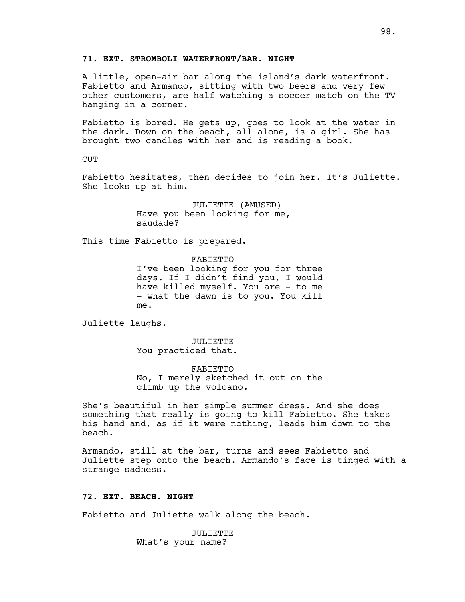### **71. EXT. STROMBOLI WATERFRONT/BAR. NIGHT**

A little, open-air bar along the island's dark waterfront. Fabietto and Armando, sitting with two beers and very few other customers, are half-watching a soccer match on the TV hanging in a corner.

Fabietto is bored. He gets up, goes to look at the water in the dark. Down on the beach, all alone, is a girl. She has brought two candles with her and is reading a book.

CUT

Fabietto hesitates, then decides to join her. It's Juliette. She looks up at him.

> JULIETTE (AMUSED) Have you been looking for me, saudade?

This time Fabietto is prepared.

FABIETTO I've been looking for you for three days. If I didn't find you, I would have killed myself. You are - to me - what the dawn is to you. You kill me.

Juliette laughs.

JULIETTE You practiced that.

FABIETTO No, I merely sketched it out on the climb up the volcano.

She's beautiful in her simple summer dress. And she does something that really is going to kill Fabietto. She takes his hand and, as if it were nothing, leads him down to the beach.

Armando, still at the bar, turns and sees Fabietto and Juliette step onto the beach. Armando's face is tinged with a strange sadness.

### **72. EXT. BEACH. NIGHT**

Fabietto and Juliette walk along the beach.

JULIETTE What's your name?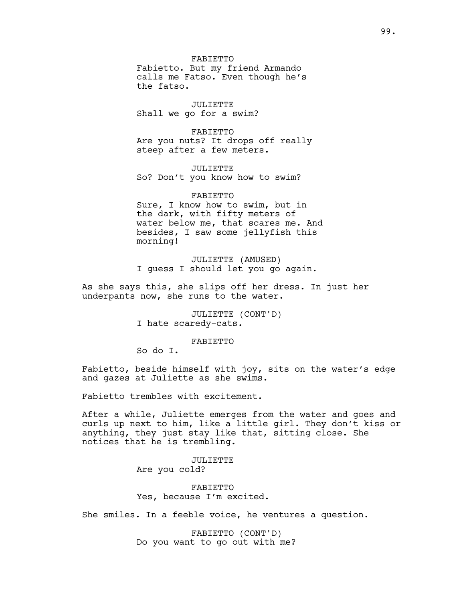FABIETTO Fabietto. But my friend Armando calls me Fatso. Even though he's the fatso.

JULIETTE Shall we go for a swim?

FABIETTO Are you nuts? It drops off really steep after a few meters.

JULIETTE So? Don't you know how to swim?

FABIETTO Sure, I know how to swim, but in the dark, with fifty meters of water below me, that scares me. And besides, I saw some jellyfish this morning!

JULIETTE (AMUSED) I guess I should let you go again.

As she says this, she slips off her dress. In just her underpants now, she runs to the water.

> JULIETTE (CONT'D) I hate scaredy-cats.

### FABIETTO

So do I.

Fabietto, beside himself with joy, sits on the water's edge and gazes at Juliette as she swims.

Fabietto trembles with excitement.

After a while, Juliette emerges from the water and goes and curls up next to him, like a little girl. They don't kiss or anything, they just stay like that, sitting close. She notices that he is trembling.

### JULIETTE Are you cold?

FABIETTO Yes, because I'm excited.

She smiles. In a feeble voice, he ventures a question.

FABIETTO (CONT'D) Do you want to go out with me?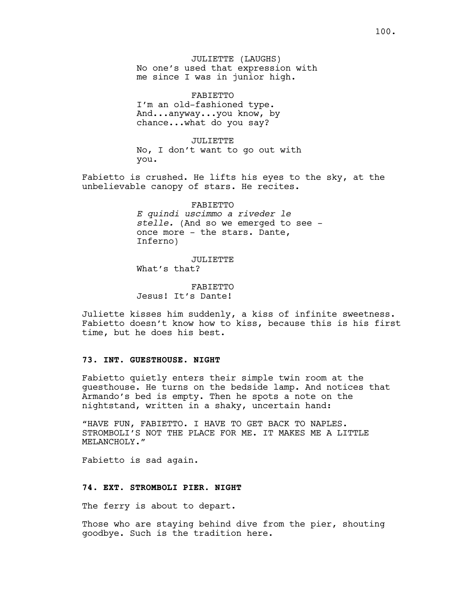FABIETTO I'm an old-fashioned type. And...anyway...you know, by chance...what do you say?

JULIETTE No, I don't want to go out with you.

Fabietto is crushed. He lifts his eyes to the sky, at the unbelievable canopy of stars. He recites.

> FABIETTO *E quindi uscimmo a riveder le stelle.* (And so we emerged to see once more - the stars. Dante, Inferno)

JULIETTE What's that?

FABIETTO Jesus! It's Dante!

Juliette kisses him suddenly, a kiss of infinite sweetness. Fabietto doesn't know how to kiss, because this is his first time, but he does his best.

## **73. INT. GUESTHOUSE. NIGHT**

Fabietto quietly enters their simple twin room at the guesthouse. He turns on the bedside lamp. And notices that Armando's bed is empty. Then he spots a note on the nightstand, written in a shaky, uncertain hand:

"HAVE FUN, FABIETTO. I HAVE TO GET BACK TO NAPLES. STROMBOLI'S NOT THE PLACE FOR ME. IT MAKES ME A LITTLE MELANCHOLY."

Fabietto is sad again.

#### **74. EXT. STROMBOLI PIER. NIGHT**

The ferry is about to depart.

Those who are staying behind dive from the pier, shouting goodbye. Such is the tradition here.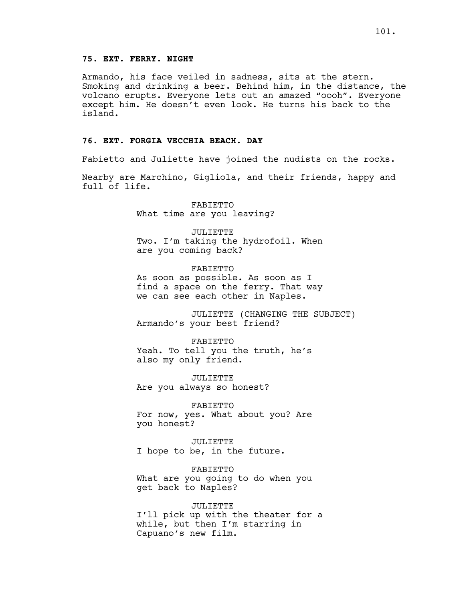## **75. EXT. FERRY. NIGHT**

Armando, his face veiled in sadness, sits at the stern. Smoking and drinking a beer. Behind him, in the distance, the volcano erupts. Everyone lets out an amazed "oooh". Everyone except him. He doesn't even look. He turns his back to the island.

### **76. EXT. FORGIA VECCHIA BEACH. DAY**

Fabietto and Juliette have joined the nudists on the rocks.

Nearby are Marchino, Gigliola, and their friends, happy and full of life.

> FABIETTO What time are you leaving?

JULIETTE Two. I'm taking the hydrofoil. When are you coming back?

FABIETTO As soon as possible. As soon as I find a space on the ferry. That way we can see each other in Naples.

JULIETTE (CHANGING THE SUBJECT) Armando's your best friend?

FABIETTO Yeah. To tell you the truth, he's also my only friend.

JULIETTE Are you always so honest?

FABIETTO For now, yes. What about you? Are you honest?

JULIETTE I hope to be, in the future.

FABIETTO What are you going to do when you get back to Naples?

JULIETTE I'll pick up with the theater for a while, but then I'm starring in Capuano's new film.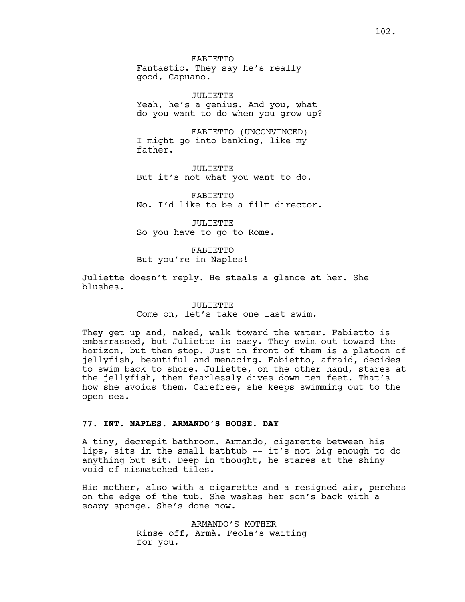FABIETTO Fantastic. They say he's really good, Capuano.

JULIETTE Yeah, he's a genius. And you, what do you want to do when you grow up?

FABIETTO (UNCONVINCED) I might go into banking, like my father.

JULIETTE But it's not what you want to do.

FABIETTO No. I'd like to be a film director.

JULIETTE So you have to go to Rome.

# FABIETTO

But you're in Naples!

Juliette doesn't reply. He steals a glance at her. She blushes.

### JULIETTE Come on, let's take one last swim.

They get up and, naked, walk toward the water. Fabietto is embarrassed, but Juliette is easy. They swim out toward the horizon, but then stop. Just in front of them is a platoon of jellyfish, beautiful and menacing. Fabietto, afraid, decides to swim back to shore. Juliette, on the other hand, stares at the jellyfish, then fearlessly dives down ten feet. That's how she avoids them. Carefree, she keeps swimming out to the open sea.

## **77. INT. NAPLES. ARMANDO'S HOUSE. DAY**

A tiny, decrepit bathroom. Armando, cigarette between his lips, sits in the small bathtub -- it's not big enough to do anything but sit. Deep in thought, he stares at the shiny void of mismatched tiles.

His mother, also with a cigarette and a resigned air, perches on the edge of the tub. She washes her son's back with a soapy sponge. She's done now.

> ARMANDO'S MOTHER Rinse off, Armà. Feola's waiting for you.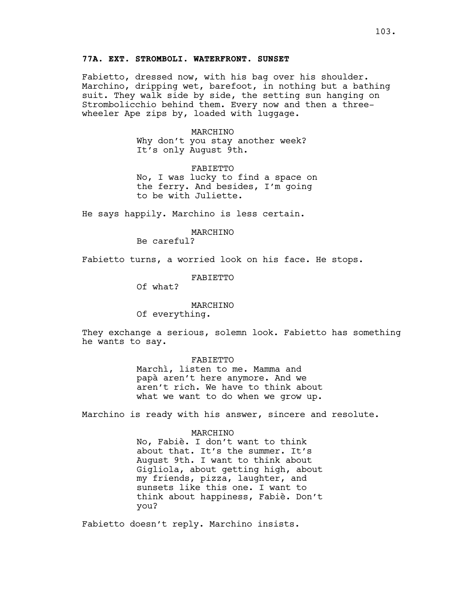Fabietto, dressed now, with his bag over his shoulder. Marchino, dripping wet, barefoot, in nothing but a bathing suit. They walk side by side, the setting sun hanging on Strombolicchio behind them. Every now and then a threewheeler Ape zips by, loaded with luggage.

> MARCHINO Why don't you stay another week? It's only August 9th.

FABIETTO No, I was lucky to find a space on the ferry. And besides, I'm going to be with Juliette.

He says happily. Marchino is less certain.

#### MARCHINO

Be careful?

Fabietto turns, a worried look on his face. He stops.

FABIETTO

Of what?

### MARCHINO

Of everything.

They exchange a serious, solemn look. Fabietto has something he wants to say.

#### FABIETTO

Marchì, listen to me. Mamma and papà aren't here anymore. And we aren't rich. We have to think about what we want to do when we grow up.

Marchino is ready with his answer, sincere and resolute.

#### MARCHINO

No, Fabiè. I don't want to think about that. It's the summer. It's August 9th. I want to think about Gigliola, about getting high, about my friends, pizza, laughter, and sunsets like this one. I want to think about happiness, Fabiè. Don't you?

Fabietto doesn't reply. Marchino insists.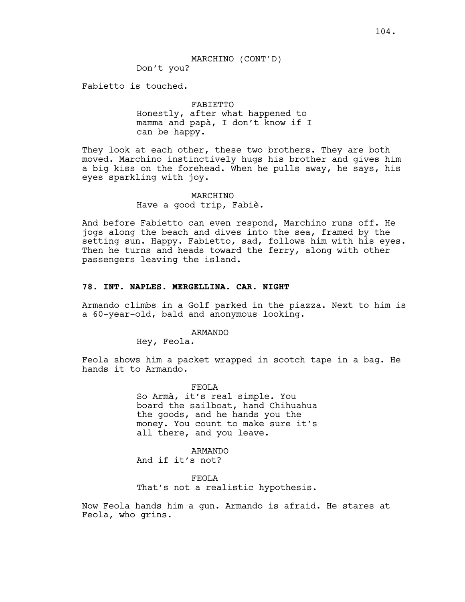MARCHINO (CONT'D)

Don't you?

Fabietto is touched.

## FABIETTO Honestly, after what happened to mamma and papà, I don't know if I can be happy.

They look at each other, these two brothers. They are both moved. Marchino instinctively hugs his brother and gives him a big kiss on the forehead. When he pulls away, he says, his eyes sparkling with joy.

## MARCHINO Have a good trip, Fabiè.

And before Fabietto can even respond, Marchino runs off. He jogs along the beach and dives into the sea, framed by the setting sun. Happy. Fabietto, sad, follows him with his eyes. Then he turns and heads toward the ferry, along with other passengers leaving the island.

### **78. INT. NAPLES. MERGELLINA. CAR. NIGHT**

Armando climbs in a Golf parked in the piazza. Next to him is a 60-year-old, bald and anonymous looking.

#### ARMANDO

Hey, Feola.

Feola shows him a packet wrapped in scotch tape in a bag. He hands it to Armando.

> FEOLA So Armà, it's real simple. You board the sailboat, hand Chihuahua the goods, and he hands you the money. You count to make sure it's all there, and you leave.

ARMANDO And if it's not?

FEOLA That's not a realistic hypothesis.

Now Feola hands him a gun. Armando is afraid. He stares at Feola, who grins.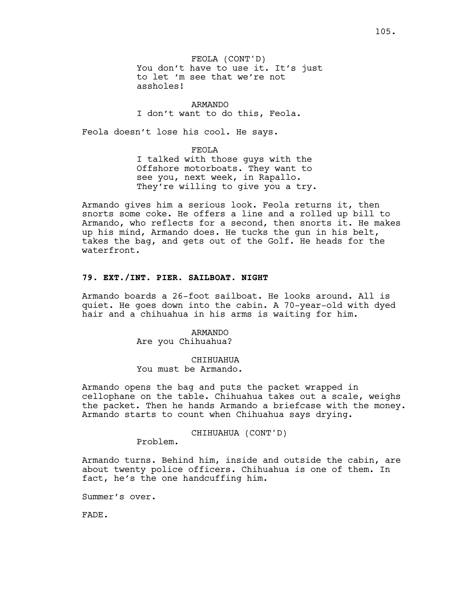ARMANDO I don't want to do this, Feola.

Feola doesn't lose his cool. He says.

FEOLA

I talked with those guys with the Offshore motorboats. They want to see you, next week, in Rapallo. They're willing to give you a try.

Armando gives him a serious look. Feola returns it, then snorts some coke. He offers a line and a rolled up bill to Armando, who reflects for a second, then snorts it. He makes up his mind, Armando does. He tucks the gun in his belt, takes the bag, and gets out of the Golf. He heads for the waterfront.

## **79. EXT./INT. PIER. SAILBOAT. NIGHT**

Armando boards a 26-foot sailboat. He looks around. All is quiet. He goes down into the cabin. A 70-year-old with dyed hair and a chihuahua in his arms is waiting for him.

> ARMANDO Are you Chihuahua?

CHIHUAHUA You must be Armando.

Armando opens the bag and puts the packet wrapped in cellophane on the table. Chihuahua takes out a scale, weighs the packet. Then he hands Armando a briefcase with the money. Armando starts to count when Chihuahua says drying.

CHIHUAHUA (CONT'D)

Problem.

Armando turns. Behind him, inside and outside the cabin, are about twenty police officers. Chihuahua is one of them. In fact, he's the one handcuffing him.

Summer's over.

FADE.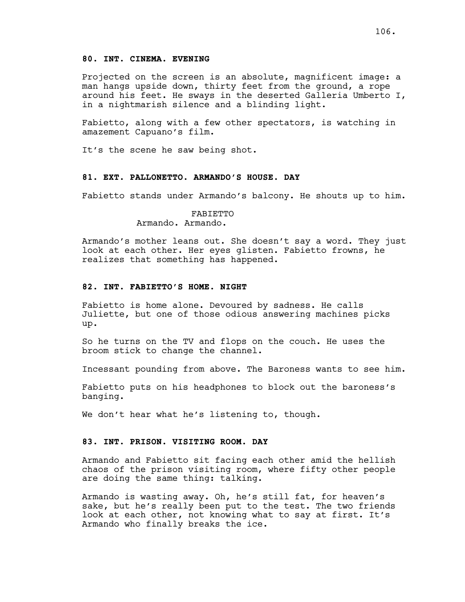### **80. INT. CINEMA. EVENING**

Projected on the screen is an absolute, magnificent image: a man hangs upside down, thirty feet from the ground, a rope around his feet. He sways in the deserted Galleria Umberto I, in a nightmarish silence and a blinding light.

Fabietto, along with a few other spectators, is watching in amazement Capuano's film.

It's the scene he saw being shot.

### **81. EXT. PALLONETTO. ARMANDO'S HOUSE. DAY**

Fabietto stands under Armando's balcony. He shouts up to him.

### FABIETTO Armando. Armando.

Armando's mother leans out. She doesn't say a word. They just look at each other. Her eyes glisten. Fabietto frowns, he realizes that something has happened.

#### **82. INT. FABIETTO'S HOME. NIGHT**

Fabietto is home alone. Devoured by sadness. He calls Juliette, but one of those odious answering machines picks up.

So he turns on the TV and flops on the couch. He uses the broom stick to change the channel.

Incessant pounding from above. The Baroness wants to see him.

Fabietto puts on his headphones to block out the baroness's banging.

We don't hear what he's listening to, though.

#### **83. INT. PRISON. VISITING ROOM. DAY**

Armando and Fabietto sit facing each other amid the hellish chaos of the prison visiting room, where fifty other people are doing the same thing: talking.

Armando is wasting away. Oh, he's still fat, for heaven's sake, but he's really been put to the test. The two friends look at each other, not knowing what to say at first. It's Armando who finally breaks the ice.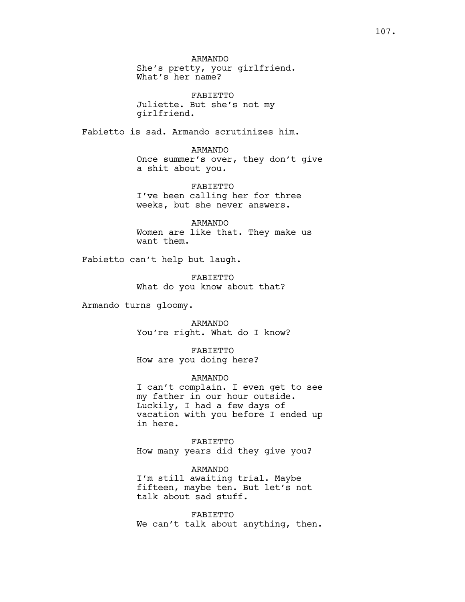FABIETTO Juliette. But she's not my girlfriend.

Fabietto is sad. Armando scrutinizes him.

#### ARMANDO

Once summer's over, they don't give a shit about you.

FABIETTO I've been calling her for three weeks, but she never answers.

ARMANDO Women are like that. They make us want them.

Fabietto can't help but laugh.

FABIETTO What do you know about that?

Armando turns gloomy.

ARMANDO You're right. What do I know?

FABIETTO How are you doing here?

#### ARMANDO

I can't complain. I even get to see my father in our hour outside. Luckily, I had a few days of vacation with you before I ended up in here.

FABIETTO How many years did they give you?

ARMANDO I'm still awaiting trial. Maybe fifteen, maybe ten. But let's not talk about sad stuff.

FABIETTO We can't talk about anything, then.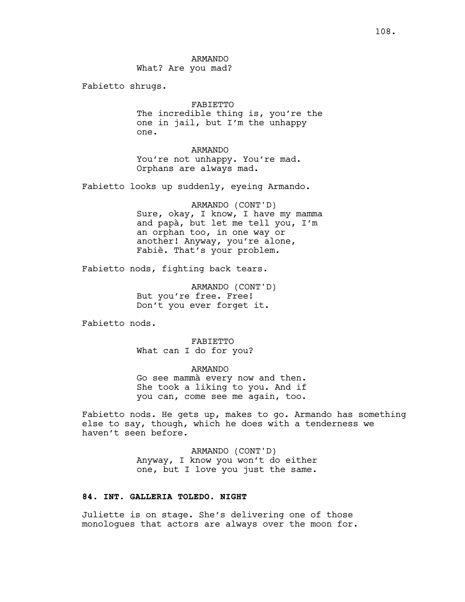Fabietto shrugs.

### FABIETTO

The incredible thing is, you're the one in jail, but I'm the unhappy one.

ARMANDO You're not unhappy. You're mad. Orphans are always mad.

Fabietto looks up suddenly, eyeing Armando.

ARMANDO (CONT'D) Sure, okay, I know, I have my mamma and papà, but let me tell you, I'm an orphan too, in one way or another! Anyway, you're alone, Fabiè. That's your problem.

Fabietto nods, fighting back tears.

ARMANDO (CONT'D) But you're free. Free! Don't you ever forget it.

Fabietto nods.

FABIETTO What can I do for you?

ARMANDO Go see mammà every now and then. She took a liking to you. And if you can, come see me again, too.

Fabietto nods. He gets up, makes to go. Armando has something else to say, though, which he does with a tenderness we haven't seen before.

> ARMANDO (CONT'D) Anyway, I know you won't do either one, but I love you just the same.

# **84. INT. GALLERIA TOLEDO. NIGHT**

Juliette is on stage. She's delivering one of those monologues that actors are always over the moon for.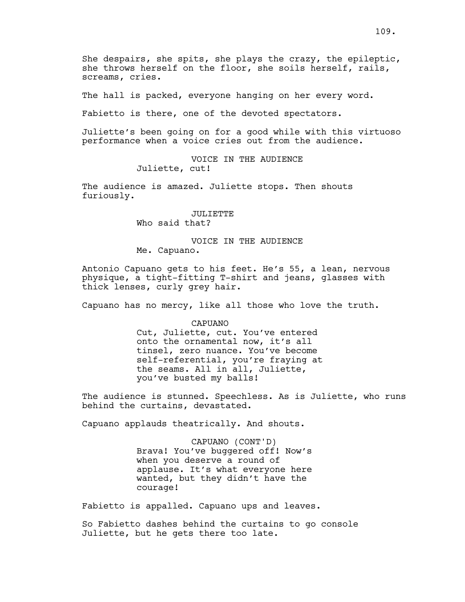She despairs, she spits, she plays the crazy, the epileptic, she throws herself on the floor, she soils herself, rails, screams, cries.

The hall is packed, everyone hanging on her every word.

Fabietto is there, one of the devoted spectators.

Juliette's been going on for a good while with this virtuoso performance when a voice cries out from the audience.

> VOICE IN THE AUDIENCE Juliette, cut!

The audience is amazed. Juliette stops. Then shouts furiously.

> JULIETTE Who said that?

VOICE IN THE AUDIENCE Me. Capuano.

Antonio Capuano gets to his feet. He's 55, a lean, nervous physique, a tight-fitting T-shirt and jeans, glasses with thick lenses, curly grey hair.

Capuano has no mercy, like all those who love the truth.

CAPUANO Cut, Juliette, cut. You've entered onto the ornamental now, it's all tinsel, zero nuance. You've become self-referential, you're fraying at the seams. All in all, Juliette, you've busted my balls!

The audience is stunned. Speechless. As is Juliette, who runs behind the curtains, devastated.

Capuano applauds theatrically. And shouts.

CAPUANO (CONT'D) Brava! You've buggered off! Now's when you deserve a round of applause. It's what everyone here wanted, but they didn't have the courage!

Fabietto is appalled. Capuano ups and leaves.

So Fabietto dashes behind the curtains to go console Juliette, but he gets there too late.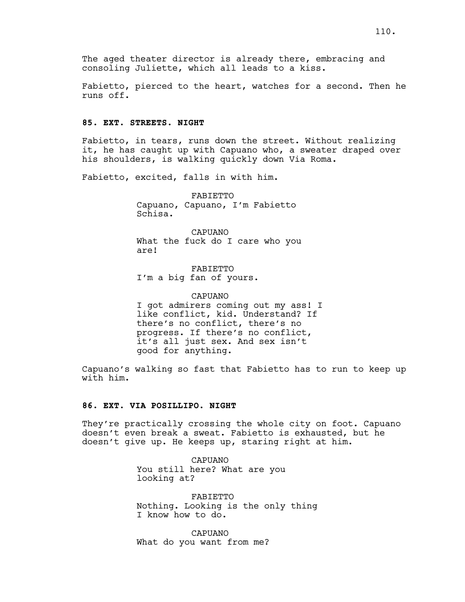The aged theater director is already there, embracing and consoling Juliette, which all leads to a kiss.

Fabietto, pierced to the heart, watches for a second. Then he runs off.

### **85. EXT. STREETS. NIGHT**

Fabietto, in tears, runs down the street. Without realizing it, he has caught up with Capuano who, a sweater draped over his shoulders, is walking quickly down Via Roma.

Fabietto, excited, falls in with him.

FABIETTO Capuano, Capuano, I'm Fabietto Schisa.

CAPUANO What the fuck do I care who you are!

FABIETTO I'm a big fan of yours.

CAPUANO I got admirers coming out my ass! I like conflict, kid. Understand? If there's no conflict, there's no progress. If there's no conflict, it's all just sex. And sex isn't good for anything.

Capuano's walking so fast that Fabietto has to run to keep up with him.

# **86. EXT. VIA POSILLIPO. NIGHT**

They're practically crossing the whole city on foot. Capuano doesn't even break a sweat. Fabietto is exhausted, but he doesn't give up. He keeps up, staring right at him.

> CAPUANO You still here? What are you looking at?

FABIETTO Nothing. Looking is the only thing I know how to do.

CAPUANO What do you want from me?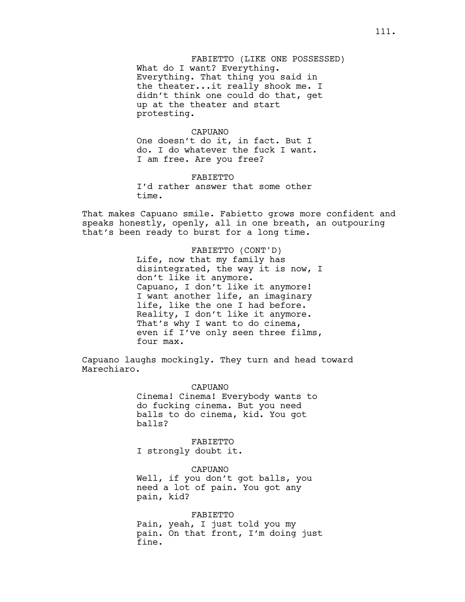FABIETTO (LIKE ONE POSSESSED) What do I want? Everything. Everything. That thing you said in the theater...it really shook me. I didn't think one could do that, get up at the theater and start protesting.

#### CAPUANO

One doesn't do it, in fact. But I do. I do whatever the fuck I want. I am free. Are you free?

FABIETTO I'd rather answer that some other time.

That makes Capuano smile. Fabietto grows more confident and speaks honestly, openly, all in one breath, an outpouring that's been ready to burst for a long time.

> FABIETTO (CONT'D) Life, now that my family has disintegrated, the way it is now, I don't like it anymore. Capuano, I don't like it anymore! I want another life, an imaginary life, like the one I had before. Reality, I don't like it anymore. That's why I want to do cinema, even if I've only seen three films, four max.

Capuano laughs mockingly. They turn and head toward Marechiaro.

> CAPUANO Cinema! Cinema! Everybody wants to do fucking cinema. But you need balls to do cinema, kid. You got balls?

FABIETTO I strongly doubt it.

CAPUANO Well, if you don't got balls, you need a lot of pain. You got any pain, kid?

FABIETTO Pain, yeah, I just told you my pain. On that front, I'm doing just fine.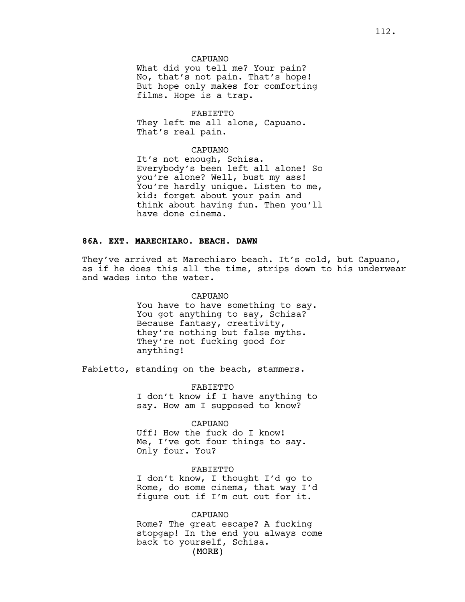### CAPUANO

What did you tell me? Your pain? No, that's not pain. That's hope! But hope only makes for comforting films. Hope is a trap.

#### FABIETTO

They left me all alone, Capuano. That's real pain.

### CAPUANO

It's not enough, Schisa. Everybody's been left all alone! So you're alone? Well, bust my ass! You're hardly unique. Listen to me, kid: forget about your pain and think about having fun. Then you'll have done cinema.

# **86A. EXT. MARECHIARO. BEACH. DAWN**

They've arrived at Marechiaro beach. It's cold, but Capuano, as if he does this all the time, strips down to his underwear and wades into the water.

#### CAPUANO

You have to have something to say. You got anything to say, Schisa? Because fantasy, creativity, they're nothing but false myths. They're not fucking good for anything!

Fabietto, standing on the beach, stammers.

FABIETTO I don't know if I have anything to say. How am I supposed to know?

### CAPUANO

Uff! How the fuck do I know! Me, I've got four things to say. Only four. You?

# FABIETTO

I don't know, I thought I'd go to Rome, do some cinema, that way I'd figure out if I'm cut out for it.

#### CAPUANO

(MORE) Rome? The great escape? A fucking stopgap! In the end you always come back to yourself, Schisa.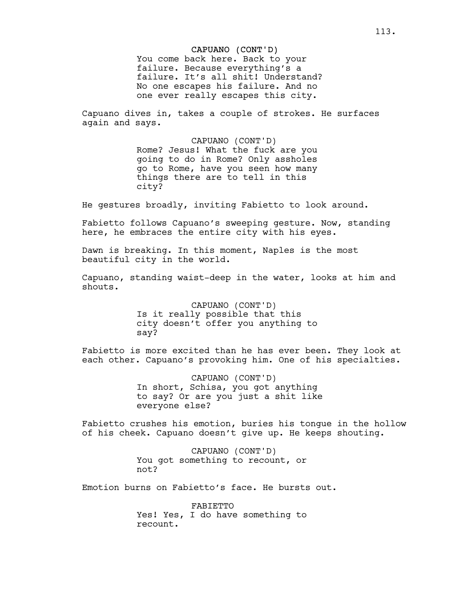### CAPUANO (CONT'D)

You come back here. Back to your failure. Because everything's a failure. It's all shit! Understand? No one escapes his failure. And no one ever really escapes this city.

Capuano dives in, takes a couple of strokes. He surfaces again and says.

> CAPUANO (CONT'D) Rome? Jesus! What the fuck are you going to do in Rome? Only assholes go to Rome, have you seen how many things there are to tell in this city?

He gestures broadly, inviting Fabietto to look around.

Fabietto follows Capuano's sweeping gesture. Now, standing here, he embraces the entire city with his eyes.

Dawn is breaking. In this moment, Naples is the most beautiful city in the world.

Capuano, standing waist-deep in the water, looks at him and shouts.

> CAPUANO (CONT'D) Is it really possible that this city doesn't offer you anything to say?

Fabietto is more excited than he has ever been. They look at each other. Capuano's provoking him. One of his specialties.

> CAPUANO (CONT'D) In short, Schisa, you got anything to say? Or are you just a shit like everyone else?

Fabietto crushes his emotion, buries his tongue in the hollow of his cheek. Capuano doesn't give up. He keeps shouting.

> CAPUANO (CONT'D) You got something to recount, or not?

Emotion burns on Fabietto's face. He bursts out.

FABIETTO Yes! Yes, I do have something to recount.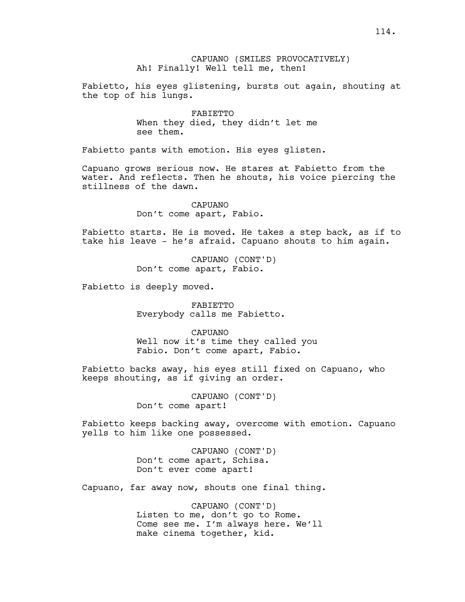Fabietto, his eyes glistening, bursts out again, shouting at the top of his lungs.

> FABIETTO When they died, they didn't let me see them.

Fabietto pants with emotion. His eyes glisten.

Capuano grows serious now. He stares at Fabietto from the water. And reflects. Then he shouts, his voice piercing the stillness of the dawn.

> CAPUANO Don't come apart, Fabio.

Fabietto starts. He is moved. He takes a step back, as if to take his leave - he's afraid. Capuano shouts to him again.

> CAPUANO (CONT'D) Don't come apart, Fabio.

Fabietto is deeply moved.

FABIETTO Everybody calls me Fabietto.

CAPUANO Well now it's time they called you Fabio. Don't come apart, Fabio.

Fabietto backs away, his eyes still fixed on Capuano, who keeps shouting, as if giving an order.

> CAPUANO (CONT'D) Don't come apart!

Fabietto keeps backing away, overcome with emotion. Capuano yells to him like one possessed.

> CAPUANO (CONT'D) Don't come apart, Schisa. Don't ever come apart!

Capuano, far away now, shouts one final thing.

CAPUANO (CONT'D) Listen to me, don't go to Rome. Come see me. I'm always here. We'll make cinema together, kid.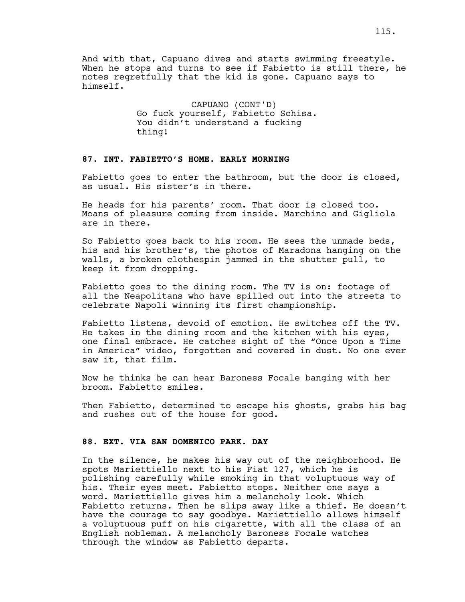And with that, Capuano dives and starts swimming freestyle. When he stops and turns to see if Fabietto is still there, he notes regretfully that the kid is gone. Capuano says to himself.

> CAPUANO (CONT'D) Go fuck yourself, Fabietto Schisa. You didn't understand a fucking thing!

# **87. INT. FABIETTO'S HOME. EARLY MORNING**

Fabietto goes to enter the bathroom, but the door is closed, as usual. His sister's in there.

He heads for his parents' room. That door is closed too. Moans of pleasure coming from inside. Marchino and Gigliola are in there.

So Fabietto goes back to his room. He sees the unmade beds, his and his brother's, the photos of Maradona hanging on the walls, a broken clothespin jammed in the shutter pull, to keep it from dropping.

Fabietto goes to the dining room. The TV is on: footage of all the Neapolitans who have spilled out into the streets to celebrate Napoli winning its first championship.

Fabietto listens, devoid of emotion. He switches off the TV. He takes in the dining room and the kitchen with his eyes, one final embrace. He catches sight of the "Once Upon a Time in America" video, forgotten and covered in dust. No one ever saw it, that film.

Now he thinks he can hear Baroness Focale banging with her broom. Fabietto smiles.

Then Fabietto, determined to escape his ghosts, grabs his bag and rushes out of the house for good.

#### **88. EXT. VIA SAN DOMENICO PARK. DAY**

In the silence, he makes his way out of the neighborhood. He spots Mariettiello next to his Fiat 127, which he is polishing carefully while smoking in that voluptuous way of his. Their eyes meet. Fabietto stops. Neither one says a word. Mariettiello gives him a melancholy look. Which Fabietto returns. Then he slips away like a thief. He doesn't have the courage to say goodbye. Mariettiello allows himself a voluptuous puff on his cigarette, with all the class of an English nobleman. A melancholy Baroness Focale watches through the window as Fabietto departs.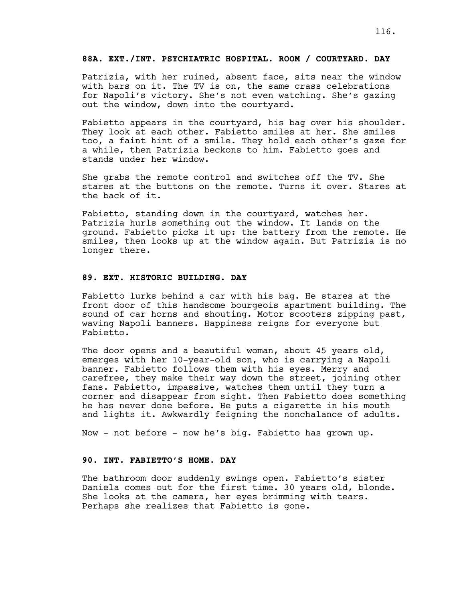# **88A. EXT./INT. PSYCHIATRIC HOSPITAL. ROOM / COURTYARD. DAY**

Patrizia, with her ruined, absent face, sits near the window with bars on it. The TV is on, the same crass celebrations for Napoli's victory. She's not even watching. She's gazing out the window, down into the courtyard.

Fabietto appears in the courtyard, his bag over his shoulder. They look at each other. Fabietto smiles at her. She smiles too, a faint hint of a smile. They hold each other's gaze for a while, then Patrizia beckons to him. Fabietto goes and stands under her window.

She grabs the remote control and switches off the TV. She stares at the buttons on the remote. Turns it over. Stares at the back of it.

Fabietto, standing down in the courtyard, watches her. Patrizia hurls something out the window. It lands on the ground. Fabietto picks it up: the battery from the remote. He smiles, then looks up at the window again. But Patrizia is no longer there.

# **89. EXT. HISTORIC BUILDING. DAY**

Fabietto lurks behind a car with his bag. He stares at the front door of this handsome bourgeois apartment building. The sound of car horns and shouting. Motor scooters zipping past, waving Napoli banners. Happiness reigns for everyone but Fabietto.

The door opens and a beautiful woman, about 45 years old, emerges with her 10-year-old son, who is carrying a Napoli banner. Fabietto follows them with his eyes. Merry and carefree, they make their way down the street, joining other fans. Fabietto, impassive, watches them until they turn a corner and disappear from sight. Then Fabietto does something he has never done before. He puts a cigarette in his mouth and lights it. Awkwardly feigning the nonchalance of adults.

Now - not before - now he's big. Fabietto has grown up.

# **90. INT. FABIETTO'S HOME. DAY**

The bathroom door suddenly swings open. Fabietto's sister Daniela comes out for the first time. 30 years old, blonde. She looks at the camera, her eyes brimming with tears. Perhaps she realizes that Fabietto is gone.